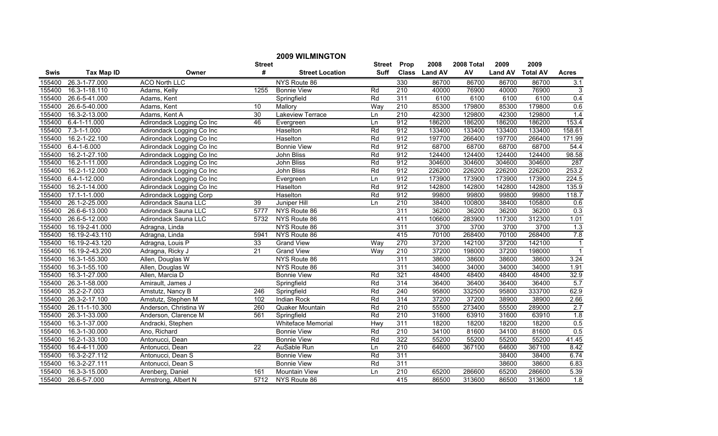|             |                    |                                |               | <b>2009 WILMINGTON</b> |                  |                  |               |            |                |                 |                |
|-------------|--------------------|--------------------------------|---------------|------------------------|------------------|------------------|---------------|------------|----------------|-----------------|----------------|
|             |                    |                                | <b>Street</b> |                        | Street           | Prop             | 2008          | 2008 Total | 2009           | 2009            |                |
| <b>Swis</b> | <b>Tax Map ID</b>  | Owner                          | #             | <b>Street Location</b> | Suff             |                  | Class Land AV | AV         | <b>Land AV</b> | <b>Total AV</b> | <b>Acres</b>   |
| 155400      | 26.3-1-77.000      | <b>ACO North LLC</b>           |               | NYS Route 86           |                  | 330              | 86700         | 86700      | 86700          | 86700           | 3.1            |
| 155400      | 16.3-1-18.110      | Adams, Kelly                   | 1255          | <b>Bonnie View</b>     | Rd               | 210              | 40000         | 76900      | 40000          | 76900           | 3              |
| 155400      | 26.6-5-41.000      | Adams, Kent                    |               | Springfield            | Rd               | 311              | 6100          | 6100       | 6100           | 6100            | 0.4            |
| 155400      | 26.6-5-40.000      | Adams, Kent                    | 10            | Mallory                | Way              | $\overline{210}$ | 85300         | 179800     | 85300          | 179800          | 0.6            |
| 155400      | 16.3-2-13.000      | Adams, Kent A                  | 30            | Lakeview Terrace       | Ln               | 210              | 42300         | 129800     | 42300          | 129800          | 1.4            |
| 155400      | 6.4-1-11.000       | Adirondack Logging Co Inc      | 46            | Evergreen              | Ln               | 912              | 186200        | 186200     | 186200         | 186200          | 153.4          |
| 155400      | $7.3 - 1 - 1.000$  | Adirondack Logging Co Inc      |               | Haselton               | Rd               | 912              | 133400        | 133400     | 133400         | 133400          | 158.61         |
| 155400      | 16.2-1-22.100      | Adirondack Logging Co Inc      |               | Haselton               | Rd               | 912              | 197700        | 266400     | 197700         | 266400          | 171.99         |
| 155400      | $6.4 - 1 - 6.000$  | Adirondack Logging Co Inc      |               | <b>Bonnie View</b>     | Rd               | 912              | 68700         | 68700      | 68700          | 68700           | 54.4           |
| 155400      | 16.2-1-27.100      | Adirondack Logging Co Inc      |               | John Bliss             | Rd               | 912              | 124400        | 124400     | 124400         | 124400          | 98.58          |
| 155400      | 16.2-1-11.000      | Adirondack Logging Co Inc      |               | John Bliss             | Rd               | 912              | 304600        | 304600     | 304600         | 304600          | 287            |
| 155400      | 16.2-1-12.000      | Adirondack Logging Co Inc      |               | John Bliss             | Rd               | 912              | 226200        | 226200     | 226200         | 226200          | 253.2          |
| 155400      | $6.4 - 1 - 12.000$ | Adirondack Logging Co Inc      |               | Evergreen              | $\overline{\ln}$ | 912              | 173900        | 173900     | 173900         | 173900          | 224.5          |
| 155400      | 16.2-1-14.000      | Adirondack Logging Co Inc      |               | Haselton               | Rd               | 912              | 142800        | 142800     | 142800         | 142800          | 135.9          |
| 155400      | $17.1 - 1 - 1.000$ | <b>Adirondack Logging Corp</b> |               | Haselton               | Rd               | 912              | 99800         | 99800      | 99800          | 99800           | 118.7          |
| 155400      | 26.1-2-25.000      | <b>Adirondack Sauna LLC</b>    | 39            | Juniper Hill           | Ln               | 210              | 38400         | 100800     | 38400          | 105800          | 0.6            |
| 155400      | 26.6-6-13.000      | Adirondack Sauna LLC           | 5777          | NYS Route 86           |                  | 311              | 36200         | 36200      | 36200          | 36200           | 0.3            |
| 155400      | 26.6-5-12.000      | Adirondack Sauna LLC           | 5732          | NYS Route 86           |                  | 411              | 106600        | 283900     | 117300         | 312300          | 1.01           |
| 155400      | 16.19-2-41.000     | Adragna, Linda                 |               | NYS Route 86           |                  | 311              | 3700          | 3700       | 3700           | 3700            | 1.3            |
| 155400      | 16.19-2-43.110     | Adragna, Linda                 | 5941          | NYS Route 86           |                  | 415              | 70100         | 268400     | 70100          | 268400          | 7.8            |
| 155400      | 16.19-2-43.120     | Adragna, Louis P               | 33            | <b>Grand View</b>      | Way              | 270              | 37200         | 142100     | 37200          | 142100          | $\mathbf{1}$   |
| 155400      | 16.19-2-43.200     | Adragna, Ricky J               | 21            | <b>Grand View</b>      | Way              | 210              | 37200         | 198000     | 37200          | 198000          | $\overline{1}$ |
| 155400      | 16.3-1-55.300      | Allen, Douglas W               |               | NYS Route 86           |                  | 311              | 38600         | 38600      | 38600          | 38600           | 3.24           |
| 155400      | 16.3-1-55.100      | Allen, Douglas W               |               | NYS Route 86           |                  | 311              | 34000         | 34000      | 34000          | 34000           | 1.91           |
| 155400      | 16.3-1-27.000      | Allen, Marcia D                |               | <b>Bonnie View</b>     | Rd               | 321              | 48400         | 48400      | 48400          | 48400           | 32.9           |
| 155400      | 26.3-1-58.000      | Amirault, James J              |               | Springfield            | Rd               | 314              | 36400         | 36400      | 36400          | 36400           | 5.7            |
| 155400      | $35.2 - 2 - 7.003$ | Amstutz, Nancy B               | 246           | Springfield            | Rd               | 240              | 95800         | 332500     | 95800          | 333700          | 62.9           |
| 155400      | 26.3-2-17.100      | Amstutz, Stephen M             | 102           | Indian Rock            | Rd               | 314              | 37200         | 37200      | 38900          | 38900           | 2.66           |
| 155400      | 26.11-1-10.300     | Anderson, Christina W          | 260           | Quaker Mountain        | Rd               | 210              | 55500         | 273400     | 55500          | 289000          | 2.7            |
| 155400      | 26.3-1-33.000      | Anderson, Clarence M           | 561           | Springfield            | Rd               | 210              | 31600         | 63910      | 31600          | 63910           | 1.8            |
| 155400      | 16.3-1-37.000      | Andracki, Stephen              |               | Whiteface Memorial     | Hwy              | 311              | 18200         | 18200      | 18200          | 18200           | 0.5            |
| 155400      | 16.3-1-30.000      | Ano, Richard                   |               | <b>Bonnie View</b>     | Rd               | 210              | 34100         | 81600      | 34100          | 81600           | 0.5            |
| 155400      | 16.2-1-33.100      | Antonucci, Dean                |               | <b>Bonnie View</b>     | Rd               | 322              | 55200         | 55200      | 55200          | 55200           | 41.45          |
| 155400      | 16.4-4-11.000      | Antonucci, Dean                | 22            | AuSable Run            | Ln               | 210              | 64600         | 367100     | 64600          | 367100          | 8.42           |
| 155400      | 16.3-2-27.112      | Antonucci, Dean S              |               | <b>Bonnie View</b>     | Rd               | 311              |               |            | 38400          | 38400           | 6.74           |
| 155400      | 16.3-2-27.111      | Antonucci, Dean S              |               | <b>Bonnie View</b>     | Rd               | 311              |               |            | 38600          | 38600           | 6.83           |
| 155400      | 16.3-3-15.000      | Arenberg, Daniel               | 161           | <b>Mountain View</b>   | Ln               | 210              | 65200         | 286600     | 65200          | 286600          | 5.39           |
| 155400      | 26.6-5-7.000       | Armstrong, Albert N            | 5712          | NYS Route 86           |                  | 415              | 86500         | 313600     | 86500          | 313600          | 1.8            |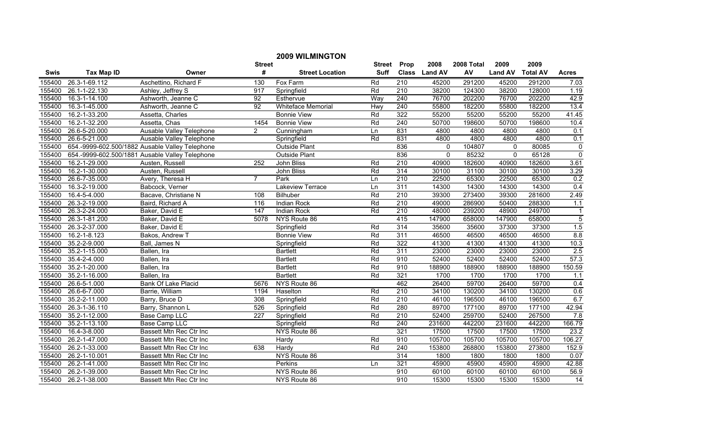|             |                    |                                                 |                 | <b>2009 WILMINGTON</b> |             |                  |               |            |                |                 |                |
|-------------|--------------------|-------------------------------------------------|-----------------|------------------------|-------------|------------------|---------------|------------|----------------|-----------------|----------------|
|             |                    |                                                 | <b>Street</b>   |                        | Street      | Prop             | 2008          | 2008 Total | 2009           | 2009            |                |
| <b>Swis</b> | <b>Tax Map ID</b>  | Owner                                           | #               | <b>Street Location</b> | <b>Suff</b> |                  | Class Land AV | AV         | <b>Land AV</b> | <b>Total AV</b> | <b>Acres</b>   |
| 155400      | 26.3-1-69.112      | Aschettino, Richard F                           | 130             | Fox Farm               | Rd          | 210              | 45200         | 291200     | 45200          | 291200          | 7.03           |
| 155400      | 26.1-1-22.130      | Ashley, Jeffrey S                               | 917             | Springfield            | Rd          | $\overline{210}$ | 38200         | 124300     | 38200          | 128000          | 1.19           |
| 155400      | 16.3-1-14.100      | Ashworth, Jeanne C                              | $\overline{92}$ | Esthervue              | Way         | $\overline{240}$ | 76700         | 202200     | 76700          | 202200          | 42.9           |
| 155400      | 16.3-1-45.000      | Ashworth, Jeanne C                              | 92              | Whiteface Memorial     | Hwy         | 240              | 55800         | 182200     | 55800          | 182200          | 13.4           |
| 155400      | 16.2-1-33.200      | Assetta, Charles                                |                 | <b>Bonnie View</b>     | Rd          | 322              | 55200         | 55200      | 55200          | 55200           | 41.45          |
| 155400      | 16.2-1-32.200      | Assetta, Chas                                   | 1454            | <b>Bonnie View</b>     | Rd          | 240              | 50700         | 198600     | 50700          | 198600          | 10.4           |
| 155400      | 26.6-5-20.000      | Ausable Valley Telephone                        | $\overline{2}$  | Cunningham             | Ln          | 831              | 4800          | 4800       | 4800           | 4800            | 0.1            |
| 155400      | 26.6-5-21.000      | Ausable Valley Telephone                        |                 | Springfield            | Rd          | 831              | 4800          | 4800       | 4800           | 4800            | 0.1            |
| 155400      |                    | 654.-9999-602.500/1882 Ausable Valley Telephone |                 | Outside Plant          |             | 836              | $\Omega$      | 104807     | $\mathbf{0}$   | 80085           | $\pmb{0}$      |
| 155400      |                    | 654.-9999-602.500/1881 Ausable Valley Telephone |                 | Outside Plant          |             | 836              | $\Omega$      | 85232      | $\mathbf{0}$   | 65128           | $\overline{0}$ |
| 155400      | 16.2-1-29.000      | Austen, Russell                                 | 252             | <b>John Bliss</b>      | Rd          | 210              | 40900         | 182600     | 40900          | 182600          | 3.61           |
| 155400      | 16.2-1-30.000      | Austen, Russell                                 |                 | John Bliss             | Rd          | 314              | 30100         | 31100      | 30100          | 30100           | 3.29           |
| 155400      | 26.6-7-35.000      | Avery, Theresa H                                | $\overline{7}$  | Park                   | Ln          | 210              | 22500         | 65300      | 22500          | 65300           | 0.2            |
| 155400      | 16.3-2-19.000      | Babcock, Verner                                 |                 | Lakeview Terrace       | Ln          | 311              | 14300         | 14300      | 14300          | 14300           | 0.4            |
| 155400      | 16.4-5-4.000       | Bacave, Christiane N                            | 108             | Bilhuber               | Rd          | $\overline{210}$ | 39300         | 273400     | 39300          | 281600          | 2.49           |
| 155400      | 26.3-2-19.000      | Baird, Richard A                                | 116             | Indian Rock            | Rd          | 210              | 49000         | 286900     | 50400          | 288300          | 1.1            |
| 155400      | 26.3-2-24.000      | Baker, David E                                  | 147             | Indian Rock            | Rd          | 210              | 48000         | 239200     | 48900          | 249700          | $\mathbf{1}$   |
| 155400      | 26.3-1-81.200      | Baker, David E                                  | 5078            | NYS Route 86           |             | 415              | 147900        | 658000     | 147900         | 658000          | $\overline{5}$ |
| 155400      | 26.3-2-37.000      | Baker, David E                                  |                 | Springfield            | Rd          | 314              | 35600         | 35600      | 37300          | 37300           | 1.5            |
| 155400      | $16.2 - 1 - 8.123$ | Bakos, Andrew T                                 |                 | <b>Bonnie View</b>     | Rd          | 311              | 46500         | 46500      | 46500          | 46500           | 8.8            |
| 155400      | 35.2-2-9.000       | Ball, James N                                   |                 | Springfield            | Rd          | 322              | 41300         | 41300      | 41300          | 41300           | 10.3           |
| 155400      | 35.2-1-15.000      | Ballen, Ira                                     |                 | <b>Bartlett</b>        | Rd          | 311              | 23000         | 23000      | 23000          | 23000           | 2.5            |
| 155400      | 35.4-2-4.000       | Ballen, Ira                                     |                 | <b>Bartlett</b>        | Rd          | 910              | 52400         | 52400      | 52400          | 52400           | 57.3           |
| 155400      | 35.2-1-20.000      | Ballen, Ira                                     |                 | <b>Bartlett</b>        | Rd          | 910              | 188900        | 188900     | 188900         | 188900          | 150.59         |
| 155400      | 35.2-1-16.000      | Ballen, Ira                                     |                 | <b>Bartlett</b>        | Rd          | 321              | 1700          | 1700       | 1700           | 1700            | 1.1            |
| 155400      | 26.6-5-1.000       | Bank Of Lake Placid                             | 5676            | NYS Route 86           |             | 462              | 26400         | 59700      | 26400          | 59700           | 0.4            |
| 155400      | 26.6-6-7.000       | Barrie, William                                 | 1194            | Haselton               | Rd          | 210              | 34100         | 130200     | 34100          | 130200          | 0.6            |
| 155400      | 35.2-2-11.000      | Barry, Bruce D                                  | 308             | Springfield            | Rd          | $\overline{210}$ | 46100         | 196500     | 46100          | 196500          | 6.7            |
| 155400      | 26.3-1-36.110      | Barry, Shannon L                                | 526             | Springfield            | Rd          | 280              | 89700         | 177100     | 89700          | 177100          | 42.94          |
| 155400      | 35.2-1-12.000      | <b>Base Camp LLC</b>                            | 227             | Springfield            | Rd          | 210              | 52400         | 259700     | 52400          | 267500          | 7.8            |
| 155400      | 35.2-1-13.100      | <b>Base Camp LLC</b>                            |                 | Springfield            | Rd          | 240              | 231600        | 442200     | 231600         | 442200          | 166.79         |
| 155400      | 16.4-3-8.000       | Bassett Mtn Rec Ctr Inc                         |                 | NYS Route 86           |             | 321              | 17500         | 17500      | 17500          | 17500           | 23.2           |
| 155400      | 26.2-1-47.000      | Bassett Mtn Rec Ctr Inc                         |                 | Hardy                  | Rd          | 910              | 105700        | 105700     | 105700         | 105700          | 106.27         |
| 155400      | 26.2-1-33.000      | Bassett Mtn Rec Ctr Inc                         | 638             | Hardy                  | Rd          | $\overline{240}$ | 153800        | 268800     | 153800         | 273800          | 152.9          |
| 155400      | 26.2-1-10.001      | Bassett Mtn Rec Ctr Inc                         |                 | NYS Route 86           |             | 314              | 1800          | 1800       | 1800           | 1800            | 0.07           |
| 155400      | 26.2-1-41.000      | Bassett Mtn Rec Ctr Inc                         |                 | Perkins                | Ln          | 321              | 45900         | 45900      | 45900          | 45900           | 42.88          |
| 155400      | 26.2-1-39.000      | Bassett Mtn Rec Ctr Inc                         |                 | NYS Route 86           |             | 910              | 60100         | 60100      | 60100          | 60100           | 56.9           |
| 155400      | 26.2-1-38.000      | Bassett Mtn Rec Ctr Inc                         |                 | NYS Route 86           |             | 910              | 15300         | 15300      | 15300          | 15300           | 14             |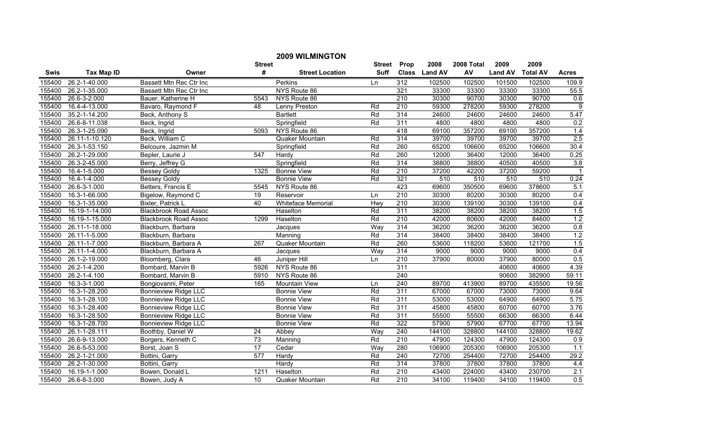|             |                   |                              |               | <b>2009 WILMINGTON</b> |             |                  |               |            |                |                 |                |
|-------------|-------------------|------------------------------|---------------|------------------------|-------------|------------------|---------------|------------|----------------|-----------------|----------------|
|             |                   |                              | <b>Street</b> |                        | Street      | Prop             | 2008          | 2008 Total | 2009           | 2009            |                |
| <b>Swis</b> | <b>Tax Map ID</b> | Owner                        | #             | <b>Street Location</b> | <b>Suff</b> |                  | Class Land AV | AV         | <b>Land AV</b> | <b>Total AV</b> | <b>Acres</b>   |
| 155400      | 26.2-1-40.000     | Bassett Mtn Rec Ctr Inc      |               | Perkins                | Ln          | 312              | 102500        | 102500     | 101500         | 102500          | 109.9          |
| 155400      | 26.2-1-35.000     | Bassett Mtn Rec Ctr Inc      |               | NYS Route 86           |             | 321              | 33300         | 33300      | 33300          | 33300           | 55.5           |
| 155400      | 26.6-3-2.000      | Bauer, Katherine H           | 5543          | NYS Route 86           |             | 210              | 30300         | 90700      | 30300          | 90700           | 0.6            |
| 155400      | 16.4-4-13.000     | Bavaro, Raymond F            | 48            | Lenny Preston          | Rd          | 210              | 59300         | 278200     | 59300          | 278200          | $\overline{9}$ |
| 155400      | 35.2-1-14.200     | Beck, Anthony S              |               | <b>Bartlett</b>        | Rd          | 314              | 24600         | 24600      | 24600          | 24600           | 5.47           |
| 155400      | 26.6-8-11.038     | Beck, Ingrid                 |               | Springfield            | Rd          | 311              | 4800          | 4800       | 4800           | 4800            | 0.2            |
| 155400      | 26.3-1-25.090     | Beck, Ingrid                 | 5093          | NYS Route 86           |             | 418              | 69100         | 357200     | 69100          | 357200          | 1.4            |
| 155400      | 26.11-1-10.120    | Beck, William C              |               | Quaker Mountain        | Rd          | 314              | 39700         | 39700      | 39700          | 39700           | 2.5            |
| 155400      | 26.3-1-53.150     | Belcoure, Jazmin M           |               | Springfield            | Rd          | 260              | 65200         | 106600     | 65200          | 106600          | 30.4           |
| 155400      | 26.2-1-29.000     | Bepler, Laurie J             | 547           | Hardy                  | Rd          | 260              | 12000         | 36400      | 12000          | 36400           | 0.25           |
| 155400      | 26.3-2-45.000     | Berry, Jeffrey G             |               | Springfield            | Rd          | 314              | 38800         | 38800      | 40500          | 40500           | 3.8            |
| 155400      | 16.4-1-5.000      | <b>Bessey Goldy</b>          | 1325          | <b>Bonnie View</b>     | Rd          | $\overline{210}$ | 37200         | 42200      | 37200          | 59200           |                |
| 155400      | 16.4-1-4.000      | <b>Bessey Goldy</b>          |               | <b>Bonnie View</b>     | Rd          | 321              | 510           | 510        | 510            | 510             | 0.24           |
| 155400      | 26.6-3-1.000      | Betters, Francis E           | 5545          | NYS Route 86           |             | 423              | 69600         | 350500     | 69600          | 378600          | 5.1            |
| 155400      | 16.3-1-66.000     | Bigelow, Raymond C           | 19            | Reservoir              | Ln          | 210              | 30300         | 80200      | 30300          | 80200           | 0.4            |
| 155400      | 16.3-1-35.000     | Bixler, Patrick L            | 40            | Whiteface Memorial     | Hwy         | 210              | 30300         | 139100     | 30300          | 139100          | 0.4            |
| 155400      | 16.19-1-14.000    | <b>Blackbrook Road Assoc</b> |               | Haselton               | Rd          | 311              | 38200         | 38200      | 38200          | 38200           | 1.5            |
| 155400      | 16.19-1-15.000    | <b>Blackbrook Road Assoc</b> | 1299          | Haselton               | Rd          | 210              | 42000         | 80600      | 42000          | 84600           | 1.2            |
| 155400      | 26.11-1-18.000    | Blackburn, Barbara           |               | Jacques                | Way         | 314              | 36200         | 36200      | 36200          | 36200           | 0.8            |
| 155400      | 26.11-1-5.000     | Blackburn, Barbara           |               | Manning                | Rd          | 314              | 38400         | 38400      | 38400          | 38400           | 1.2            |
| 155400      | 26.11-1-7.000     | Blackburn, Barbara A         | 267           | Quaker Mountain        | Rd          | 260              | 53600         | 118200     | 53600          | 121700          | 1.5            |
| 155400      | 26.11-1-4.000     | Blackburn, Barbara A         |               | Jacques                | Way         | 314              | 9000          | 9000       | 9000           | 9000            | 0.4            |
| 155400      | 26.1-2-19.000     | Bloomberg, Clara             | 46            | Juniper Hill           | Ln          | 210              | 37900         | 80000      | 37900          | 80000           | 0.5            |
| 155400      | 26.2-1-4.200      | Bombard, Marvin B            | 5926          | NYS Route 86           |             | $\overline{311}$ |               |            | 40600          | 40600           | 4.39           |
| 155400      | 26.2-1-4.100      | Bombard, Marvin B            | 5910          | NYS Route 86           |             | $\overline{240}$ |               |            | 90600          | 382900          | 59.11          |
| 155400      | 16.3-3-1.000      | Bongiovanni, Peter           | 165           | Mountain View          | Ln          | 240              | 89700         | 413900     | 89700          | 435500          | 19.56          |
| 155400      | 16.3-1-28.200     | <b>Bonnieview Ridge LLC</b>  |               | <b>Bonnie View</b>     | Rd          | 311              | 67000         | 67000      | 73000          | 73000           | 9.64           |
| 155400      | 16.3-1-28.100     | <b>Bonnieview Ridge LLC</b>  |               | <b>Bonnie View</b>     | Rd          | 311              | 53000         | 53000      | 64900          | 64900           | 5.75           |
| 155400      | 16.3-1-28.400     | <b>Bonnieview Ridge LLC</b>  |               | <b>Bonnie View</b>     | Rd          | 311              | 45800         | 45800      | 60700          | 60700           | 3.76           |
| 155400      | 16.3-1-28.500     | <b>Bonnieview Ridge LLC</b>  |               | <b>Bonnie View</b>     | Rd          | 311              | 55500         | 55500      | 66300          | 66300           | 6.44           |
| 155400      | 16.3-1-28.700     | <b>Bonnieview Ridge LLC</b>  |               | <b>Bonnie View</b>     | Rd          | 322              | 57900         | 57900      | 67700          | 67700           | 13.94          |
| 155400      | 26.1-1-28.111     | Boothby, Daniel W            | 24            | Abbey                  | Way         | 240              | 144100        | 328800     | 144100         | 328800          | 19.62          |
| 155400      | 26.6-9-13.000     | Borgers, Kenneth C           | 73            | Manning                | Rd          | 210              | 47900         | 124300     | 47900          | 124300          | 0.9            |
| 155400      | 26.6-5-53.000     | Borst, Joan S                | 17            | Cedar                  | Way         | 280              | 106900        | 205300     | 106900         | 205300          | 1.1            |
| 155400      | 26.2-1-21.000     | Bottini, Garry               | 577           | Hardy                  | Rd          | 240              | 72700         | 254400     | 72700          | 254400          | 29.2           |
| 155400      | 26.2-1-30.000     | Bottini, Garry               |               | Hardy                  | Rd          | 314              | 37800         | 37800      | 37800          | 37800           | 4.4            |
| 155400      | 16.19-1-1.000     | Bowen, Donald L              | 1211          | Haselton               | Rd          | $\overline{210}$ | 43400         | 224000     | 43400          | 230700          | 2.1            |
| 155400      | 26.6-8-3.000      | Bowen, Judy A                | 10            | Quaker Mountain        | Rd          | 210              | 34100         | 119400     | 34100          | 119400          | 0.5            |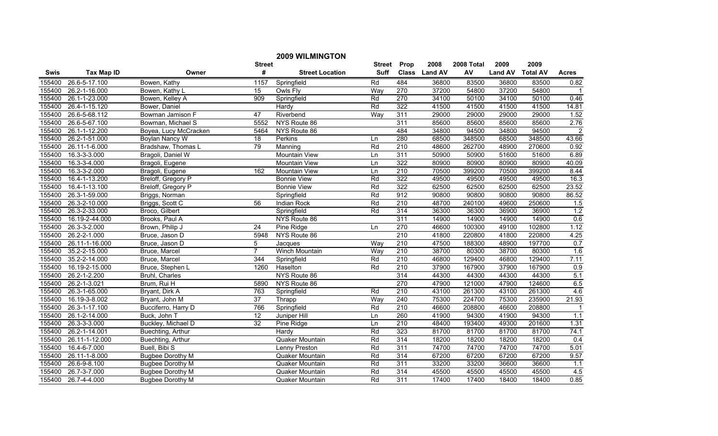|        |                            |                         |                 | <b>2009 WILMINGTON</b> |               |                  |               |            |                |                 |                |
|--------|----------------------------|-------------------------|-----------------|------------------------|---------------|------------------|---------------|------------|----------------|-----------------|----------------|
|        |                            |                         | <b>Street</b>   |                        | <b>Street</b> | Prop             | 2008          | 2008 Total | 2009           | 2009            |                |
| Swis   | <b>Tax Map ID</b>          | Owner                   | #               | <b>Street Location</b> | Suff          |                  | Class Land AV | AV         | <b>Land AV</b> | <b>Total AV</b> | <b>Acres</b>   |
| 155400 | $26.\overline{6-5-17.100}$ | Bowen, Kathy            | 1157            | Springfield            | Rd            | 484              | 36800         | 83500      | 36800          | 83500           | 0.82           |
| 155400 | 26.2-1-16.000              | Bowen, Kathy L          | 15              | Owls Fly               | Way           | 270              | 37200         | 54800      | 37200          | 54800           |                |
| 155400 | 26.1-1-23.000              | Bowen, Kelley A         | 909             | Springfield            | Rd            | 270              | 34100         | 50100      | 34100          | 50100           | 0.46           |
| 155400 | 26.4-1-15.120              | Bower, Daniel           |                 | Hardy                  | Rd            | 322              | 41500         | 41500      | 41500          | 41500           | 14.81          |
| 155400 | 26.6-5-68.112              | Bowman Jamison F        | 47              | Riverbend              | Way           | 311              | 29000         | 29000      | 29000          | 29000           | 1.52           |
| 155400 | 26.6-5-67.100              | Bowman, Michael S       | 5552            | NYS Route 86           |               | 311              | 85600         | 85600      | 85600          | 85600           | 2.76           |
| 155400 | 26.1-1-12.200              | Boyea, Lucy McCracken   | 5464            | NYS Route 86           |               | 484              | 34800         | 94500      | 34800          | 94500           | $\overline{2}$ |
| 155400 | 26.2-1-51.000              | <b>Boylan Nancy W</b>   | 18              | Perkins                | Ln            | 280              | 68500         | 348500     | 68500          | 348500          | 43.66          |
| 155400 | 26.11-1-6.000              | Bradshaw, Thomas L      | 79              | Manning                | Rd            | $\overline{210}$ | 48600         | 262700     | 48900          | 270600          | 0.92           |
| 155400 | 16.3-3-3.000               | Bragoli, Daniel W       |                 | Mountain View          | Ln            | 311              | 50900         | 50900      | 51600          | 51600           | 6.89           |
| 155400 | 16.3-3-4.000               | Bragoli, Eugene         |                 | Mountain View          | Ln            | 322              | 80900         | 80900      | 80900          | 80900           | 40.09          |
| 155400 | 16.3-3-2.000               | Bragoli, Eugene         | 162             | Mountain View          | Ln            | 210              | 70500         | 399200     | 70500          | 399200          | 8.44           |
| 155400 | 16.4-1-13.200              | Breloff, Gregory P      |                 | <b>Bonnie View</b>     | Rd            | 322              | 49500         | 49500      | 49500          | 49500           | 16.3           |
| 155400 | 16.4-1-13.100              | Breloff, Gregory P      |                 | <b>Bonnie View</b>     | Rd            | 322              | 62500         | 62500      | 62500          | 62500           | 23.52          |
| 155400 | 26.3-1-59.000              | Briggs, Norman          |                 | Springfield            | Rd            | 912              | 90800         | 90800      | 90800          | 90800           | 86.52          |
| 155400 | 26.3-2-10.000              | Briggs, Scott C         | 56              | <b>Indian Rock</b>     | Rd            | 210              | 48700         | 240100     | 49600          | 250600          | 1.5            |
| 155400 | 26.3-2-33.000              | Broco, Gilbert          |                 | Springfield            | Rd            | 314              | 36300         | 36300      | 36900          | 36900           | 1.2            |
| 155400 | 16.19-2-44.000             | Brooks, Paul A          |                 | NYS Route 86           |               | 311              | 14900         | 14900      | 14900          | 14900           | 0.6            |
| 155400 | 26.3-3-2.000               | Brown, Philip J         | 24              | Pine Ridge             | Ln            | 270              | 46600         | 100300     | 49100          | 102800          | 1.12           |
| 155400 | 26.2-2-1.000               | Bruce, Jason D          | 5948            | NYS Route 86           |               | 210              | 41800         | 220800     | 41800          | 220800          | 4.25           |
| 155400 | 26.11-1-16.000             | Bruce, Jason D          | 5               | Jacques                | Way           | 210              | 47500         | 188300     | 48900          | 197700          | 0.7            |
| 155400 | $35.\overline{2-2-15.000}$ | Bruce, Marcel           | $\overline{7}$  | Winch Mountain         | Way           | 210              | 38700         | 80300      | 38700          | 80300           | 1.6            |
| 155400 | 35.2-2-14.000              | Bruce, Marcel           | 344             | Springfield            | Rd            | 210              | 46800         | 129400     | 46800          | 129400          | 7.11           |
| 155400 | 16.19-2-15.000             | Bruce, Stephen L        | 1260            | Haselton               | Rd            | $\overline{210}$ | 37900         | 167900     | 37900          | 167900          | 0.9            |
| 155400 | 26.2-1-2.200               | Bruhl, Charles          |                 | NYS Route 86           |               | 314              | 44300         | 44300      | 44300          | 44300           | 5.1            |
| 155400 | 26.2-1-3.021               | Brum, Rui H             | 5890            | NYS Route 86           |               | 270              | 47900         | 121000     | 47900          | 124600          | 6.5            |
| 155400 | 26.3-1-65.000              | Bryant, Dirk A          | 763             | Springfield            | Rd            | 210              | 43100         | 261300     | 43100          | 261300          | 4.6            |
| 155400 | 16.19-3-8.002              | Bryant, John M          | $\overline{37}$ | Thrapp                 | Way           | 240              | 75300         | 224700     | 75300          | 235900          | 21.93          |
| 155400 | 26.3-1-17.100              | Bucciferro, Harry D     | 766             | Springfield            | Rd            | 210              | 46600         | 208800     | 46600          | 208800          | $\mathbf{1}$   |
| 155400 | 26.1-2-14.000              | Buck, John T            | $\overline{12}$ | Juniper Hill           | Ln            | 260              | 41900         | 94300      | 41900          | 94300           | 1.1            |
| 155400 | 26.3-3-3.000               | Buckley, Michael D      | 32              | Pine Ridge             | Ln            | 210              | 48400         | 193400     | 49300          | 201600          | 1.31           |
| 155400 | 26.2-1-14.001              | Buechting, Arthur       |                 | Hardy                  | Rd            | 323              | 81700         | 81700      | 81700          | 81700           | 74.1           |
| 155400 | 26.11-1-12.000             | Buechting, Arthur       |                 | Quaker Mountain        | Rd            | 314              | 18200         | 18200      | 18200          | 18200           | 0.4            |
| 155400 | 16.4-6-7.000               | Buell, Bibi S           |                 | Lenny Preston          | Rd            | 311              | 74700         | 74700      | 74700          | 74700           | 5.01           |
| 155400 | 26.11-1-8.000              | <b>Bugbee Dorothy M</b> |                 | Quaker Mountain        | Rd            | 314              | 67200         | 67200      | 67200          | 67200           | 9.57           |
| 155400 | 26.6-9-8.100               | <b>Bugbee Dorothy M</b> |                 | Quaker Mountain        | Rd            | 311              | 33200         | 33200      | 36600          | 36600           | 1.1            |
| 155400 | 26.7-3-7.000               | <b>Bugbee Dorothy M</b> |                 | Quaker Mountain        | Rd            | 314              | 45500         | 45500      | 45500          | 45500           | 4.5            |
| 155400 | 26.7-4-4.000               | <b>Bugbee Dorothy M</b> |                 | Quaker Mountain        | Rd            | 311              | 17400         | 17400      | 18400          | 18400           | 0.85           |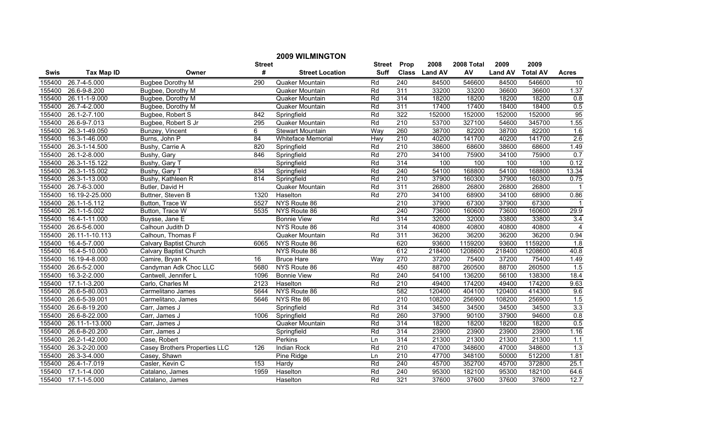|        |                   |                               |               | <b>2009 WILMINGTON</b>    |               |                  |               |            |                |                 |                |
|--------|-------------------|-------------------------------|---------------|---------------------------|---------------|------------------|---------------|------------|----------------|-----------------|----------------|
|        |                   |                               | <b>Street</b> |                           | <b>Street</b> | Prop             | 2008          | 2008 Total | 2009           | 2009            |                |
| Swis   | <b>Tax Map ID</b> | Owner                         | #             | <b>Street Location</b>    | <b>Suff</b>   |                  | Class Land AV | AV         | <b>Land AV</b> | <b>Total AV</b> | <b>Acres</b>   |
| 155400 | 26.7-4-5.000      | Bugbee Dorothy M              | 290           | Quaker Mountain           | Rd            | 240              | 84500         | 546600     | 84500          | 546600          | 10             |
| 155400 | 26.6-9-8.200      | Bugbee, Dorothy M             |               | Quaker Mountain           | Rd            | 311              | 33200         | 33200      | 36600          | 36600           | 1.37           |
| 155400 | 26.11-1-9.000     | Bugbee, Dorothy M             |               | Quaker Mountain           | Rd            | 314              | 18200         | 18200      | 18200          | 18200           | 0.8            |
| 155400 | 26.7-4-2.000      | Bugbee, Dorothy M             |               | Quaker Mountain           | Rd            | 311              | 17400         | 17400      | 18400          | 18400           | 0.5            |
| 155400 | 26.1-2-7.100      | Bugbee, Robert S              | 842           | Springfield               | Rd            | 322              | 152000        | 152000     | 152000         | 152000          | 95             |
| 155400 | 26.6-9-7.013      | Bugbee, Robert S Jr           | 295           | Quaker Mountain           | Rd            | 210              | 53700         | 327100     | 54600          | 345700          | 1.55           |
| 155400 | 26.3-1-49.050     | Bunzey, Vincent               | 6             | Stewart Mountain          | Way           | 260              | 38700         | 82200      | 38700          | 82200           | 1.6            |
| 155400 | 16.3-1-46.000     | Burns, John P                 | 84            | <b>Whiteface Memorial</b> | Hwy           | 210              | 40200         | 141700     | 40200          | 141700          | 2.6            |
| 155400 | 26.3-1-14.500     | Bushy, Carrie A               | 820           | Springfield               | Rd            | $\overline{210}$ | 38600         | 68600      | 38600          | 68600           | 1.49           |
| 155400 | 26.1-2-8.000      | Bushy, Gary                   | 846           | Springfield               | Rd            | 270              | 34100         | 75900      | 34100          | 75900           | 0.7            |
| 155400 | 26.3-1-15.122     | Bushy, Gary T                 |               | Springfield               | Rd            | 314              | 100           | 100        | 100            | 100             | 0.12           |
| 155400 | 26.3-1-15.002     | Bushy, Gary T                 | 834           | Springfield               | Rd            | $\overline{240}$ | 54100         | 168800     | 54100          | 168800          | 13.34          |
| 155400 | 26.3-1-13.000     | Bushy, Kathleen R             | 814           | Springfield               | Rd            | $\overline{210}$ | 37900         | 160300     | 37900          | 160300          | 0.75           |
| 155400 | 26.7-6-3.000      | Butler, David H               |               | Quaker Mountain           | Rd            | 311              | 26800         | 26800      | 26800          | 26800           | $\overline{1}$ |
| 155400 | 16.19-2-25.000    | Buttner, Steven B             | 1320          | Haselton                  | Rd            | 270              | 34100         | 68900      | 34100          | 68900           | 0.86           |
| 155400 | 26.1-1-5.112      | Button, Trace W               | 5527          | NYS Route 86              |               | 210              | 37900         | 67300      | 37900          | 67300           | $\mathbf 1$    |
| 155400 | 26.1-1-5.002      | Button, Trace W               | 5535          | NYS Route 86              |               | 240              | 73600         | 160600     | 73600          | 160600          | 29.9           |
| 155400 | 16.4-1-11.000     | Buysse, Jane E                |               | <b>Bonnie View</b>        | Rd            | 314              | 32000         | 32000      | 33800          | 33800           | 3.4            |
| 155400 | 26.6-5-6.000      | Calhoun Judith D              |               | NYS Route 86              |               | 314              | 40800         | 40800      | 40800          | 40800           | $\overline{4}$ |
| 155400 | 26.11-1-10.113    | Calhoun, Thomas F             |               | Quaker Mountain           | Rd            | 311              | 36200         | 36200      | 36200          | 36200           | 0.94           |
| 155400 | 16.4-5-7.000      | Calvary Baptist Church        | 6065          | NYS Route 86              |               | 620              | 93600         | 1159200    | 93600          | 1159200         | 1.8            |
| 155400 | 16.4-5-10.000     | Calvary Baptist Church        |               | NYS Route 86              |               | 612              | 218400        | 1208600    | 218400         | 1208600         | 40.8           |
| 155400 | 16.19-4-8.000     | Camire, Bryan K               | 16            | <b>Bruce Hare</b>         | Way           | 270              | 37200         | 75400      | 37200          | 75400           | 1.49           |
| 155400 | 26.6-5-2.000      | Candyman Adk Choc LLC         | 5680          | NYS Route 86              |               | 450              | 88700         | 260500     | 88700          | 260500          | 1.5            |
| 155400 | 16.3-2-2.000      | Cantwell, Jennifer L          | 1096          | <b>Bonnie View</b>        | Rd            | 240              | 54100         | 136200     | 56100          | 138300          | 18.4           |
| 155400 | 17.1-1-3.200      | Carlo, Charles M              | 2123          | Haselton                  | Rd            | 210              | 49400         | 174200     | 49400          | 174200          | 9.63           |
| 155400 | 26.6-5-80.003     | Carmelitano James             | 5644          | NYS Route 86              |               | 582              | 120400        | 404100     | 120400         | 414300          | 9.6            |
| 155400 | 26.6-5-39.001     | Carmelitano, James            | 5646          | NYS Rte 86                |               | 210              | 108200        | 256900     | 108200         | 256900          | 1.5            |
| 155400 | 26.6-8-19.200     | Carr, James J                 |               | Springfield               | Rd            | 314              | 34500         | 34500      | 34500          | 34500           | 3.3            |
| 155400 | 26.6-8-22.000     | Carr, James J                 | 1006          | Springfield               | Rd            | 260              | 37900         | 90100      | 37900          | 94600           | 0.8            |
| 155400 | 26.11-1-13.000    | Carr, James J                 |               | Quaker Mountain           | Rd            | 314              | 18200         | 18200      | 18200          | 18200           | 0.5            |
| 155400 | 26.6-8-20.200     | Carr, James J                 |               | Springfield               | Rd            | 314              | 23900         | 23900      | 23900          | 23900           | 1.16           |
| 155400 | 26.2-1-42.000     | Case, Robert                  |               | Perkins                   | Ln            | 314              | 21300         | 21300      | 21300          | 21300           | 1.1            |
| 155400 | 26.3-2-20.000     | Casey Brothers Properties LLC | 126           | Indian Rock               | Rd            | $\overline{210}$ | 47000         | 348600     | 47000          | 348600          | 1.3            |
| 155400 | 26.3-3-4.000      | Casey, Shawn                  |               | Pine Ridge                | Ln            | 210              | 47700         | 348100     | 50000          | 512200          | 1.81           |
| 155400 | 26.4-1-7.019      | Casler, Kevin C               | 153           | Hardy                     | Rd            | 240              | 45700         | 352700     | 45700          | 372800          | 25.1           |
| 155400 | 17.1-1-4.000      | Catalano, James               | 1959          | Haselton                  | Rd            | 240              | 95300         | 182100     | 95300          | 182100          | 64.6           |
| 155400 | 17.1-1-5.000      | Catalano, James               |               | Haselton                  | Rd            | 321              | 37600         | 37600      | 37600          | 37600           | 12.7           |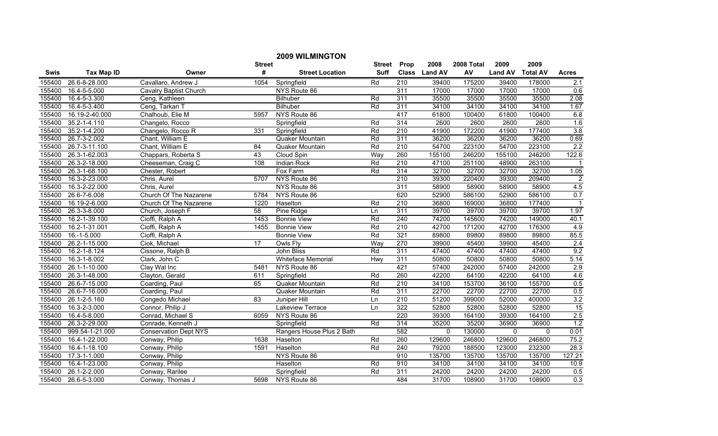|             |                   |                              |                 | <b>2009 WILMINGTON</b>    |               |                  |               |            |                |                 |                |
|-------------|-------------------|------------------------------|-----------------|---------------------------|---------------|------------------|---------------|------------|----------------|-----------------|----------------|
|             |                   |                              | <b>Street</b>   |                           | <b>Street</b> | Prop             | 2008          | 2008 Total | 2009           | 2009            |                |
| <b>Swis</b> | <b>Tax Map ID</b> | Owner                        | #               | <b>Street Location</b>    | Suff          |                  | Class Land AV | AV         | <b>Land AV</b> | <b>Total AV</b> | <b>Acres</b>   |
| 155400      | 26.6-8-28.000     | Cavallaro, Andrew J          | 1054            | Springfield               | Rd            | $\overline{210}$ | 39400         | 175200     | 39400          | 178000          | 2.1            |
| 155400      | 16.4-5-5.000      | Cavalry Baptist Church       |                 | NYS Route 86              |               | 311              | 17000         | 17000      | 17000          | 17000           | 0.6            |
| 155400      | 16.4-5-3.300      | Ceng, Kathleen               |                 | Bilhuber                  | Rd            | 311              | 35500         | 35500      | 35500          | 35500           | 2.08           |
| 155400      | 16.4-5-3.400      | Ceng, Tarkan T               |                 | Bilhuber                  | Rd            | 311              | 34100         | 34100      | 34100          | 34100           | 1.67           |
| 155400      | 16.19-2-40.000    | Chalhoub, Elie M             | 5957            | NYS Route 86              |               | 417              | 61800         | 100400     | 61800          | 100400          | 6.8            |
| 155400      | 35.2-1-4.110      | Changelo, Rocco              |                 | Springfield               | Rd            | 314              | 2600          | 2600       | 2600           | 2600            | 1.6            |
| 155400      | 35.2-1-4.200      | Changelo, Rocco R            | 331             | Springfield               | Rd            | 210              | 41900         | 172200     | 41900          | 177400          | 3.8            |
| 155400      | 26.7-3-2.002      | Chant, William E             |                 | Quaker Mountain           | Rd            | 311              | 36200         | 36200      | 36200          | 36200           | 0.69           |
| 155400      | 26.7-3-11.100     | Chant, William E             | $\overline{84}$ | Quaker Mountain           | Rd            | $\overline{210}$ | 54700         | 223100     | 54700          | 223100          | 2.2            |
| 155400      | 26.3-1-62.003     | Chappars, Roberta S          | 43              | Cloud Spin                | Way           | 260              | 155100        | 246200     | 155100         | 246200          | 122.6          |
| 155400      | 26.3-2-18.000     | Cheeseman, Craig C           | 108             | Indian Rock               | Rd            | 210              | 47100         | 251100     | 48900          | 263100          |                |
| 155400      | 26.3-1-68.100     | Chester, Robert              |                 | Fox Farm                  | Rd            | 314              | 32700         | 32700      | 32700          | 32700           | 1.05           |
| 155400      | 16.3-2-23.000     | Chris, Aurel                 | 5707            | NYS Route 86              |               | 210              | 39300         | 220400     | 39300          | 209400          | $\overline{2}$ |
| 155400      | 16.3-2-22.000     | Chris, Aurel                 |                 | NYS Route 86              |               | 311              | 58900         | 58900      | 58900          | 58900           | 4.5            |
| 155400      | 26.6-7-6.008      | Church Of The Nazarene       | 5784            | NYS Route 86              |               | 620              | 52900         | 586100     | 52900          | 586100          | 0.7            |
| 155400      | 16.19-2-6.000     | Church Of The Nazarene       | 1220            | Haselton                  | Rd            | 210              | 36800         | 169000     | 36800          | 177400          | -1             |
| 155400      | 26.3-3-8.000      | Church, Joseph F             | 58              | Pine Ridge                | Ln            | 311              | 39700         | 39700      | 39700          | 39700           | 1.97           |
| 155400      | 16.2-1-39.100     | Cioffi, Ralph A              | 1453            | <b>Bonnie View</b>        | Rd            | 240              | 74200         | 145600     | 74200          | 149000          | 40.1           |
| 155400      | 16.2-1-31.001     | Cioffi, Ralph A              | 1455            | <b>Bonnie View</b>        | Rd            | 210              | 42700         | 171200     | 42700          | 176300          | 4.9            |
| 155400      | $16.-1-5.000$     | Cioffi, Ralph A              |                 | <b>Bonnie View</b>        | Rd            | 321              | 89800         | 89800      | 89800          | 89800           | 85.5           |
| 155400      | 26.2-1-15.000     | Ciok, Michael                | 17              | Owls Fly                  | Way           | 270              | 39900         | 45400      | 39900          | 45400           | 2.4            |
| 155400      | 16.2-1-8.124      | Cissone, Ralph B             |                 | John Bliss                | Rd            | 311              | 47400         | 47400      | 47400          | 47400           | 9.2            |
| 155400      | 16.3-1-8.002      | Clark, John C                |                 | Whiteface Memorial        | Hwy           | 311              | 50800         | 50800      | 50800          | 50800           | 5.14           |
| 155400      | 26.1-1-10.000     | Clay Wal Inc                 | 5481            | NYS Route 86              |               | 421              | 57400         | 242000     | 57400          | 242000          | 2.9            |
| 155400      | 26.3-1-48.000     | Clayton, Gerald              | 611             | Springfield               | Rd            | 260              | 42200         | 64100      | 42200          | 64100           | 4.6            |
| 155400      | 26.6-7-15.000     | Coarding, Paul               | 65              | Quaker Mountain           | Rd            | $\overline{210}$ | 34100         | 153700     | 36100          | 155700          | 0.5            |
| 155400      | 26.6-7-16.000     | Coarding, Paul               |                 | Quaker Mountain           | Rd            | 311              | 22700         | 22700      | 22700          | 22700           | 0.5            |
| 155400      | 26.1-2-5.160      | Congedo Michael              | 83              | Juniper Hill              | Ln            | $\overline{210}$ | 51200         | 399000     | 52000          | 400000          | 3.2            |
| 155400      | 16.3-2-3.000      | Connor, Philip J             |                 | <b>Lakeview Terrace</b>   | Ln            | 322              | 52800         | 52800      | 52800          | 52800           | 15             |
| 155400      | 16.4-5-8.000      | Conrad, Michael S            | 6059            | NYS Route 86              |               | 220              | 39300         | 164100     | 39300          | 164100          | 2.5            |
| 155400      | 26.3-2-29.000     | Conrade, Kenneth J           |                 | Springfield               | Rd            | 314              | 35200         | 35200      | 36900          | 36900           | 1.2            |
| 155400      | 999.54-1-21.000   | <b>Conservation Dept NYS</b> |                 | Rangers House Plus 2 Bath |               | 582              | $\mathbf 0$   | 130000     | $\mathbf{0}$   | $\Omega$        | 0.01           |
| 155400      | 16.4-1-22.000     | Conway, Philip               | 1638            | Haselton                  | Rd            | 260              | 129600        | 246800     | 129600         | 246800          | 75.2           |
| 155400      | 16.4-1-18.100     | Conway, Philip               | 1591            | Haselton                  | Rd            | 240              | 79200         | 188500     | 123000         | 232300          | 28.3           |
| 155400      | 17.3-1-1.000      | Conway, Philip               |                 | NYS Route 86              |               | 910              | 135700        | 135700     | 135700         | 135700          | 127.21         |
| 155400      | 16.4-1-23.000     | Conway, Philip               |                 | Haselton                  | Rd            | 910              | 34100         | 34100      | 34100          | 34100           | 10.9           |
| 155400      | 26.1-2-2.000      | Conway, Rarilee              |                 | Springfield               | Rd            | 311              | 24200         | 24200      | 24200          | 24200           | 0.5            |
| 155400      | 26.6-5-3.000      | Conway, Thomas J             | 5698            | NYS Route 86              |               | 484              | 31700         | 108900     | 31700          | 108900          | 0.3            |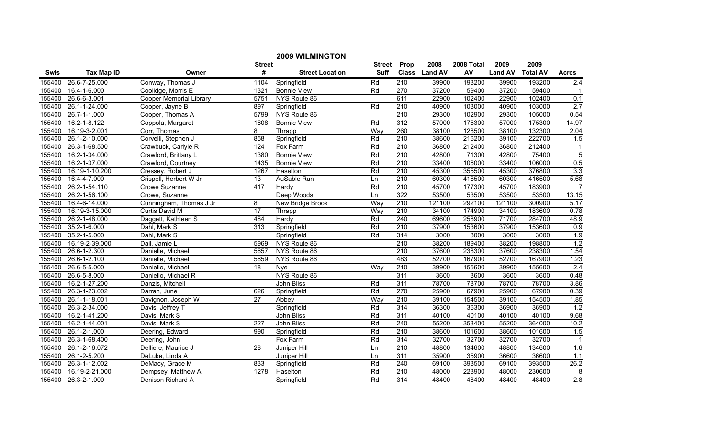|             |                   |                                |                 | <b>2009 WILMINGTON</b> |             |                  |               |            |                |                 |                |
|-------------|-------------------|--------------------------------|-----------------|------------------------|-------------|------------------|---------------|------------|----------------|-----------------|----------------|
|             |                   |                                | <b>Street</b>   |                        | Street      | Prop             | 2008          | 2008 Total | 2009           | 2009            |                |
| <b>Swis</b> | <b>Tax Map ID</b> | Owner                          | #               | <b>Street Location</b> | <b>Suff</b> |                  | Class Land AV | AV         | <b>Land AV</b> | <b>Total AV</b> | <b>Acres</b>   |
| 155400      | 26.6-7-25.000     | Conway, Thomas J               | 1104            | Springfield            | Rd          | $\overline{210}$ | 39900         | 193200     | 39900          | 193200          | 2.4            |
| 155400      | 16.4-1-6.000      | Coolidge, Morris E             | 1321            | <b>Bonnie View</b>     | Rd          | 270              | 37200         | 59400      | 37200          | 59400           |                |
| 155400      | 26.6-6-3.001      | <b>Cooper Memorial Library</b> | 5751            | NYS Route 86           |             | 611              | 22900         | 102400     | 22900          | 102400          | 0.1            |
| 155400      | 26.1-1-24.000     | Cooper, Jayne B                | 897             | Springfield            | Rd          | 210              | 40900         | 103000     | 40900          | 103000          | 2.7            |
| 155400      | 26.7-1-1.000      | Cooper, Thomas A               | 5799            | NYS Route 86           |             | $\overline{210}$ | 29300         | 102900     | 29300          | 105000          | 0.54           |
| 155400      | 16.2-1-8.122      | Coppola, Margaret              | 1608            | <b>Bonnie View</b>     | Rd          | 312              | 57000         | 175300     | 57000          | 175300          | 14.97          |
| 155400      | 16.19-3-2.001     | Corr, Thomas                   | 8               | Thrapp                 | Way         | 260              | 38100         | 128500     | 38100          | 132300          | 2.04           |
| 155400      | 26.1-2-10.000     | Corvelli, Stephen J            | 858             | Springfield            | Rd          | 210              | 38600         | 216200     | 39100          | 222700          | 1.5            |
| 155400      | 26.3-1-68.500     | Crawbuck, Carlyle R            | $\frac{1}{24}$  | Fox Farm               | Rd          | $\overline{210}$ | 36800         | 212400     | 36800          | 212400          | $\mathbf{1}$   |
| 155400      | 16.2-1-34.000     | Crawford, Brittany L           | 1380            | <b>Bonnie View</b>     | Rd          | $\overline{210}$ | 42800         | 71300      | 42800          | 75400           | $\overline{5}$ |
| 155400      | 16.2-1-37.000     | Crawford, Courtney             | 1435            | <b>Bonnie View</b>     | Rd          | $\overline{210}$ | 33400         | 106000     | 33400          | 106000          | 0.5            |
| 155400      | 16.19-1-10.200    | Cressey, Robert J              | 1267            | Haselton               | Rd          | 210              | 45300         | 355500     | 45300          | 376800          | 3.3            |
| 155400      | 16.4-4-7.000      | Crispell, Herbert W Jr         | 13              | AuSable Run            | Ln          | $\overline{210}$ | 60300         | 416500     | 60300          | 416500          | 5.68           |
| 155400      | 26.2-1-54.110     | Crowe Suzanne                  | 417             | Hardy                  | Rd          | 210              | 45700         | 177300     | 45700          | 183900          | $\overline{7}$ |
| 155400      | 26.2-1-56.100     | Crowe, Suzanne                 |                 | Deep Woods             | Ln          | 322              | 53500         | 53500      | 53500          | 53500           | 13.15          |
| 155400      | 16.4-6-14.000     | Cunningham, Thomas J Jr        | 8               | New Bridge Brook       | Way         | 210              | 121100        | 292100     | 121100         | 300900          | 5.17           |
| 155400      | 16.19-3-15.000    | Curtis David M                 | 17              | Thrapp                 | Way         | 210              | 34100         | 174900     | 34100          | 183600          | 0.78           |
| 155400      | 26.2-1-48.000     | Daggett, Kathleen S            | 484             | Hardy                  | Rd          | 240              | 69600         | 258900     | 71700          | 284700          | 48.9           |
| 155400      | 35.2-1-6.000      | Dahl, Mark S                   | 313             | Springfield            | Rd          | 210              | 37900         | 153600     | 37900          | 153600          | 0.9            |
| 155400      | 35.2-1-5.000      | Dahl, Mark S                   |                 | Springfield            | Rd          | 314              | 3000          | 3000       | 3000           | 3000            | 1.9            |
| 155400      | 16.19-2-39.000    | Dail, Jamie L                  | 5969            | NYS Route 86           |             | 210              | 38200         | 189400     | 38200          | 198800          | 1.2            |
| 155400      | 26.6-1-2.300      | Danielle, Michael              | 5657            | NYS Route 86           |             | 210              | 37600         | 238300     | 37600          | 238300          | 1.54           |
| 155400      | 26.6-1-2.100      | Danielle, Michael              | 5659            | NYS Route 86           |             | 483              | 52700         | 167900     | 52700          | 167900          | 1.23           |
| 155400      | 26.6-5-5.000      | Daniello, Michael              | $\overline{18}$ | <b>N</b> ve            | Way         | 210              | 39900         | 155600     | 39900          | 155600          | 2.4            |
| 155400      | 26.6-5-8.000      | Daniello, Michael R            |                 | NYS Route 86           |             | 311              | 3600          | 3600       | 3600           | 3600            | 0.48           |
| 155400      | 16.2-1-27.200     | Danzis, Mitchell               |                 | John Bliss             | Rd          | 311              | 78700         | 78700      | 78700          | 78700           | 3.86           |
| 155400      | 26.3-1-23.002     | Darrah, June                   | 626             | Springfield            | Rd          | 270              | 25900         | 67900      | 25900          | 67900           | 0.39           |
| 155400      | 26.1-1-18.001     | Davignon, Joseph W             | $\overline{27}$ | Abbey                  | Way         | $\overline{210}$ | 39100         | 154500     | 39100          | 154500          | 1.85           |
| 155400      | 26.3-2-34.000     | Davis, Jeffrey T               |                 | Springfield            | Rd          | 314              | 36300         | 36300      | 36900          | 36900           | 1.2            |
| 155400      | 16.2-1-41.200     | Davis, Mark S                  |                 | John Bliss             | Rd          | 311              | 40100         | 40100      | 40100          | 40100           | 9.68           |
| 155400      | 16.2-1-44.001     | Davis, Mark S                  | 227             | <b>John Bliss</b>      | Rd          | 240              | 55200         | 353400     | 55200          | 364000          | 10.2           |
| 155400      | 26.1-2-1.000      | Deering, Edward                | 990             | Springfield            | Rd          | 210              | 38600         | 101600     | 38600          | 101600          | 1.5            |
| 155400      | 26.3-1-68.400     | Deering, John                  |                 | Fox Farm               | Rd          | 314              | 32700         | 32700      | 32700          | 32700           | $\overline{1}$ |
| 155400      | 26.1-2-16.072     | Delliere, Maurice J            | $\overline{28}$ | Juniper Hill           | Ln          | 210              | 48800         | 134600     | 48800          | 134600          | 1.6            |
| 155400      | 26.1-2-5.200      | DeLuke, Linda A                |                 | Juniper Hill           | Ln          | 311              | 35900         | 35900      | 36600          | 36600           | 1.1            |
| 155400      | 26.3-1-12.002     | DeMacy, Grace M                | 833             | Springfield            | Rd          | 240              | 69100         | 393500     | 69100          | 393500          | 26.2           |
| 155400      | 16.19-2-21.000    | Dempsey, Matthew A             | 1278            | Haselton               | Rd          | $\overline{210}$ | 48000         | 223900     | 48000          | 230600          | 8              |
| 155400      | 26.3-2-1.000      | Denison Richard A              |                 | Springfield            | Rd          | 314              | 48400         | 48400      | 48400          | 48400           | 2.8            |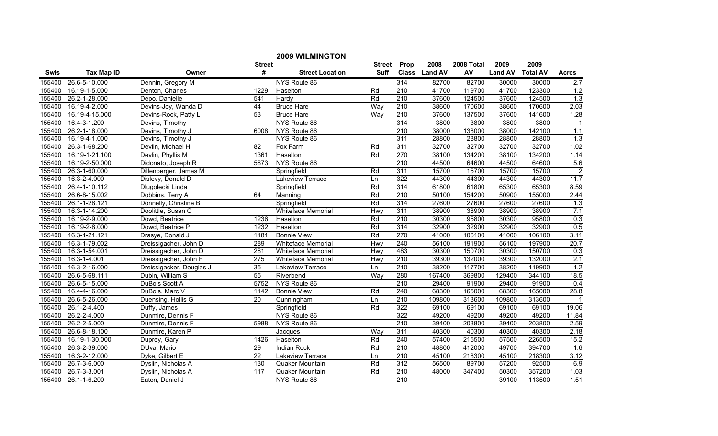|             |                   |                          |                  | <b>2009 WILMINGTON</b>    |             |                  |               |            |                |                 |                  |
|-------------|-------------------|--------------------------|------------------|---------------------------|-------------|------------------|---------------|------------|----------------|-----------------|------------------|
|             |                   |                          | <b>Street</b>    |                           | Street      | Prop             | 2008          | 2008 Total | 2009           | 2009            |                  |
| <b>Swis</b> | <b>Tax Map ID</b> | Owner                    | #                | <b>Street Location</b>    | <b>Suff</b> |                  | Class Land AV | AV         | <b>Land AV</b> | <b>Total AV</b> | <b>Acres</b>     |
| 155400      | 26.6-5-10.000     | Dennin, Gregory M        |                  | NYS Route 86              |             | 314              | 82700         | 82700      | 30000          | 30000           | 2.7              |
| 155400      | 16.19-1-5.000     | Denton, Charles          | 1229             | Haselton                  | Rd          | $\overline{210}$ | 41700         | 119700     | 41700          | 123300          | 1.2              |
| 155400      | 26.2-1-28.000     | Depo, Danielle           | 541              | Hardy                     | Rd          | 210              | 37600         | 124500     | 37600          | 124500          | 1.3              |
| 155400      | 16.19-4-2.000     | Devins-Joy, Wanda D      | 44               | <b>Bruce Hare</b>         | Way         | 210              | 38600         | 170600     | 38600          | 170600          | 2.03             |
| 155400      | 16.19-4-15.000    | Devins-Rock, Patty L     | 53               | <b>Bruce Hare</b>         | Way         | 210              | 37600         | 137500     | 37600          | 141600          | 1.28             |
| 155400      | 16.4-3-1.200      | Devins, Timothy          |                  | NYS Route 86              |             | 314              | 3800          | 3800       | 3800           | 3800            | $\mathbf{1}$     |
| 155400      | 26.2-1-18.000     | Devins, Timothy J        | 6008             | NYS Route 86              |             | 210              | 38000         | 138000     | 38000          | 142100          | 1.1              |
| 155400      | 16.19-4-1.000     | Devins, Timothy J        |                  | NYS Route 86              |             | 311              | 28800         | 28800      | 28800          | 28800           | $\overline{1.3}$ |
| 155400      | 26.3-1-68.200     | Devlin, Michael H        | 82               | Fox Farm                  | Rd          | 311              | 32700         | 32700      | 32700          | 32700           | 1.02             |
| 155400      | 16.19-1-21.100    | Devlin, Phyllis M        | 1361             | Haselton                  | Rd          | 270              | 38100         | 134200     | 38100          | 134200          | 1.14             |
| 155400      | 16.19-2-50.000    | Didonato, Joseph R       | 5873             | NYS Route 86              |             | 210              | 44500         | 64600      | 44500          | 64600           | 5.6              |
| 155400      | 26.3-1-60.000     | Dillenberger, James M    |                  | Springfield               | Rd          | 311              | 15700         | 15700      | 15700          | 15700           | $\overline{2}$   |
| 155400      | 16.3-2-4.000      | Dislevy, Donald D        |                  | Lakeview Terrace          | Ln          | 322              | 44300         | 44300      | 44300          | 44300           | 11.7             |
| 155400      | 26.4-1-10.112     | Dlugolecki Linda         |                  | Springfield               | Rd          | 314              | 61800         | 61800      | 65300          | 65300           | 8.59             |
| 155400      | 26.6-8-15.002     | Dobbins, Terry A         | 64               | Manning                   | Rd          | $\overline{210}$ | 50100         | 154200     | 50900          | 155000          | 2.44             |
| 155400      | 26.1-1-28.121     | Donnelly, Christine B    |                  | Springfield               | Rd          | 314              | 27600         | 27600      | 27600          | 27600           | 1.3              |
| 155400      | 16.3-1-14.200     | Doolittle, Susan C       |                  | <b>Whiteface Memorial</b> | Hwy         | 311              | 38900         | 38900      | 38900          | 38900           | 7.1              |
| 155400      | 16.19-2-9.000     | Dowd, Beatrice           | 1236             | Haselton                  | Rd          | 210              | 30300         | 95800      | 30300          | 95800           | 0.3              |
| 155400      | 16.19-2-8.000     | Dowd, Beatrice P         | 1232             | Haselton                  | Rd          | 314              | 32900         | 32900      | 32900          | 32900           | 0.5              |
| 155400      | 16.3-1-21.121     | Drasye, Donald J         | 1181             | <b>Bonnie View</b>        | Rd          | 270              | 41000         | 106100     | 41000          | 106100          | 3.11             |
| 155400      | 16.3-1-79.002     | Dreissigacher, John D    | 289              | <b>Whiteface Memorial</b> | Hwy         | 240              | 56100         | 191900     | 56100          | 197900          | 20.7             |
| 155400      | 16.3-1-54.001     | Dreissigacher, John D    | 281              | Whiteface Memorial        | Hwy         | 483              | 30300         | 150700     | 30300          | 150700          | 0.3              |
| 155400      | 16.3-1-4.001      | Dreissigacher, John F    | $\overline{275}$ | <b>Whiteface Memorial</b> | Hwy         | 210              | 39300         | 132000     | 39300          | 132000          | 2.1              |
| 155400      | 16.3-2-16.000     | Dreissigacker, Douglas J | 35               | Lakeview Terrace          | Ln          | 210              | 38200         | 117700     | 38200          | 119900          | 1.2              |
| 155400      | 26.6-5-68.111     | Dubin, William S         | 55               | Riverbend                 | Way         | 280              | 167400        | 369800     | 129400         | 344100          | 18.5             |
| 155400      | 26.6-5-15.000     | DuBois Scott A           | 5752             | NYS Route 86              |             | $\overline{210}$ | 29400         | 91900      | 29400          | 91900           | 0.4              |
| 155400      | 16.4-4-16.000     | DuBois, Marc V           | 1142             | <b>Bonnie View</b>        | Rd          | 240              | 68300         | 165000     | 68300          | 165000          | 28.8             |
| 155400      | 26.6-5-26.000     | Duensing, Hollis G       | $\overline{20}$  | Cunningham                | Ln          | 210              | 109800        | 313600     | 109800         | 313600          | $\overline{1}$   |
| 155400      | 26.1-2-4.400      | Duffy, James             |                  | Springfield               | Rd          | 322              | 69100         | 69100      | 69100          | 69100           | 19.06            |
| 155400      | 26.2-2-4.000      | Dunmire, Dennis F        |                  | NYS Route 86              |             | 322              | 49200         | 49200      | 49200          | 49200           | 11.84            |
| 155400      | 26.2-2-5.000      | Dunmire, Dennis F        | 5988             | NYS Route 86              |             | 210              | 39400         | 203800     | 39400          | 203800          | 2.59             |
| 155400      | 26.6-8-18.100     | Dunmire, Karen P         |                  | Jacques                   | Way         | 311              | 40300         | 40300      | 40300          | 40300           | 2.18             |
| 155400      | 16.19-1-30.000    | Duprey, Gary             | 1426             | Haselton                  | Rd          | 240              | 57400         | 215500     | 57500          | 226500          | 15.2             |
| 155400      | 26.3-2-39.000     | DUva, Mario              | 29               | <b>Indian Rock</b>        | Rd          | 210              | 48800         | 412000     | 49700          | 394700          | 1.6              |
| 155400      | 16.3-2-12.000     | Dyke, Gilbert E          | $\overline{22}$  | Lakeview Terrace          | Ln          | 210              | 45100         | 218300     | 45100          | 218300          | 3.12             |
| 155400      | 26.7-3-6.000      | Dyslin, Nicholas A       | 130              | Quaker Mountain           | Rd          | 312              | 56500         | 89700      | 57200          | 92500           | 6.9              |
| 155400      | 26.7-3-3.001      | Dyslin, Nicholas A       | $\overline{117}$ | Quaker Mountain           | Rd          | 210              | 48000         | 347400     | 50300          | 357200          | 1.03             |
| 155400      | 26.1-1-6.200      | Eaton, Daniel J          |                  | NYS Route 86              |             | 210              |               |            | 39100          | 113500          | 1.51             |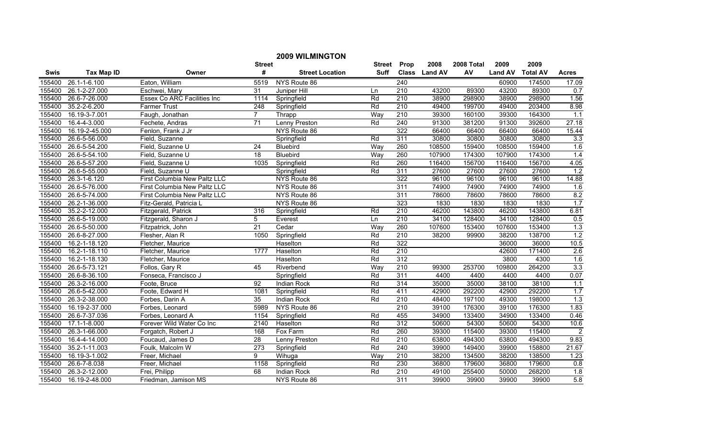|        | <b>2009 WILMINGTON</b> |                              |                 |                        |               |                  |               |            |                |                 |                |  |
|--------|------------------------|------------------------------|-----------------|------------------------|---------------|------------------|---------------|------------|----------------|-----------------|----------------|--|
|        |                        |                              | <b>Street</b>   |                        | <b>Street</b> | Prop             | 2008          | 2008 Total | 2009           | 2009            |                |  |
| Swis   | <b>Tax Map ID</b>      | Owner                        | #               | <b>Street Location</b> | <b>Suff</b>   |                  | Class Land AV | AV         | <b>Land AV</b> | <b>Total AV</b> | <b>Acres</b>   |  |
| 155400 | 26.1-1-6.100           | Eaton, William               | 5519            | NYS Route 86           |               | 240              |               |            | 60900          | 174500          | 17.09          |  |
| 155400 | 26.1-2-27.000          | Eschwei, Mary                | $\overline{31}$ | Juniper Hill           | Ln            | $\overline{210}$ | 43200         | 89300      | 43200          | 89300           | 0.7            |  |
| 155400 | 26.6-7-26.000          | Essex Co ARC Facilities Inc  | 1114            | Springfield            | Rd            | 210              | 38900         | 298900     | 38900          | 298900          | 1.56           |  |
| 155400 | 35.2-2-6.200           | <b>Farmer Trust</b>          | 248             | Springfield            | Rd            | 210              | 49400         | 199700     | 49400          | 203400          | 8.98           |  |
| 155400 | 16.19-3-7.001          | Faugh, Jonathan              | $\overline{7}$  | Thrapp                 | Way           | 210              | 39300         | 160100     | 39300          | 164300          | 1.1            |  |
| 155400 | 16.4-4-3.000           | Fechete, Andras              | 71              | Lenny Preston          | Rd            | 240              | 91300         | 381200     | 91300          | 392600          | 27.18          |  |
| 155400 | 16.19-2-45.000         | Fenlon, Frank J Jr           |                 | NYS Route 86           |               | 322              | 66400         | 66400      | 66400          | 66400           | 15.44          |  |
| 155400 | 26.6-5-56.000          | Field, Suzanne               |                 | Springfield            | Rd            | 311              | 30800         | 30800      | 30800          | 30800           | 3.3            |  |
| 155400 | 26.6-5-54.200          | Field, Suzanne U             | 24              | <b>Bluebird</b>        | Way           | 260              | 108500        | 159400     | 108500         | 159400          | 1.6            |  |
| 155400 | 26.6-5-54.100          | Field, Suzanne U             | 18              | Bluebird               | Way           | 260              | 107900        | 174300     | 107900         | 174300          | 1.4            |  |
| 155400 | 26.6-5-57.200          | Field, Suzanne U             | 1035            | Springfield            | Rd            | 260              | 116400        | 156700     | 116400         | 156700          | 4.05           |  |
| 155400 | 26.6-5-55.000          | Field, Suzanne U             |                 | Springfield            | Rd            | 311              | 27600         | 27600      | 27600          | 27600           | 1.2            |  |
| 155400 | 26.3-1-6.120           | First Columbia New Paltz LLC |                 | NYS Route 86           |               | $\overline{322}$ | 96100         | 96100      | 96100          | 96100           | 14.88          |  |
| 155400 | 26.6-5-76.000          | First Columbia New Paltz LLC |                 | NYS Route 86           |               | 311              | 74900         | 74900      | 74900          | 74900           | 1.6            |  |
| 155400 | 26.6-5-74.000          | First Columbia New Paltz LLC |                 | NYS Route 86           |               | 311              | 78600         | 78600      | 78600          | 78600           | 8.2            |  |
| 155400 | 26.2-1-36.000          | Fitz-Gerald, Patricia L      |                 | NYS Route 86           |               | 323              | 1830          | 1830       | 1830           | 1830            | 1.7            |  |
| 155400 | 35.2-2-12.000          | Fitzgerald, Patrick          | 316             | Springfield            | Rd            | 210              | 46200         | 143800     | 46200          | 143800          | 6.81           |  |
| 155400 | 26.6-5-19.000          | Fitzgerald, Sharon J         | 5               | Everest                | Ln            | 210              | 34100         | 128400     | 34100          | 128400          | 0.5            |  |
| 155400 | 26.6-5-50.000          | Fitzpatrick, John            | 21              | Cedar                  | Way           | 260              | 107600        | 153400     | 107600         | 153400          | 1.3            |  |
| 155400 | 26.6-8-27.000          | Flesher, Alan R              | 1050            | Springfield            | Rd            | 210              | 38200         | 99900      | 38200          | 138700          | 1.2            |  |
| 155400 | 16.2-1-18.120          | Fletcher, Maurice            |                 | Haselton               | Rd            | 322              |               |            | 36000          | 36000           | 10.5           |  |
| 155400 | 16.2-1-18.110          | Fletcher, Maurice            | 1777            | Haselton               | Rd            | 210              |               |            | 42600          | 171400          | 2.6            |  |
| 155400 | 16.2-1-18.130          | Fletcher, Maurice            |                 | Haselton               | Rd            | 312              |               |            | 3800           | 4300            | 1.6            |  |
| 155400 | 26.6-5-73.121          | Follos, Gary R               | 45              | Riverbend              | Way           | $\overline{210}$ | 99300         | 253700     | 109800         | 264200          | 3.3            |  |
| 155400 | 26.6-8-36.100          | Fonseca, Francisco J         |                 | Springfield            | Rd            | 311              | 4400          | 4400       | 4400           | 4400            | 0.07           |  |
| 155400 | 26.3-2-16.000          | Foote, Bruce                 | 92              | <b>Indian Rock</b>     | Rd            | 314              | 35000         | 35000      | 38100          | 38100           | 1.1            |  |
| 155400 | 26.6-5-42.000          | Foote, Edward H              | 1081            | Springfield            | Rd            | 411              | 42900         | 292200     | 42900          | 292200          | 1.7            |  |
| 155400 | 26.3-2-38.000          | Forbes, Darin A              | 35              | <b>Indian Rock</b>     | Rd            | $\overline{210}$ | 48400         | 197100     | 49300          | 198000          | 1.3            |  |
| 155400 | 16.19-2-37.000         | Forbes, Leonard              | 5989            | NYS Route 86           |               | 210              | 39100         | 176300     | 39100          | 176300          | 1.83           |  |
| 155400 | 26.6-7-37.036          | Forbes, Leonard A            | 1154            | Springfield            | Rd            | 455              | 34900         | 133400     | 34900          | 133400          | 0.46           |  |
| 155400 | 17.1-1-8.000           | Forever Wild Water Co Inc    | 2140            | Haselton               | Rd            | 312              | 50600         | 54300      | 50600          | 54300           | 10.6           |  |
| 155400 | 26.3-1-66.000          | Forgatch, Robert J           | 168             | Fox Farm               | Rd            | 260              | 39300         | 115400     | 39300          | 115400          | $\overline{2}$ |  |
| 155400 | 16.4-4-14.000          | Foucaud, James D             | 28              | Lenny Preston          | Rd            | 210              | 63800         | 494300     | 63800          | 494300          | 9.83           |  |
| 155400 | 35.2-1-11.003          | Foulk, Malcolm W             | 273             | Springfield            | Rd            | $\overline{240}$ | 39900         | 149400     | 39900          | 158800          | 21.67          |  |
| 155400 | 16.19-3-1.002          | Freer, Michael               | 9               | Wihuga                 | Way           | 210              | 38200         | 134500     | 38200          | 138500          | 1.23           |  |
| 155400 | 26.6-7-8.038           | Freer, Michael               | 1158            | Springfield            | Rd            | 230              | 36800         | 179600     | 36800          | 179600          | 0.8            |  |
| 155400 | 26.3-2-12.000          | Frei, Philipp                | 68              | <b>Indian Rock</b>     | Rd            | 210              | 49100         | 255400     | 50000          | 268200          | 1.8            |  |
| 155400 | 16.19-2-48.000         | Friedman, Jamison MS         |                 | NYS Route 86           |               | 311              | 39900         | 39900      | 39900          | 39900           | 5.8            |  |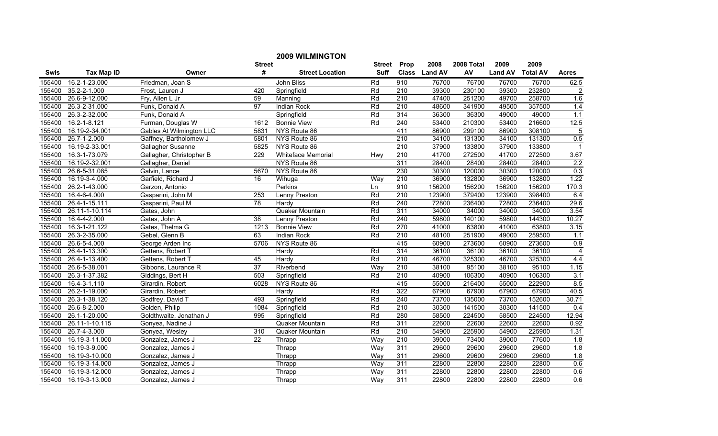|             |                    |                                 |                 | <b>2009 WILMINGTON</b> |             |                  |               |            |                |                 |                  |
|-------------|--------------------|---------------------------------|-----------------|------------------------|-------------|------------------|---------------|------------|----------------|-----------------|------------------|
|             |                    |                                 | <b>Street</b>   |                        | Street      | Prop             | 2008          | 2008 Total | 2009           | 2009            |                  |
| <b>Swis</b> | <b>Tax Map ID</b>  | Owner                           | #               | <b>Street Location</b> | <b>Suff</b> |                  | Class Land AV | AV         | <b>Land AV</b> | <b>Total AV</b> | <b>Acres</b>     |
| 155400      | 16.2-1-23.000      | Friedman, Joan S                |                 | John Bliss             | Rd          | 910              | 76700         | 76700      | 76700          | 76700           | 62.5             |
| 155400      | 35.2-2-1.000       | Frost, Lauren J                 | 420             | Springfield            | Rd          | $\overline{210}$ | 39300         | 230100     | 39300          | 232800          | $\overline{2}$   |
| 155400      | 26.6-9-12.000      | Fry, Allen L Jr                 | 59              | Manning                | Rd          | $\overline{210}$ | 47400         | 251200     | 49700          | 258700          | 1.6              |
| 155400      | 26.3-2-31.000      | Funk, Donald A                  | 97              | <b>Indian Rock</b>     | Rd          | 210              | 48600         | 341900     | 49500          | 357500          | 1.4              |
| 155400      | 26.3-2-32.000      | Funk, Donald A                  |                 | Springfield            | Rd          | 314              | 36300         | 36300      | 49000          | 49000           | 1.1              |
| 155400      | $16.2 - 1 - 8.121$ | Furman, Douglas W               | 1612            | <b>Bonnie View</b>     | Rd          | 240              | 53400         | 210300     | 53400          | 216600          | 12.5             |
| 155400      | 16.19-2-34.001     | <b>Gables At Wilmington LLC</b> | 5831            | NYS Route 86           |             | 411              | 86900         | 299100     | 86900          | 308100          | 5                |
| 155400      | 26.7-1-2.000       | Gaffney, Bartholomew J          | 5801            | NYS Route 86           |             | 210              | 34100         | 131300     | 34100          | 131300          | 0.5              |
| 155400      | 16.19-2-33.001     | Gallagher Susanne               | 5825            | NYS Route 86           |             | $\overline{210}$ | 37900         | 133800     | 37900          | 133800          |                  |
| 155400      | 16.3-1-73.079      | Gallagher, Christopher B        | 229             | Whiteface Memorial     | Hwy         | 210              | 41700         | 272500     | 41700          | 272500          | 3.67             |
| 155400      | 16.19-2-32.001     | Gallagher, Daniel               |                 | NYS Route 86           |             | 311              | 28400         | 28400      | 28400          | 28400           | $\overline{2.2}$ |
| 155400      | 26.6-5-31.085      | Galvin, Lance                   | 5670            | NYS Route 86           |             | 230              | 30300         | 120000     | 30300          | 120000          | 0.3              |
| 155400      | 16.19-3-4.000      | Garfield, Richard J             | 16              | Wihuga                 | Way         | 210              | 36900         | 132800     | 36900          | 132800          | 1.22             |
| 155400      | 26.2-1-43.000      | Garzon, Antonio                 |                 | Perkins                | Ln          | 910              | 156200        | 156200     | 156200         | 156200          | 170.3            |
| 155400      | 16.4-6-4.000       | Gasparini, John M               | 253             | Lenny Preston          | Rd          | 210              | 123900        | 379400     | 123900         | 398400          | 6.4              |
| 155400      | 26.4-1-15.111      | Gasparini, Paul M               | 78              | Hardy                  | Rd          | 240              | 72800         | 236400     | 72800          | 236400          | 29.6             |
| 155400      | 26.11-1-10.114     | Gates, John                     |                 | Quaker Mountain        | Rd          | 311              | 34000         | 34000      | 34000          | 34000           | 3.54             |
| 155400      | 16.4-4-2.000       | Gates, John A                   | 38              | <b>Lenny Preston</b>   | Rd          | 240              | 59800         | 140100     | 59800          | 144300          | 10.27            |
| 155400      | 16.3-1-21.122      | Gates, Thelma G                 | 1213            | <b>Bonnie View</b>     | Rd          | 270              | 41000         | 63800      | 41000          | 63800           | 3.15             |
| 155400      | 26.3-2-35.000      | Gebel, Glenn B                  | 63              | <b>Indian Rock</b>     | Rd          | 210              | 48100         | 251900     | 49000          | 259500          | 1.1              |
| 155400      | 26.6-5-4.000       | George Arden Inc                | 5706            | NYS Route 86           |             | 415              | 60900         | 273600     | 60900          | 273600          | 0.9              |
| 155400      | 26.4-1-13.300      | Gettens, Robert T               |                 | Hardy                  | Rd          | 314              | 36100         | 36100      | 36100          | 36100           | $\overline{4}$   |
| 155400      | 26.4-1-13.400      | Gettens, Robert T               | 45              | Hardy                  | Rd          | 210              | 46700         | 325300     | 46700          | 325300          | 4.4              |
| 155400      | 26.6-5-38.001      | Gibbons, Laurance R             | $\overline{37}$ | Riverbend              | Way         | $\overline{210}$ | 38100         | 95100      | 38100          | 95100           | 1.15             |
| 155400      | 26.3-1-37.382      | Giddings, Bert H                | 503             | Springfield            | Rd          | 210              | 40900         | 106300     | 40900          | 106300          | 3.1              |
| 155400      | 16.4-3-1.110       | Girardin, Robert                | 6028            | NYS Route 86           |             | 415              | 55000         | 216400     | 55000          | 222900          | 8.5              |
| 155400      | 26.2-1-19.000      | Girardin, Robert                |                 | Hardy                  | Rd          | 322              | 67900         | 67900      | 67900          | 67900           | 40.5             |
| 155400      | 26.3-1-38.120      | Godfrey, David T                | 493             | Springfield            | Rd          | 240              | 73700         | 135000     | 73700          | 152600          | 30.71            |
| 155400      | 26.6-8-2.000       | Golden, Philip                  | 1084            | Springfield            | Rd          | 210              | 30300         | 141500     | 30300          | 141500          | 0.4              |
| 155400      | 26.1-1-20.000      | Goldthwaite, Jonathan J         | 995             | Springfield            | Rd          | 280              | 58500         | 224500     | 58500          | 224500          | 12.94            |
| 155400      | 26.11-1-10.115     | Gonyea, Nadine J                |                 | Quaker Mountain        | Rd          | 311              | 22600         | 22600      | 22600          | 22600           | 0.92             |
| 155400      | 26.7-4-3.000       | Gonyea, Wesley                  | 310             | Quaker Mountain        | Rd          | 210              | 54900         | 225900     | 54900          | 225900          | 1.31             |
| 155400      | 16.19-3-11.000     | Gonzalez, James J               | $\overline{22}$ | Thrapp                 | Way         | 210              | 39000         | 73400      | 39000          | 77600           | 1.8              |
| 155400      | 16.19-3-9.000      | Gonzalez, James J               |                 | Thrapp                 | Way         | 311              | 29600         | 29600      | 29600          | 29600           | 1.8              |
| 155400      | 16.19-3-10.000     | Gonzalez, James J               |                 | Thrapp                 | Way         | 311              | 29600         | 29600      | 29600          | 29600           | 1.8              |
| 155400      | 16.19-3-14.000     | Gonzalez, James J               |                 | Thrapp                 | Way         | 311              | 22800         | 22800      | 22800          | 22800           | 0.6              |
| 155400      | 16.19-3-12.000     | Gonzalez, James J               |                 | Thrapp                 | Way         | 311              | 22800         | 22800      | 22800          | 22800           | 0.6              |
| 155400      | 16.19-3-13.000     | Gonzalez, James J               |                 | Thrapp                 | Way         | 311              | 22800         | 22800      | 22800          | 22800           | 0.6              |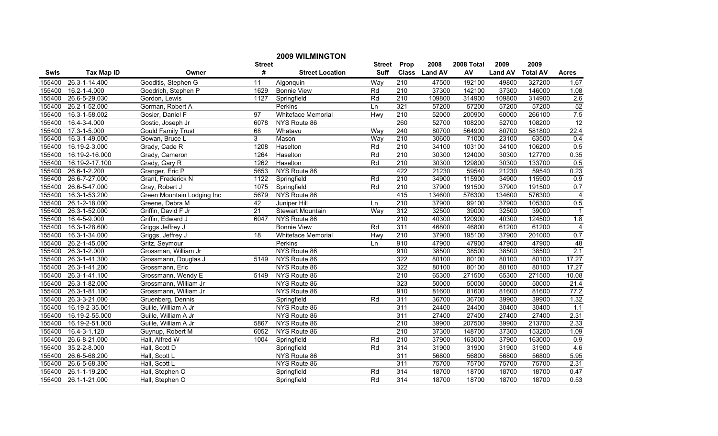|        |                   |                            |                 | <b>2009 WILMINGTON</b>    |                  |                  |               |            |                |                 |                         |
|--------|-------------------|----------------------------|-----------------|---------------------------|------------------|------------------|---------------|------------|----------------|-----------------|-------------------------|
|        |                   |                            | <b>Street</b>   |                           | Street           | Prop             | 2008          | 2008 Total | 2009           | 2009            |                         |
| Swis   | <b>Tax Map ID</b> | Owner                      | #               | <b>Street Location</b>    | <b>Suff</b>      |                  | Class Land AV | AV         | <b>Land AV</b> | <b>Total AV</b> | <b>Acres</b>            |
| 155400 | 26.3-1-14.400     | Gooditis, Stephen G        | 11              | Algonquin                 | Way              | 210              | 47500         | 192100     | 49800          | 327200          | 1.67                    |
| 155400 | 16.2-1-4.000      | Goodrich, Stephen P        | 1629            | <b>Bonnie View</b>        | Rd               | $\overline{210}$ | 37300         | 142100     | 37300          | 146000          | 1.08                    |
| 155400 | 26.6-5-29.030     | Gordon, Lewis              | 1127            | Springfield               | Rd               | 210              | 109800        | 314900     | 109800         | 314900          | 2.6                     |
| 155400 | 26.2-1-52.000     | Gorman, Robert A           |                 | Perkins                   | $\overline{\ln}$ | 321              | 57200         | 57200      | 57200          | 57200           | 52                      |
| 155400 | 16.3-1-58.002     | Gosier, Daniel F           | 97              | <b>Whiteface Memorial</b> | Hwy              | 210              | 52000         | 200900     | 60000          | 266100          | 7.5                     |
| 155400 | 16.4-3-4.000      | Gostic, Joseph Jr          | 6078            | NYS Route 86              |                  | 260              | 52700         | 108200     | 52700          | 108200          | 12                      |
| 155400 | 17.3-1-5.000      | <b>Gould Family Trust</b>  | 68              | Whatavu                   | Way              | 240              | 80700         | 564900     | 80700          | 581800          | 22.4                    |
| 155400 | 16.3-1-49.000     | Gowan, Bruce L             | 3               | Mason                     | Way              | 210              | 30600         | 71000      | 23100          | 63500           | 0.4                     |
| 155400 | 16.19-2-3.000     | Grady, Cade R              | 1208            | Haselton                  | Rd               | $\overline{210}$ | 34100         | 103100     | 34100          | 106200          | 0.5                     |
| 155400 | 16.19-2-16.000    | Grady, Cameron             | 1264            | Haselton                  | Rd               | 210              | 30300         | 124000     | 30300          | 127700          | 0.35                    |
| 155400 | 16.19-2-17.100    | Grady, Gary R              | 1262            | Haselton                  | Rd               | $\overline{210}$ | 30300         | 129800     | 30300          | 133700          | $\overline{0.5}$        |
| 155400 | 26.6-1-2.200      | Granger, Eric P            | 5653            | NYS Route 86              |                  | 422              | 21230         | 59540      | 21230          | 59540           | 0.23                    |
| 155400 | 26.6-7-27.000     | Grant, Frederick N         | 1122            | Springfield               | Rd               | 210              | 34900         | 115900     | 34900          | 115900          | $\overline{0.9}$        |
| 155400 | 26.6-5-47.000     | Gray, Robert J             | 1075            | Springfield               | Rd               | $\overline{210}$ | 37900         | 191500     | 37900          | 191500          | 0.7                     |
| 155400 | 16.3-1-53.200     | Green Mountain Lodging Inc | 5679            | NYS Route 86              |                  | 415              | 134600        | 576300     | 134600         | 576300          | $\overline{4}$          |
| 155400 | 26.1-2-18.000     | Greene, Debra M            | 42              | Juniper Hill              | Ln               | 210              | 37900         | 99100      | 37900          | 105300          | 0.5                     |
| 155400 | 26.3-1-52.000     | Griffin, David F Jr        | $\overline{21}$ | <b>Stewart Mountain</b>   | Way              | 312              | 32500         | 39000      | 32500          | 39000           | $\mathbf{1}$            |
| 155400 | 16.4-5-9.000      | Griffin, Edward J          | 6047            | NYS Route 86              |                  | 210              | 40300         | 120900     | 40300          | 124500          | 1.8                     |
| 155400 | 16.3-1-28.600     | Griggs Jeffrey J           |                 | <b>Bonnie View</b>        | Rd               | 311              | 46800         | 46800      | 61200          | 61200           | $\overline{\mathbf{4}}$ |
| 155400 | 16.3-1-34.000     | Griggs, Jeffrey J          | 18              | <b>Whiteface Memorial</b> | Hwy              | 210              | 37900         | 195100     | 37900          | 201000          | 0.7                     |
| 155400 | 26.2-1-45.000     | Gritz, Seymour             |                 | Perkins                   | Ln               | 910              | 47900         | 47900      | 47900          | 47900           | 48                      |
| 155400 | 26.3-1-2.000      | Grossman, William Jr       |                 | NYS Route 86              |                  | 910              | 38500         | 38500      | 38500          | 38500           | 2.1                     |
| 155400 | 26.3-1-41.300     | Grossmann, Douglas J       | 5149            | NYS Route 86              |                  | 322              | 80100         | 80100      | 80100          | 80100           | 17.27                   |
| 155400 | 26.3-1-41.200     | Grossmann, Eric            |                 | NYS Route 86              |                  | 322              | 80100         | 80100      | 80100          | 80100           | 17.27                   |
| 155400 | 26.3-1-41.100     | Grossmann, Wendy E         | 5149            | NYS Route 86              |                  | 210              | 65300         | 271500     | 65300          | 271500          | 10.08                   |
| 155400 | 26.3-1-82.000     | Grossmann, William Jr      |                 | NYS Route 86              |                  | 323              | 50000         | 50000      | 50000          | 50000           | 21.4                    |
| 155400 | 26.3-1-81.100     | Grossmann, William Jr      |                 | NYS Route 86              |                  | 910              | 81600         | 81600      | 81600          | 81600           | 77.2                    |
| 155400 | 26.3-3-21.000     | Gruenberg, Dennis          |                 | Springfield               | Rd               | 311              | 36700         | 36700      | 39900          | 39900           | 1.32                    |
| 155400 | 16.19-2-35.001    | Guille, William A Jr       |                 | NYS Route 86              |                  | 311              | 24400         | 24400      | 30400          | 30400           | 1.1                     |
| 155400 | 16.19-2-55.000    | Guille, William A Jr       |                 | NYS Route 86              |                  | 311              | 27400         | 27400      | 27400          | 27400           | 2.31                    |
| 155400 | 16.19-2-51.000    | Guille, William A Jr       | 5867            | NYS Route 86              |                  | 210              | 39900         | 207500     | 39900          | 213700          | 2.33                    |
| 155400 | 16.4-3-1.120      | Guynup, Robert M           | 6052            | NYS Route 86              |                  | 210              | 37300         | 148700     | 37300          | 153200          | 1.09                    |
| 155400 | 26.6-8-21.000     | Hall, Alfred W             | 1004            | Springfield               | Rd               | 210              | 37900         | 163000     | 37900          | 163000          | 0.9                     |
| 155400 | 35.2-2-8.000      | Hall, Scott D              |                 | Springfield               | Rd               | 314              | 31900         | 31900      | 31900          | 31900           | 4.6                     |
| 155400 | 26.6-5-68.200     | Hall, Scott L              |                 | NYS Route 86              |                  | 311              | 56800         | 56800      | 56800          | 56800           | 5.95                    |
| 155400 | 26.6-5-68.300     | Hall, Scott L              |                 | NYS Route 86              |                  | 311              | 75700         | 75700      | 75700          | 75700           | 2.31                    |
| 155400 | 26.1-1-19.200     | Hall, Stephen O            |                 | Springfield               | Rd               | 314              | 18700         | 18700      | 18700          | 18700           | 0.47                    |
| 155400 | 26.1-1-21.000     | Hall, Stephen O            |                 | Springfield               | Rd               | 314              | 18700         | 18700      | 18700          | 18700           | 0.53                    |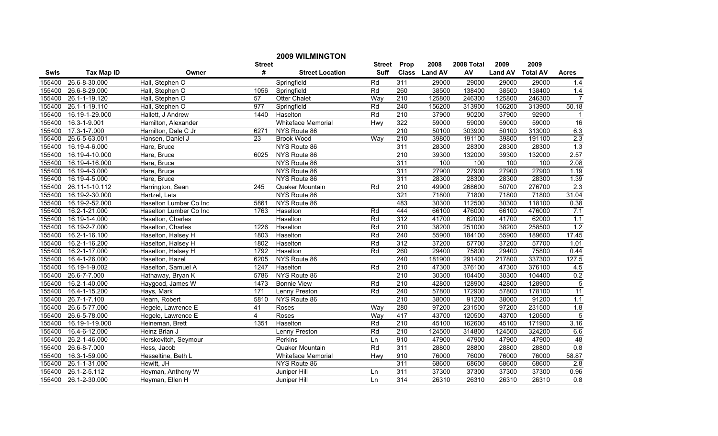|        |                   |                        |               | <b>2009 WILMINGTON</b>    |             |                  |               |            |                |                 |                  |
|--------|-------------------|------------------------|---------------|---------------------------|-------------|------------------|---------------|------------|----------------|-----------------|------------------|
|        |                   |                        | <b>Street</b> |                           | Street      | Prop             | 2008          | 2008 Total | 2009           | 2009            |                  |
| Swis   | <b>Tax Map ID</b> | Owner                  | #             | <b>Street Location</b>    | <b>Suff</b> |                  | Class Land AV | AV         | <b>Land AV</b> | <b>Total AV</b> | <b>Acres</b>     |
| 155400 | 26.6-8-30.000     | Hall, Stephen O        |               | Springfield               | Rd          | 311              | 29000         | 29000      | 29000          | 29000           | 1.4              |
| 155400 | 26.6-8-29.000     | Hall, Stephen O        | 1056          | Springfield               | Rd          | 260              | 38500         | 138400     | 38500          | 138400          | 1.4              |
| 155400 | 26.1-1-19.120     | Hall, Stephen O        | 57            | <b>Otter Chalet</b>       | Way         | $\overline{210}$ | 125800        | 246300     | 125800         | 246300          | $\overline{7}$   |
| 155400 | 26.1-1-19.110     | Hall, Stephen O        | 977           | Springfield               | Rd          | 240              | 156200        | 313900     | 156200         | 313900          | 50.18            |
| 155400 | 16.19-1-29.000    | Hallett, J Andrew      | 1440          | Haselton                  | Rd          | 210              | 37900         | 90200      | 37900          | 92900           | $\mathbf 1$      |
| 155400 | 16.3-1-9.001      | Hamilton, Alexander    |               | <b>Whiteface Memorial</b> | <b>Hwy</b>  | 322              | 59000         | 59000      | 59000          | 59000           | 16               |
| 155400 | 17.3-1-7.000      | Hamilton, Dale C Jr    | 6271          | NYS Route 86              |             | 210              | 50100         | 303900     | 50100          | 313000          | 6.3              |
| 155400 | 26.6-5-63.001     | Hansen, Daniel J       | 23            | <b>Brook Wood</b>         | Way         | 210              | 39800         | 191100     | 39800          | 191100          | 2.3              |
| 155400 | 16.19-4-6.000     | Hare, Bruce            |               | NYS Route 86              |             | 311              | 28300         | 28300      | 28300          | 28300           | 1.3              |
| 155400 | 16.19-4-10.000    | Hare, Bruce            | 6025          | NYS Route 86              |             | 210              | 39300         | 132000     | 39300          | 132000          | 2.57             |
| 155400 | 16.19-4-16.000    | Hare, Bruce            |               | NYS Route 86              |             | 311              | 100           | 100        | 100            | 100             | 2.08             |
| 155400 | 16.19-4-3.000     | Hare, Bruce            |               | NYS Route 86              |             | $\overline{311}$ | 27900         | 27900      | 27900          | 27900           | 1.19             |
| 155400 | 16.19-4-5.000     | Hare, Bruce            |               | NYS Route 86              |             | 311              | 28300         | 28300      | 28300          | 28300           | 1.39             |
| 155400 | 26.11-1-10.112    | Harrington, Sean       | 245           | Quaker Mountain           | Rd          | $\overline{210}$ | 49900         | 268600     | 50700          | 276700          | 2.3              |
| 155400 | 16.19-2-30.000    | Hartzel, Leta          |               | NYS Route 86              |             | 321              | 71800         | 71800      | 71800          | 71800           | 31.04            |
| 155400 | 16.19-2-52.000    | Haselton Lumber Co Inc | 5861          | NYS Route 86              |             | 483              | 30300         | 112500     | 30300          | 118100          | 0.38             |
| 155400 | 16.2-1-21.000     | Haselton Lumber Co Inc | 1763          | Haselton                  | Rd          | 444              | 66100         | 476000     | 66100          | 476000          | 7.1              |
| 155400 | 16.19-1-4.000     | Haselton, Charles      |               | Haselton                  | Rd          | 312              | 41700         | 62000      | 41700          | 62000           | 1.1              |
| 155400 | 16.19-2-7.000     | Haselton, Charles      | 1226          | Haselton                  | Rd          | 210              | 38200         | 251000     | 38200          | 258500          | 1.2              |
| 155400 | 16.2-1-16.100     | Haselton, Halsey H     | 1803          | Haselton                  | Rd          | 240              | 55900         | 184100     | 55900          | 189600          | 17.45            |
| 155400 | 16.2-1-16.200     | Haselton, Halsey H     | 1802          | Haselton                  | Rd          | 312              | 37200         | 57700      | 37200          | 57700           | 1.01             |
| 155400 | 16.2-1-17.000     | Haselton, Halsey H     | 1792          | Haselton                  | Rd          | 260              | 29400         | 75800      | 29400          | 75800           | 0.44             |
| 155400 | 16.4-1-26.000     | Haselton, Hazel        | 6205          | NYS Route 86              |             | 240              | 181900        | 291400     | 217800         | 337300          | 127.5            |
| 155400 | 16.19-1-9.002     | Haselton, Samuel A     | 1247          | Haselton                  | Rd          | $\overline{210}$ | 47300         | 376100     | 47300          | 376100          | 4.5              |
| 155400 | 26.6-7-7.000      | Hathaway, Bryan K      | 5786          | NYS Route 86              |             | $\overline{210}$ | 30300         | 104400     | 30300          | 104400          | 0.2              |
| 155400 | 16.2-1-40.000     | Haygood, James W       | 1473          | <b>Bonnie View</b>        | Rd          | 210              | 42800         | 128900     | 42800          | 128900          | $\overline{5}$   |
| 155400 | 16.4-1-15.200     | Hays, Mark             | 171           | Lenny Preston             | Rd          | 240              | 57800         | 172900     | 57800          | 178100          | 11               |
| 155400 | 26.7-1-7.100      | Hearn, Robert          | 5810          | NYS Route 86              |             | 210              | 38000         | 91200      | 38000          | 91200           | 1.1              |
| 155400 | 26.6-5-77.000     | Hegele, Lawrence E     | 41            | Roses                     | Way         | 280              | 97200         | 231500     | 97200          | 231500          | 1.8              |
| 155400 | 26.6-5-78.000     | Hegele, Lawrence E     | 4             | Roses                     | Way         | 417              | 43700         | 120500     | 43700          | 120500          | $\overline{5}$   |
| 155400 | 16.19-1-19.000    | Heineman, Brett        | 1351          | Haselton                  | Rd          | 210              | 45100         | 162600     | 45100          | 171900          | 3.16             |
| 155400 | 16.4-6-12.000     | Heinz Brian J          |               | <b>Lenny Preston</b>      | Rd          | 210              | 124500        | 314800     | 124500         | 324200          | 6.6              |
| 155400 | 26.2-1-46.000     | Herskovitch, Seymour   |               | Perkins                   | Ln          | 910              | 47900         | 47900      | 47900          | 47900           | 48               |
| 155400 | 26.6-8-7.000      | Hess, Jacob            |               | Quaker Mountain           | Rd          | 311              | 28800         | 28800      | 28800          | 28800           | 0.8              |
| 155400 | 16.3-1-59.000     | Hesseltine, Beth L     |               | Whiteface Memorial        | Hwy         | 910              | 76000         | 76000      | 76000          | 76000           | 58.87            |
| 155400 | 26.1-1-31.000     | Hewitt, JH             |               | NYS Route 86              |             | 311              | 68600         | 68600      | 68600          | 68600           | $\overline{2.8}$ |
| 155400 | 26.1-2-5.112      | Heyman, Anthony W      |               | Juniper Hill              | Ln          | 311              | 37300         | 37300      | 37300          | 37300           | 0.96             |
| 155400 | 26.1-2-30.000     | Heyman, Ellen H        |               | Juniper Hill              | Ln          | 314              | 26310         | 26310      | 26310          | 26310           | $\overline{0.8}$ |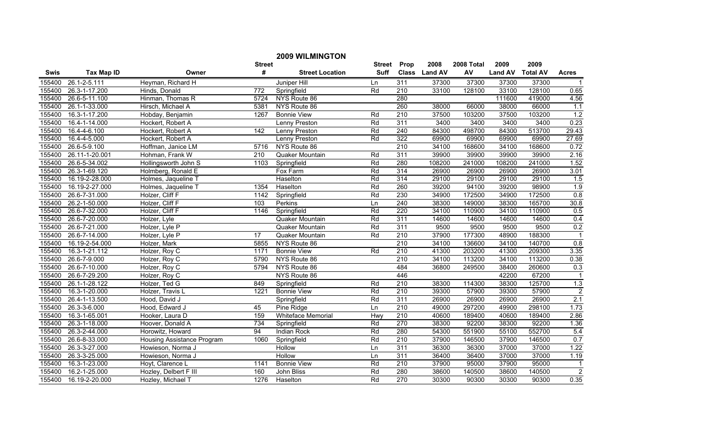|        |                   |                            |                  | <b>2009 WILMINGTON</b> |               |                  |               |            |                |                 |                |
|--------|-------------------|----------------------------|------------------|------------------------|---------------|------------------|---------------|------------|----------------|-----------------|----------------|
|        |                   |                            | <b>Street</b>    |                        | <b>Street</b> | Prop             | 2008          | 2008 Total | 2009           | 2009            |                |
| Swis   | <b>Tax Map ID</b> | Owner                      | #                | <b>Street Location</b> | <b>Suff</b>   |                  | Class Land AV | AV         | <b>Land AV</b> | <b>Total AV</b> | <b>Acres</b>   |
| 155400 | 26.1-2-5.111      | Heyman, Richard H          |                  | Juniper Hill           | Ln            | 311              | 37300         | 37300      | 37300          | 37300           | $\mathbf{1}$   |
| 155400 | 26.3-1-17.200     | Hinds, Donald              | $\overline{772}$ | Springfield            | Rd            | $\overline{210}$ | 33100         | 128100     | 33100          | 128100          | 0.65           |
| 155400 | 26.6-5-11.100     | Hinman, Thomas R           | 5724             | NYS Route 86           |               | 280              |               |            | 111600         | 419000          | 4.56           |
| 155400 | 26.1-1-33.000     | Hirsch, Michael A          | 5381             | NYS Route 86           |               | 260              | 38000         | 66000      | 38000          | 66000           | 1.1            |
| 155400 | 16.3-1-17.200     | Hobday, Benjamin           | 1267             | <b>Bonnie View</b>     | Rd            | 210              | 37500         | 103200     | 37500          | 103200          | 1.2            |
| 155400 | 16.4-1-14.000     | Hockert, Robert A          |                  | <b>Lenny Preston</b>   | Rd            | 311              | 3400          | 3400       | 3400           | 3400            | 0.23           |
| 155400 | 16.4-4-6.100      | Hockert, Robert A          | 142              | <b>Lenny Preston</b>   | Rd            | 240              | 84300         | 498700     | 84300          | 513700          | 29.43          |
| 155400 | 16.4-4-5.000      | Hockert, Robert A          |                  | <b>Lenny Preston</b>   | Rd            | 322              | 69900         | 69900      | 69900          | 69900           | 27.69          |
| 155400 | 26.6-5-9.100      | Hoffman, Janice LM         | 5716             | NYS Route 86           |               | $\overline{210}$ | 34100         | 168600     | 34100          | 168600          | 0.72           |
| 155400 | 26.11-1-20.001    | Hohman, Frank W            | 210              | Quaker Mountain        | Rd            | 311              | 39900         | 39900      | 39900          | 39900           | 2.16           |
| 155400 | 26.6-5-34.002     | Hollingsworth John S       | 1103             | Springfield            | Rd            | 280              | 108200        | 241000     | 108200         | 241000          | 1.52           |
| 155400 | 26.3-1-69.120     | Holmberg, Ronald E         |                  | Fox Farm               | Rd            | 314              | 26900         | 26900      | 26900          | 26900           | 3.01           |
| 155400 | 16.19-2-28.000    | Holmes, Jaqueline T        |                  | Haselton               | Rd            | 314              | 29100         | 29100      | 29100          | 29100           | 1.5            |
| 155400 | 16.19-2-27.000    | Holmes, Jaqueline T        | 1354             | Haselton               | Rd            | 260              | 39200         | 94100      | 39200          | 98900           | 1.9            |
| 155400 | 26.6-7-31.000     | Holzer, Cliff F            | 1142             | Springfield            | Rd            | 230              | 34900         | 172500     | 34900          | 172500          | 0.8            |
| 155400 | 26.2-1-50.000     | Holzer, Cliff F            | 103              | Perkins                | Ln            | 240              | 38300         | 149000     | 38300          | 165700          | 30.8           |
| 155400 | 26.6-7-32.000     | Holzer, Cliff F            | 1146             | Springfield            | Rd            | 220              | 34100         | 110900     | 34100          | 110900          | 0.5            |
| 155400 | 26.6-7-20.000     | Holzer, Lyle               |                  | Quaker Mountain        | Rd            | 311              | 14600         | 14600      | 14600          | 14600           | 0.4            |
| 155400 | 26.6-7-21.000     | Holzer, Lyle P             |                  | Quaker Mountain        | Rd            | 311              | 9500          | 9500       | 9500           | 9500            | 0.2            |
| 155400 | 26.6-7-14.000     | Holzer, Lyle P             | 17               | Quaker Mountain        | Rd            | 210              | 37900         | 177300     | 48900          | 188300          |                |
| 155400 | 16.19-2-54.000    | Holzer, Mark               | 5855             | NYS Route 86           |               | 210              | 34100         | 136600     | 34100          | 140700          | 0.8            |
| 155400 | 16.3-1-21.112     | Holzer, Roy C              | 1171             | <b>Bonnie View</b>     | Rd            | 210              | 41300         | 203200     | 41300          | 209300          | 3.35           |
| 155400 | 26.6-7-9.000      | Holzer, Roy C              | 5790             | NYS Route 86           |               | 210              | 34100         | 113200     | 34100          | 113200          | 0.38           |
| 155400 | 26.6-7-10.000     | Holzer, Roy C              | 5794             | NYS Route 86           |               | 484              | 36800         | 249500     | 38400          | 260600          | 0.3            |
| 155400 | 26.6-7-29.200     | Holzer, Roy C              |                  | NYS Route 86           |               | 446              |               |            | 42200          | 67200           | $\mathbf 1$    |
| 155400 | 26.1-1-28.122     | Holzer, Ted G              | 849              | Springfield            | Rd            | 210              | 38300         | 114300     | 38300          | 125700          | 1.3            |
| 155400 | 16.3-1-20.000     | Holzer, Travis L           | 1221             | <b>Bonnie View</b>     | Rd            | 210              | 39300         | 57900      | 39300          | 57900           | $\overline{2}$ |
| 155400 | 26.4-1-13.500     | Hood, David J              |                  | Springfield            | Rd            | 311              | 26900         | 26900      | 26900          | 26900           | 2.1            |
| 155400 | 26.3-3-6.000      | Hood, Edward J             | 45               | Pine Ridge             | Ln            | 210              | 49000         | 297200     | 49900          | 298100          | 1.73           |
| 155400 | 16.3-1-65.001     | Hooker, Laura D            | 159              | Whiteface Memorial     | Hwy           | $\overline{210}$ | 40600         | 189400     | 40600          | 189400          | 2.86           |
| 155400 | 26.3-1-18.000     | Hoover, Donald A           | 734              | Springfield            | Rd            | 270              | 38300         | 92200      | 38300          | 92200           | 1.36           |
| 155400 | 26.3-2-44.000     | Horowitz, Howard           | 94               | <b>Indian Rock</b>     | Rd            | 280              | 54300         | 551900     | 55100          | 552700          | 5.4            |
| 155400 | 26.6-8-33.000     | Housing Assistance Program | 1060             | Springfield            | Rd            | 210              | 37900         | 146500     | 37900          | 146500          | 0.7            |
| 155400 | 26.3-3-27.000     | Howieson, Norma J          |                  | Hollow                 | Ln            | 311              | 36300         | 36300      | 37000          | 37000           | 1.22           |
| 155400 | 26.3-3-25.000     | Howieson, Norma J          |                  | Hollow                 | Ln            | 311              | 36400         | 36400      | 37000          | 37000           | 1.19           |
| 155400 | 16.3-1-23.000     | Hoyt, Clarence L           | 1141             | <b>Bonnie View</b>     | Rd            | 210              | 37900         | 95000      | 37900          | 95000           | $\mathbf{1}$   |
| 155400 | 16.2-1-25.000     | Hozley, Delbert F III      | 160              | John Bliss             | Rd            | 280              | 38600         | 140500     | 38600          | 140500          | $\overline{2}$ |
| 155400 | 16.19-2-20.000    | Hozley, Michael T          | 1276             | Haselton               | Rd            | 270              | 30300         | 90300      | 30300          | 90300           | 0.35           |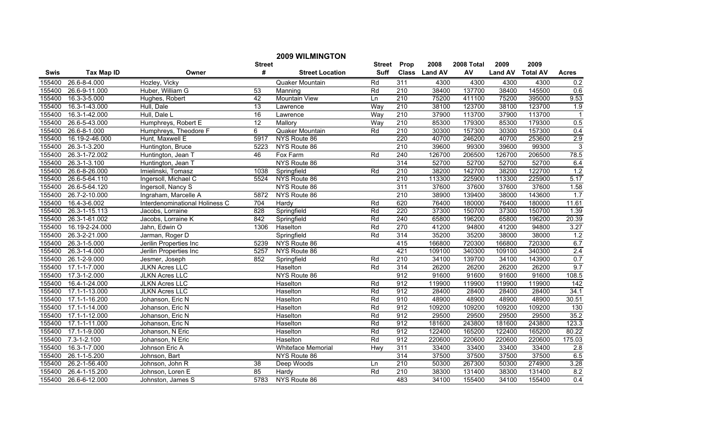|        |                   |                                |                 | <b>2009 WILMINGTON</b>    |             |                  |               |            |                |                 |                         |
|--------|-------------------|--------------------------------|-----------------|---------------------------|-------------|------------------|---------------|------------|----------------|-----------------|-------------------------|
|        |                   |                                | <b>Street</b>   |                           | Street      | Prop             | 2008          | 2008 Total | 2009           | 2009            |                         |
| Swis   | <b>Tax Map ID</b> | Owner                          | #               | <b>Street Location</b>    | <b>Suff</b> |                  | Class Land AV | AV         | <b>Land AV</b> | <b>Total AV</b> | <b>Acres</b>            |
| 155400 | 26.6-8-4.000      | Hozley, Vicky                  |                 | Quaker Mountain           | Rd          | $\overline{311}$ | 4300          | 4300       | 4300           | 4300            | 0.2                     |
| 155400 | 26.6-9-11.000     | Huber, William G               | $\overline{53}$ | Manning                   | Rd          | $\overline{210}$ | 38400         | 137700     | 38400          | 145500          | 0.6                     |
| 155400 | 16.3-3-5.000      | Hughes, Robert                 | 42              | <b>Mountain View</b>      | Ln          | 210              | 75200         | 411100     | 75200          | 395000          | 9.53                    |
| 155400 | 16.3-1-43.000     | Hull, Dale                     | 13              | Lawrence                  | Way         | 210              | 38100         | 123700     | 38100          | 123700          | 1.9                     |
| 155400 | 16.3-1-42.000     | Hull, Dale L                   | 16              | Lawrence                  | Way         | 210              | 37900         | 113700     | 37900          | 113700          | $\overline{\mathbf{1}}$ |
| 155400 | 26.6-5-43.000     | Humphreys, Robert E            | 12              | Mallory                   | Way         | 210              | 85300         | 179300     | 85300          | 179300          | 0.5                     |
| 155400 | 26.6-8-1.000      | Humphreys, Theodore F          | 6               | Quaker Mountain           | Rd          | 210              | 30300         | 157300     | 30300          | 157300          | 0.4                     |
| 155400 | 16.19-2-46.000    | Hunt, Maxwell E                | 5917            | NYS Route 86              |             | 220              | 40700         | 246200     | 40700          | 253600          | 2.9                     |
| 155400 | 26.3-1-3.200      | Huntington, Bruce              | 5223            | NYS Route 86              |             | $\overline{210}$ | 39600         | 99300      | 39600          | 99300           | $\overline{3}$          |
| 155400 | 26.3-1-72.002     | Huntington, Jean T             | 46              | Fox Farm                  | Rd          | 240              | 126700        | 206500     | 126700         | 206500          | 78.5                    |
| 155400 | 26.3-1-3.100      | Huntington, Jean T             |                 | NYS Route 86              |             | 314              | 52700         | 52700      | 52700          | 52700           | 6.4                     |
| 155400 | 26.6-8-26.000     | Imielinski, Tomasz             | 1038            | Springfield               | Rd          | $\overline{210}$ | 38200         | 142700     | 38200          | 122700          | 1.2                     |
| 155400 | 26.6-5-64.110     | Ingersoll, Michael C           | 5524            | NYS Route 86              |             | 210              | 113300        | 225900     | 113300         | 225900          | 5.17                    |
| 155400 | 26.6-5-64.120     | Ingersoll, Nancy S             |                 | NYS Route 86              |             | 311              | 37600         | 37600      | 37600          | 37600           | 1.58                    |
| 155400 | 26.7-2-10.000     | Ingraham, Marcelle A           | 5872            | NYS Route 86              |             | $\overline{210}$ | 38900         | 139400     | 38000          | 143600          | 1.7                     |
| 155400 | 16.4-3-6.002      | Interdenominational Holiness C | 704             | Hardy                     | Rd          | 620              | 76400         | 180000     | 76400          | 180000          | 11.61                   |
| 155400 | 26.3-1-15.113     | Jacobs, Lorraine               | 828             | Springfield               | Rd          | 220              | 37300         | 150700     | 37300          | 150700          | 1.39                    |
| 155400 | 26.3-1-61.002     | Jacobs, Lorraine K             | 842             | Springfield               | Rd          | 240              | 65800         | 196200     | 65800          | 196200          | 20.39                   |
| 155400 | 16.19-2-24.000    | Jahn, Edwin O                  | 1306            | Haselton                  | Rd          | 270              | 41200         | 94800      | 41200          | 94800           | 3.27                    |
| 155400 | 26.3-2-21.000     | Jarman, Roger D                |                 | Springfield               | Rd          | 314              | 35200         | 35200      | 38000          | 38000           | 1.2                     |
| 155400 | 26.3-1-5.000      | Jerilin Properties Inc         | 5239            | NYS Route 86              |             | 415              | 166800        | 720300     | 166800         | 720300          | 6.7                     |
| 155400 | 26.3-1-4.000      | Jerilin Properties Inc         | 5257            | NYS Route 86              |             | 421              | 109100        | 340300     | 109100         | 340300          | 2.4                     |
| 155400 | 26.1-2-9.000      | Jesmer, Joseph                 | 852             | Springfield               | Rd          | $\overline{210}$ | 34100         | 139700     | 34100          | 143900          | 0.7                     |
| 155400 | 17.1-1-7.000      | <b>JLKN Acres LLC</b>          |                 | Haselton                  | Rd          | 314              | 26200         | 26200      | 26200          | 26200           | 9.7                     |
| 155400 | 17.3-1-2.000      | <b>JLKN Acres LLC</b>          |                 | NYS Route 86              |             | 912              | 91600         | 91600      | 91600          | 91600           | 108.5                   |
| 155400 | 16.4-1-24.000     | <b>JLKN Acres LLC</b>          |                 | Haselton                  | Rd          | 912              | 119900        | 119900     | 119900         | 119900          | $\overline{142}$        |
| 155400 | 17.1-1-13.000     | <b>JLKN Acres LLC</b>          |                 | Haselton                  | Rd          | 912              | 28400         | 28400      | 28400          | 28400           | 34.1                    |
| 155400 | 17.1-1-16.200     | Johanson, Eric N               |                 | Haselton                  | Rd          | 910              | 48900         | 48900      | 48900          | 48900           | 30.51                   |
| 155400 | 17.1-1-14.000     | Johanson, Eric N               |                 | Haselton                  | Rd          | 912              | 109200        | 109200     | 109200         | 109200          | 130                     |
| 155400 | 17.1-1-12.000     | Johanson, Eric N               |                 | Haselton                  | Rd          | 912              | 29500         | 29500      | 29500          | 29500           | 35.2                    |
| 155400 | 17.1-1-11.000     | Johanson, Eric N               |                 | Haselton                  | Rd          | 912              | 181600        | 243800     | 181600         | 243800          | 123.3                   |
| 155400 | 17.1-1-9.000      | Johanson, N Eric               |                 | Haselton                  | Rd          | 912              | 122400        | 165200     | 122400         | 165200          | 80.22                   |
| 155400 | $7.3 - 1 - 2.100$ | Johanson, N Eric               |                 | Haselton                  | Rd          | 912              | 220600        | 220600     | 220600         | 220600          | 175.03                  |
| 155400 | 16.3-1-7.000      | Johnson Eric A                 |                 | <b>Whiteface Memorial</b> | Hwy         | 311              | 33400         | 33400      | 33400          | 33400           | 2.8                     |
| 155400 | 26.1-1-5.200      | Johnson, Bart                  |                 | NYS Route 86              |             | 314              | 37500         | 37500      | 37500          | 37500           | 6.5                     |
| 155400 | 26.2-1-56.400     | Johnson, John R                | 38              | Deep Woods                | Ln          | 210              | 50300         | 267300     | 50300          | 274900          | 3.28                    |
| 155400 | 26.4-1-15.200     | Johnson, Loren E               | 85              | Hardy                     | Rd          | $\overline{210}$ | 38300         | 131400     | 38300          | 131400          | 8.2                     |
| 155400 | 26.6-6-12.000     | Johnston, James S              | 5783            | NYS Route 86              |             | 483              | 34100         | 155400     | 34100          | 155400          | 0.4                     |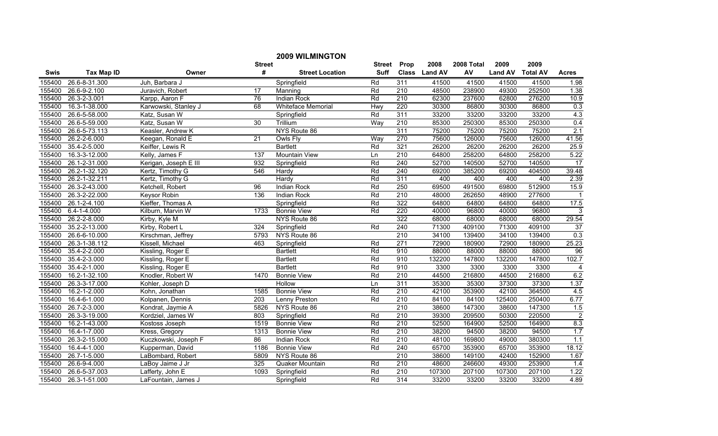|        | <b>2009 WILMINGTON</b> |                       |                  |                           |               |                  |               |            |                |                 |                 |
|--------|------------------------|-----------------------|------------------|---------------------------|---------------|------------------|---------------|------------|----------------|-----------------|-----------------|
|        |                        |                       | <b>Street</b>    |                           | <b>Street</b> | Prop             | 2008          | 2008 Total | 2009           | 2009            |                 |
| Swis   | <b>Tax Map ID</b>      | Owner                 | #                | <b>Street Location</b>    | <b>Suff</b>   |                  | Class Land AV | AV         | <b>Land AV</b> | <b>Total AV</b> | <b>Acres</b>    |
| 155400 | 26.6-8-31.300          | Juh, Barbara J        |                  | Springfield               | Rd            | 311              | 41500         | 41500      | 41500          | 41500           | 1.98            |
| 155400 | 26.6-9-2.100           | Juravich, Robert      | $\overline{17}$  | Manning                   | Rd            | $\overline{210}$ | 48500         | 238900     | 49300          | 252500          | 1.38            |
| 155400 | 26.3-2-3.001           | Karpp, Aaron F        | 76               | <b>Indian Rock</b>        | Rd            | 210              | 62300         | 237600     | 62800          | 276200          | 10.9            |
| 155400 | 16.3-1-38.000          | Karwowski, Stanley J  | 68               | <b>Whiteface Memorial</b> | Hwy           | 220              | 30300         | 86800      | 30300          | 86800           | 0.3             |
| 155400 | 26.6-5-58.000          | Katz, Susan W         |                  | Springfield               | Rd            | 311              | 33200         | 33200      | 33200          | 33200           | 4.3             |
| 155400 | 26.6-5-59.000          | Katz, Susan W         | 30               | Trillium                  | Way           | 210              | 85300         | 250300     | 85300          | 250300          | 0.4             |
| 155400 | 26.6-5-73.113          | Keasler, Andrew K     |                  | NYS Route 86              |               | 311              | 75200         | 75200      | 75200          | 75200           | 2.1             |
| 155400 | 26.2-2-6.000           | Keegan, Ronald E      | $\overline{21}$  | <b>Owls Fly</b>           | Way           | 270              | 75600         | 126000     | 75600          | 126000          | 41.56           |
| 155400 | 35.4-2-5.000           | Keiffer, Lewis R      |                  | <b>Bartlett</b>           | Rd            | 321              | 26200         | 26200      | 26200          | 26200           | 25.9            |
| 155400 | 16.3-3-12.000          | Kelly, James F        | $\overline{137}$ | Mountain View             | Ln            | 210              | 64800         | 258200     | 64800          | 258200          | 5.22            |
| 155400 | 26.1-2-31.000          | Kerigan, Joseph E III | 932              | Springfield               | Rd            | 240              | 52700         | 140500     | 52700          | 140500          | $\overline{17}$ |
| 155400 | 26.2-1-32.120          | Kertz, Timothy G      | 546              | Hardy                     | Rd            | 240              | 69200         | 385200     | 69200          | 404500          | 39.48           |
| 155400 | 26.2-1-32.211          | Kertz, Timothy G      |                  | Hardy                     | Rd            | 311              | 400           | 400        | 400            | 400             | 2.39            |
| 155400 | 26.3-2-43.000          | Ketchell, Robert      | 96               | <b>Indian Rock</b>        | Rd            | 250              | 69500         | 491500     | 69800          | 512900          | 15.9            |
| 155400 | 26.3-2-22.000          | Keysor Robin          | 136              | Indian Rock               | Rd            | 210              | 48000         | 262650     | 48900          | 277600          | -1              |
| 155400 | 26.1-2-4.100           | Kieffer, Thomas A     |                  | Springfield               | Rd            | 322              | 64800         | 64800      | 64800          | 64800           | 17.5            |
| 155400 | $6.4 - 1 - 4.000$      | Kilburn, Marvin W     | 1733             | <b>Bonnie View</b>        | Rd            | 220              | 40000         | 96800      | 40000          | 96800           | 3               |
| 155400 | 26.2-2-8.000           | Kirby, Kyle M         |                  | NYS Route 86              |               | 322              | 68000         | 68000      | 68000          | 68000           | 29.54           |
| 155400 | 35.2-2-13.000          | Kirby, Robert L       | 324              | Springfield               | Rd            | 240              | 71300         | 409100     | 71300          | 409100          | 37              |
| 155400 | 26.6-6-10.000          | Kirschman, Jeffrey    | 5793             | NYS Route 86              |               | 210              | 34100         | 139400     | 34100          | 139400          | 0.3             |
| 155400 | 26.3-1-38.112          | Kissell, Michael      | 463              | Springfield               | Rd            | $\overline{271}$ | 72900         | 180900     | 72900          | 180900          | 25.23           |
| 155400 | 35.4-2-2.000           | Kissling, Roger E     |                  | <b>Bartlett</b>           | Rd            | 910              | 88000         | 88000      | 88000          | 88000           | 96              |
| 155400 | 35.4-2-3.000           | Kissling, Roger E     |                  | <b>Bartlett</b>           | Rd            | 910              | 132200        | 147800     | 132200         | 147800          | 102.7           |
| 155400 | 35.4-2-1.000           | Kissling, Roger E     |                  | <b>Bartlett</b>           | Rd            | 910              | 3300          | 3300       | 3300           | 3300            | $\overline{4}$  |
| 155400 | 16.2-1-32.100          | Knodler, Robert W     | 1470             | <b>Bonnie View</b>        | Rd            | $\overline{210}$ | 44500         | 216800     | 44500          | 216800          | 6.2             |
| 155400 | 26.3-3-17.000          | Kohler, Joseph D      |                  | Hollow                    | Ln            | 311              | 35300         | 35300      | 37300          | 37300           | 1.37            |
| 155400 | 16.2-1-2.000           | Kohn, Jonathan        | 1585             | <b>Bonnie View</b>        | Rd            | 210              | 42100         | 353900     | 42100          | 364500          | 4.5             |
| 155400 | 16.4-6-1.000           | Kolpanen, Dennis      | $\overline{203}$ | <b>Lenny Preston</b>      | Rd            | 210              | 84100         | 84100      | 125400         | 250400          | 6.77            |
| 155400 | 26.7-2-3.000           | Kondrat, Jaymie A     | 5826             | NYS Route 86              |               | 210              | 38600         | 147300     | 38600          | 147300          | 1.5             |
| 155400 | 26.3-3-19.000          | Kordziel, James W     | 803              | Springfield               | Rd            | 210              | 39300         | 209500     | 50300          | 220500          | $\overline{2}$  |
| 155400 | 16.2-1-43.000          | Kostoss Joseph        | 1519             | <b>Bonnie View</b>        | Rd            | 210              | 52500         | 164900     | 52500          | 164900          | 8.3             |
| 155400 | 16.4-1-7.000           | Kress, Gregory        | 1313             | <b>Bonnie View</b>        | Rd            | 210              | 38200         | 94500      | 38200          | 94500           | 1.7             |
| 155400 | 26.3-2-15.000          | Kuczkowski, Joseph F  | 86               | <b>Indian Rock</b>        | Rd            | 210              | 48100         | 169800     | 49000          | 380300          | 1.1             |
| 155400 | 16.4-4-1.000           | Kupperman, David      | 1186             | <b>Bonnie View</b>        | Rd            | $\overline{240}$ | 65700         | 353900     | 65700          | 353900          | 18.12           |
| 155400 | 26.7-1-5.000           | LaBombard, Robert     | 5809             | NYS Route 86              |               | 210              | 38600         | 149100     | 42400          | 152900          | 1.67            |
| 155400 | 26.6-9-4.000           | LaBoy Jaime J Jr      | 325              | Quaker Mountain           | Rd            | 210              | 48600         | 246600     | 49300          | 253900          | 1.4             |
| 155400 | 26.6-5-37.003          | Lafferty, John E      | 1093             | Springfield               | Rd            | 210              | 107300        | 207100     | 107300         | 207100          | 1.22            |
| 155400 | 26.3-1-51.000          | LaFountain, James J   |                  | Springfield               | Rd            | 314              | 33200         | 33200      | 33200          | 33200           | 4.89            |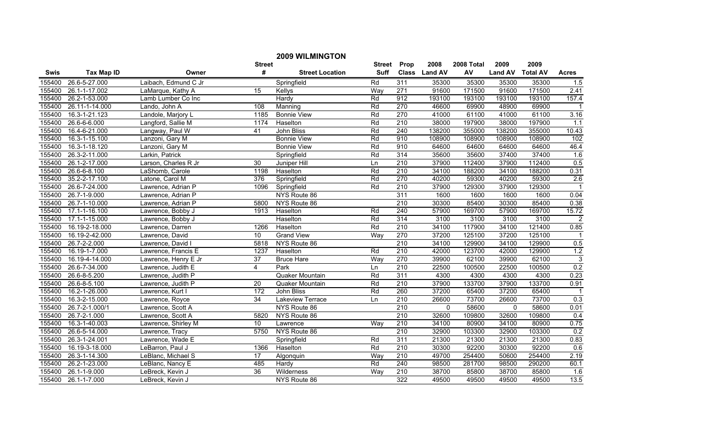|        |                   |                      |                  | <b>2009 WILMINGTON</b> |        |                  |               |            |                |                 |                  |
|--------|-------------------|----------------------|------------------|------------------------|--------|------------------|---------------|------------|----------------|-----------------|------------------|
|        |                   |                      | <b>Street</b>    |                        | Street | Prop             | 2008          | 2008 Total | 2009           | 2009            |                  |
| Swis   | <b>Tax Map ID</b> | Owner                | #                | <b>Street Location</b> | Suff   |                  | Class Land AV | AV         | <b>Land AV</b> | <b>Total AV</b> | <b>Acres</b>     |
| 155400 | 26.6-5-27.000     | Laibach, Edmund C Jr |                  | Springfield            | Rd     | 311              | 35300         | 35300      | 35300          | 35300           | 1.5              |
| 155400 | 26.1-1-17.002     | LaMarque, Kathy A    | $\overline{15}$  | Kellys                 | Way    | $\overline{271}$ | 91600         | 171500     | 91600          | 171500          | 2.41             |
| 155400 | 26.2-1-53.000     | Lamb Lumber Co Inc   |                  | Hardy                  | Rd     | 912              | 193100        | 193100     | 193100         | 193100          | 157.4            |
| 155400 | 26.11-1-14.000    | Lando, John A        | 108              | Manning                | Rd     | 270              | 46600         | 69900      | 48900          | 69900           | $\overline{1}$   |
| 155400 | 16.3-1-21.123     | Landole, Marjory L   | 1185             | <b>Bonnie View</b>     | Rd     | 270              | 41000         | 61100      | 41000          | 61100           | 3.16             |
| 155400 | 26.6-6-6.000      | Langford, Sallie M   | 1174             | Haselton               | Rd     | 210              | 38000         | 197900     | 38000          | 197900          | 1.1              |
| 155400 | 16.4-6-21.000     | Langway, Paul W      | 41               | John Bliss             | Rd     | 240              | 138200        | 355000     | 138200         | 355000          | 10.43            |
| 155400 | 16.3-1-15.100     | Lanzoni, Gary M      |                  | <b>Bonnie View</b>     | Rd     | 910              | 108900        | 108900     | 108900         | 108900          | 102              |
| 155400 | 16.3-1-18.120     | Lanzoni, Gary M      |                  | <b>Bonnie View</b>     | Rd     | 910              | 64600         | 64600      | 64600          | 64600           | 46.4             |
| 155400 | 26.3-2-11.000     | Larkin, Patrick      |                  | Springfield            | Rd     | 314              | 35600         | 35600      | 37400          | 37400           | 1.6              |
| 155400 | 26.1-2-17.000     | Larson, Charles R Jr | 30               | Juniper Hill           | Ln     | $\overline{210}$ | 37900         | 112400     | 37900          | 112400          | 0.5              |
| 155400 | 26.6-6-8.100      | LaShomb, Carole      | 1198             | Haselton               | Rd     | 210              | 34100         | 188200     | 34100          | 188200          | 0.31             |
| 155400 | 35.2-2-17.100     | Latone, Carol M      | 376              | Springfield            | Rd     | 270              | 40200         | 59300      | 40200          | 59300           | $\overline{2.6}$ |
| 155400 | 26.6-7-24.000     | Lawrence, Adrian P   | 1096             | Springfield            | Rd     | $\overline{210}$ | 37900         | 129300     | 37900          | 129300          | $\overline{1}$   |
| 155400 | 26.7-1-9.000      | Lawrence, Adrian P   |                  | NYS Route 86           |        | 311              | 1600          | 1600       | 1600           | 1600            | 0.04             |
| 155400 | 26.7-1-10.000     | Lawrence, Adrian P   | 5800             | NYS Route 86           |        | 210              | 30300         | 85400      | 30300          | 85400           | 0.38             |
| 155400 | 17.1-1-16.100     | Lawrence, Bobby J    | 1913             | Haselton               | Rd     | 240              | 57900         | 169700     | 57900          | 169700          | 15.72            |
| 155400 | 17.1-1-15.000     | Lawrence, Bobby J    |                  | Haselton               | Rd     | 314              | 3100          | 3100       | 3100           | 3100            | $\overline{2}$   |
| 155400 | 16.19-2-18.000    | Lawrence, Darren     | 1266             | Haselton               | Rd     | 210              | 34100         | 117900     | 34100          | 121400          | 0.85             |
| 155400 | 16.19-2-42.000    | Lawrence, David      | 10               | <b>Grand View</b>      | Way    | 270              | 37200         | 125100     | 37200          | 125100          |                  |
| 155400 | 26.7-2-2.000      | Lawrence, David I    | 5818             | NYS Route 86           |        | 210              | 34100         | 129900     | 34100          | 129900          | 0.5              |
| 155400 | 16.19-1-7.000     | Lawrence, Francis E  | 1237             | Haselton               | Rd     | 210              | 42000         | 123700     | 42000          | 129900          | 1.2              |
| 155400 | 16.19-4-14.000    | Lawrence, Henry E Jr | $\overline{37}$  | <b>Bruce Hare</b>      | Way    | 270              | 39900         | 62100      | 39900          | 62100           | $\overline{3}$   |
| 155400 | 26.6-7-34.000     | Lawrence, Judith E   | 4                | Park                   | Ln     | $\overline{210}$ | 22500         | 100500     | 22500          | 100500          | 0.2              |
| 155400 | 26.6-8-5.200      | Lawrence, Judith P   |                  | Quaker Mountain        | Rd     | 311              | 4300          | 4300       | 4300           | 4300            | 0.23             |
| 155400 | 26.6-8-5.100      | Lawrence, Judith P   | 20               | Quaker Mountain        | Rd     | 210              | 37900         | 133700     | 37900          | 133700          | 0.91             |
| 155400 | 16.2-1-26.000     | Lawrence, Kurt I     | $\overline{172}$ | John Bliss             | Rd     | 260              | 37200         | 65400      | 37200          | 65400           | $\overline{1}$   |
| 155400 | 16.3-2-15.000     | Lawrence, Royce      | 34               | Lakeview Terrace       | Ln     | 210              | 26600         | 73700      | 26600          | 73700           | 0.3              |
| 155400 | 26.7-2-1.000/1    | Lawrence, Scott A    |                  | NYS Route 86           |        | 210              | $\Omega$      | 58600      | $\mathbf{0}$   | 58600           | 0.01             |
| 155400 | 26.7-2-1.000      | Lawrence, Scott A    | 5820             | NYS Route 86           |        | 210              | 32600         | 109800     | 32600          | 109800          | 0.4              |
| 155400 | 16.3-1-40.003     | Lawrence, Shirley M  | 10               | Lawrence               | Way    | 210              | 34100         | 80900      | 34100          | 80900           | 0.75             |
| 155400 | 26.6-5-14.000     | Lawrence, Tracy      | 5750             | NYS Route 86           |        | 210              | 32900         | 103300     | 32900          | 103300          | 0.2              |
| 155400 | 26.3-1-24.001     | Lawrence, Wade E     |                  | Springfield            | Rd     | 311              | 21300         | 21300      | 21300          | 21300           | 0.83             |
| 155400 | 16.19-3-18.000    | LeBarron, Paul J     | 1366             | Haselton               | Rd     | 210              | 30300         | 92200      | 30300          | 92200           | 0.6              |
| 155400 | 26.3-1-14.300     | LeBlanc, Michael S   | 17               | Algonquin              | Way    | 210              | 49700         | 254400     | 50600          | 254400          | 2.19             |
| 155400 | 26.2-1-23.000     | LeBlanc, Nancy E     | 485              | Hardy                  | Rd     | 240              | 98500         | 281700     | 98500          | 290200          | 60.1             |
| 155400 | 26.1-1-9.000      | LeBreck, Kevin J     | 36               | Wilderness             | Way    | 210              | 38700         | 85800      | 38700          | 85800           | 1.6              |
| 155400 | 26.1-1-7.000      | LeBreck, Kevin J     |                  | NYS Route 86           |        | 322              | 49500         | 49500      | 49500          | 49500           | 13.5             |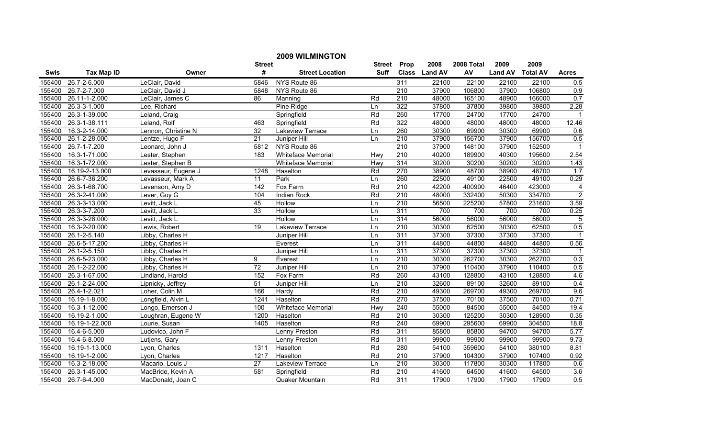|             | <b>2009 WILMINGTON</b> |                     |                 |                           |        |                  |               |            |                |                 |                |
|-------------|------------------------|---------------------|-----------------|---------------------------|--------|------------------|---------------|------------|----------------|-----------------|----------------|
|             |                        |                     | <b>Street</b>   |                           | Street | Prop             | 2008          | 2008 Total | 2009           | 2009            |                |
| <b>Swis</b> | <b>Tax Map ID</b>      | Owner               | #               | <b>Street Location</b>    | Suff   |                  | Class Land AV | AV         | <b>Land AV</b> | <b>Total AV</b> | <b>Acres</b>   |
| 155400      | 26.7-2-6.000           | LeClair, David      | 5846            | NYS Route 86              |        | 311              | 22100         | 22100      | 22100          | 22100           | 0.5            |
| 155400      | 26.7-2-7.000           | LeClair, David J    | 5848            | NYS Route 86              |        | $\overline{210}$ | 37900         | 106800     | 37900          | 106800          | 0.9            |
| 155400      | 26.11-1-2.000          | LeClair, James C    | 86              | Manning                   | Rd     | 210              | 48000         | 165100     | 48900          | 166000          | 0.7            |
| 155400      | 26.3-3-1.000           | Lee, Richard        |                 | Pine Ridge                | Ln     | 322              | 37800         | 37800      | 39800          | 39800           | 2.28           |
| 155400      | 26.3-1-39.000          | Leland, Craig       |                 | Springfield               | Rd     | 260              | 17700         | 24700      | 17700          | 24700           | $\mathbf{1}$   |
| 155400      | 26.3-1-38.111          | Leland, Rolf        | 463             | Springfield               | Rd     | 322              | 48000         | 48000      | 48000          | 48000           | 12.46          |
| 155400      | 16.3-2-14.000          | Lennon, Christine N | 32              | <b>Lakeview Terrace</b>   | Ln     | 260              | 30300         | 69900      | 30300          | 69900           | 0.6            |
| 155400      | 26.1-2-28.000          | Lentze, Hugo F      | $\overline{21}$ | Juniper Hill              | Ln     | 210              | 37900         | 156700     | 37900          | 156700          | 0.5            |
| 155400      | 26.7-1-7.200           | Leonard, John J     | 5812            | NYS Route 86              |        | $\overline{210}$ | 37900         | 148100     | 37900          | 152500          | $\overline{1}$ |
| 155400      | 16.3-1-71.000          | Lester, Stephen     | 183             | Whiteface Memorial        | Hwy    | 210              | 40200         | 189900     | 40300          | 195600          | 2.54           |
| 155400      | 16.3-1-72.000          | Lester, Stephen B   |                 | <b>Whiteface Memorial</b> | Hwy    | 314              | 30200         | 30200      | 30200          | 30200           | 1.43           |
| 155400      | 16.19-2-13.000         | Levasseur, Eugene J | 1248            | Haselton                  | Rd     | 270              | 38900         | 48700      | 38900          | 48700           | 1.7            |
| 155400      | 26.6-7-36.200          | Levasseur, Mark A   | 11              | Park                      | Ln     | 260              | 22500         | 49100      | 22500          | 49100           | 0.29           |
| 155400      | 26.3-1-68.700          | Levenson, Amy D     | 142             | Fox Farm                  | Rd     | $\overline{210}$ | 42200         | 400900     | 46400          | 423000          | $\overline{4}$ |
| 155400      | 26.3-2-41.000          | Lever, Guy G        | 104             | Indian Rock               | Rd     | 210              | 48000         | 332400     | 50300          | 334700          | $\overline{2}$ |
| 155400      | 26.3-3-13.000          | Levitt, Jack L      | 45              | Hollow                    | Ln     | $\overline{210}$ | 56500         | 225200     | 57800          | 231600          | 3.59           |
| 155400      | 26.3-3-7.200           | Levitt, Jack L      | 33              | Hollow                    | Ln     | 311              | 700           | 700        | 700            | 700             | 0.25           |
| 155400      | 26.3-3-28.000          | Levitt, Jack L      |                 | <b>Hollow</b>             | Ln     | 314              | 56000         | 56000      | 56000          | 56000           | $\overline{5}$ |
| 155400      | 16.3-2-20.000          | Lewis, Robert       | $\overline{19}$ | Lakeview Terrace          | Ln     | 210              | 30300         | 62500      | 30300          | 62500           | 0.5            |
| 155400      | 26.1-2-5.140           | Libby, Charles H    |                 | Juniper Hill              | Ln     | 311              | 37300         | 37300      | 37300          | 37300           |                |
| 155400      | 26.6-5-17.200          | Libby, Charles H    |                 | Everest                   | Ln     | 311              | 44800         | 44800      | 44800          | 44800           | 0.56           |
| 155400      | 26.1-2-5.150           | Libby, Charles H    |                 | Juniper Hill              | Ln     | 311              | 37300         | 37300      | 37300          | 37300           |                |
| 155400      | 26.6-5-23.000          | Libby, Charles H    | 9               | Everest                   | Ln     | 210              | 30300         | 262700     | 30300          | 262700          | 0.3            |
| 155400      | 26.1-2-22.000          | Libby, Charles H    | $\overline{72}$ | Juniper Hill              | Ln     | $\overline{210}$ | 37900         | 110400     | 37900          | 110400          | 0.5            |
| 155400      | 26.3-1-67.000          | Lindland, Harold    | 152             | Fox Farm                  | Rd     | 260              | 43100         | 128800     | 43100          | 128800          | 4.6            |
| 155400      | 26.1-2-24.000          | Lipnicky, Jeffrey   | 51              | Juniper Hill              | Ln     | 210              | 32600         | 89100      | 32600          | 89100           | 0.4            |
| 155400      | 26.4-1-2.021           | Loher, Colin M      | 166             | Hardy                     | Rd     | 210              | 49300         | 269700     | 49300          | 269700          | 9.6            |
| 155400      | 16.19-1-8.000          | Longfield, Alvin L  | 1241            | Haselton                  | Rd     | 270              | 37500         | 70100      | 37500          | 70100           | 0.71           |
| 155400      | 16.3-1-12.000          | Longo, Emerson J    | 100             | Whiteface Memorial        | Hwy    | 240              | 55000         | 84500      | 55000          | 84500           | 19.4           |
| 155400      | 16.19-2-1.000          | Loughran, Eugene W  | 1200            | Haselton                  | Rd     | 210              | 30300         | 125200     | 30300          | 128900          | 0.35           |
| 155400      | 16.19-1-22.000         | Lourie, Susan       | 1405            | Haselton                  | Rd     | 240              | 69900         | 295600     | 69900          | 304500          | 18.8           |
| 155400      | 16.4-6-5.000           | Ludovico, John F    |                 | Lenny Preston             | Rd     | 311              | 85800         | 85800      | 94700          | 94700           | 5.77           |
| 155400      | 16.4-6-8.000           | Lutjens, Gary       |                 | Lenny Preston             | Rd     | 311              | 99900         | 99900      | 99900          | 99900           | 9.73           |
| 155400      | 16.19-1-13.000         | Lyon, Charles       | 1311            | Haselton                  | Rd     | 280              | 54100         | 359600     | 54100          | 380100          | 8.81           |
| 155400      | 16.19-1-2.000          | Lyon, Charles       | 1217            | Haselton                  | Rd     | 210              | 37900         | 104300     | 37900          | 107400          | 0.92           |
| 155400      | 16.3-2-18.000          | Macario, Louis J    | 27              | Lakeview Terrace          | Ln     | 210              | 30300         | 117800     | 30300          | 117800          | 0.6            |
| 155400      | 26.3-1-45.000          | MacBride, Kevin A   | 581             | Springfield               | Rd     | 210              | 41600         | 64500      | 41600          | 64500           | 3.6            |
| 155400      | 26.7-6-4.000           | MacDonald, Joan C   |                 | Quaker Mountain           | Rd     | 311              | 17900         | 17900      | 17900          | 17900           | 0.5            |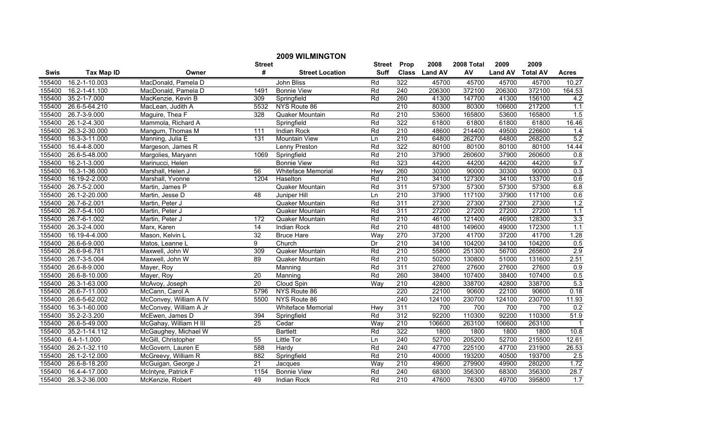|        |                   |                        |                 | <b>2009 WILMINGTON</b>         |               |                  |               |            |                |                 |                  |
|--------|-------------------|------------------------|-----------------|--------------------------------|---------------|------------------|---------------|------------|----------------|-----------------|------------------|
|        |                   |                        | <b>Street</b>   |                                | <b>Street</b> | Prop             | 2008          | 2008 Total | 2009           | 2009            |                  |
| Swis   | <b>Tax Map ID</b> | Owner                  | #               | <b>Street Location</b>         | <b>Suff</b>   |                  | Class Land AV | AV         | <b>Land AV</b> | <b>Total AV</b> | <b>Acres</b>     |
| 155400 | 16.2-1-10.003     | MacDonald, Pamela D    |                 | John Bliss                     | Rd            | $\overline{322}$ | 45700         | 45700      | 45700          | 45700           | 10.27            |
| 155400 | 16.2-1-41.100     | MacDonald, Pamela D    | 1491            | <b>Bonnie View</b>             | Rd            | 240              | 206300        | 372100     | 206300         | 372100          | 164.53           |
| 155400 | 35.2-1-7.000      | MacKenzie, Kevin B     | 309             | Springfield                    | Rd            | 260              | 41300         | 147700     | 41300          | 156100          | 4.2              |
| 155400 | 26.6-5-64.210     | MacLean, Judith A      | 5532            | NYS Route 86                   |               | 210              | 80300         | 80300      | 106600         | 217200          | 1.1              |
| 155400 | 26.7-3-9.000      | Maguire, Thea F        | 328             | Quaker Mountain                | Rd            | 210              | 53600         | 165800     | 53600          | 165800          | 1.5              |
| 155400 | 26.1-2-4.300      | Mammola, Richard A     |                 | Springfield                    | Rd            | 322              | 61800         | 61800      | 61800          | 61800           | 16.46            |
| 155400 | 26.3-2-30.000     | Mangum, Thomas M       | 111             | <b>Indian Rock</b>             | Rd            | 210              | 48600         | 214400     | 49500          | 226600          | 1.4              |
| 155400 | 16.3-3-11.000     | Manning, Julia E       | 131             | <b>Mountain View</b>           | Ln            | 210              | 64800         | 262700     | 64800          | 268200          | 5.2              |
| 155400 | 16.4-4-8.000      | Margeson, James R      |                 | Lenny Preston                  | Rd            | 322              | 80100         | 80100      | 80100          | 80100           | 14.44            |
| 155400 | 26.6-5-48.000     | Margolies, Maryann     | 1069            | Springfield                    | Rd            | 210              | 37900         | 260600     | 37900          | 260600          | 0.8              |
| 155400 | 16.2-1-3.000      | Marinucci, Helen       |                 | <b>Bonnie View</b>             | Rd            | 323              | 44200         | 44200      | 44200          | 44200           | 9.7              |
| 155400 | 16.3-1-36.000     | Marshall, Helen J      | 56              | Whiteface Memorial             | Hwy           | 260              | 30300         | 90000      | 30300          | 90000           | 0.3              |
| 155400 | 16.19-2-2.000     | Marshall, Yvonne       | 1204            | Haselton                       | Rd            | 210              | 34100         | 127300     | 34100          | 133700          | 0.6              |
| 155400 | 26.7-5-2.000      | Martin, James P        |                 | Quaker Mountain                | Rd            | 311              | 57300         | 57300      | 57300          | 57300           | 6.8              |
| 155400 | 26.1-2-20.000     | Martin, Jesse D        | $\overline{48}$ | Juniper Hill                   | Ln            | 210              | 37900         | 117100     | 37900          | 117100          | 0.6              |
| 155400 | 26.7-6-2.001      | Martin, Peter J        |                 | Quaker Mountain                | Rd            | 311              | 27300         | 27300      | 27300          | 27300           | 1.2              |
| 155400 | 26.7-5-4.100      | Martin, Peter J        |                 | Quaker Mountain                | Rd            | 311              | 27200         | 27200      | 27200          | 27200           | 1.1              |
| 155400 | 26.7-6-1.002      | Martin, Peter J        | 172             | Quaker Mountain                | Rd            | 210              | 46100         | 121400     | 46900          | 128300          | 3.3              |
| 155400 | 26.3-2-4.000      | Marx, Karen            | 14              | Indian Rock                    | Rd            | 210              | 48100         | 149600     | 49000          | 172300          | 1.1              |
| 155400 | 16.19-4-4.000     | Mason, Kelvin L        | 32              | <b>Bruce Hare</b>              | Way           | 270              | 37200         | 41700      | 37200          | 41700           | 1.28             |
| 155400 | 26.6-6-9.000      | Matos, Leanne L        | 9               | Church                         | Dr            | 210              | 34100         | 104200     | 34100          | 104200          | 0.5              |
| 155400 | 26.6-9-6.781      | Maxwell, John W        | 309             | Quaker Mountain                | Rd            | 210              | 55800         | 251300     | 56700          | 265600          | 2.9              |
| 155400 | 26.7-3-5.004      | Maxwell, John W        | 89              | Quaker Mountain                | Rd            | 210              | 50200         | 130800     | 51000          | 131600          | 2.51             |
| 155400 | 26.6-8-9.000      | Mayer, Roy             |                 | $\overline{\mathsf{M}}$ anning | Rd            | 311              | 27600         | 27600      | 27600          | 27600           | 0.9              |
| 155400 | 26.6-8-10.000     | Mayer, Roy             | 20              | Manning                        | Rd            | 260              | 38400         | 107400     | 38400          | 107400          | 0.5              |
| 155400 | 26.3-1-63.000     | McAvoy, Joseph         | $\overline{20}$ | Cloud Spin                     | Way           | 210              | 42800         | 338700     | 42800          | 338700          | 5.3              |
| 155400 | 26.6-7-11.000     | McCann, Carol A        | 5796            | NYS Route 86                   |               | 220              | 22100         | 90600      | 22100          | 90600           | 0.18             |
| 155400 | 26.6-5-62.002     | McConvey, William A IV | 5500            | NYS Route 86                   |               | 240              | 124100        | 230700     | 124100         | 230700          | 11.93            |
| 155400 | 16.3-1-60.000     | McConvey, William A Jr |                 | Whiteface Memorial             | Hwy           | 311              | 700           | 700        | 700            | 700             | 0.2              |
| 155400 | 35.2-2-3.200      | McEwen, James D        | 394             | Springfield                    | Rd            | 312              | 92200         | 110300     | 92200          | 110300          | 51.9             |
| 155400 | 26.6-5-49.000     | McGahay, William H III | 25              | Cedar                          | Way           | 210              | 106600        | 263100     | 106600         | 263100          | $\overline{1}$   |
| 155400 | 35.2-1-14.112     | McGaughey, Michael W   |                 | <b>Bartlett</b>                | Rd            | 322              | 1800          | 1800       | 1800           | 1800            | 10.8             |
| 155400 | $6.4 - 1 - 1.000$ | McGill, Christopher    | 55              | <b>Little Tor</b>              | Ln            | 240              | 52700         | 205200     | 52700          | 215500          | 12.61            |
| 155400 | 26.2-1-32.110     | McGovern, Lauren E     | 588             | Hardy                          | Rd            | $\overline{240}$ | 47700         | 225100     | 47700          | 231900          | 26.53            |
| 155400 | 26.1-2-12.000     | McGreevy, William R    | 882             | Springfield                    | Rd            | 210              | 40000         | 193200     | 40500          | 193700          | 2.5              |
| 155400 | 26.6-8-18.200     | McGuigan, George J     | 21              | Jacques                        | Way           | 210              | 49600         | 279900     | 49900          | 280200          | 1.72             |
| 155400 | 16.4-4-17.000     | McIntyre, Patrick F    | 1154            | <b>Bonnie View</b>             | Rd            | 240              | 68300         | 356300     | 68300          | 356300          | 28.7             |
| 155400 | 26.3-2-36.000     | McKenzie, Robert       | 49              | <b>Indian Rock</b>             | Rd            | 210              | 47600         | 76300      | 49700          | 395800          | $\overline{1.7}$ |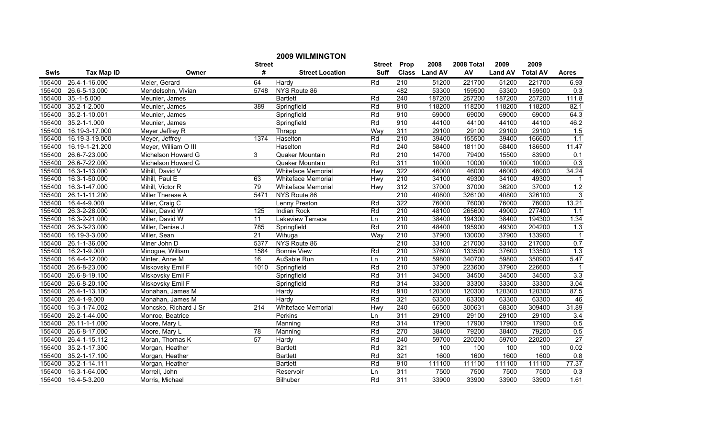|             |                   |                       |                 | <b>2009 WILMINGTON</b>    |               |                  |               |            |                |                 |                  |
|-------------|-------------------|-----------------------|-----------------|---------------------------|---------------|------------------|---------------|------------|----------------|-----------------|------------------|
|             |                   |                       | <b>Street</b>   |                           | <b>Street</b> | Prop             | 2008          | 2008 Total | 2009           | 2009            |                  |
| <b>Swis</b> | <b>Tax Map ID</b> | Owner                 | #               | <b>Street Location</b>    | Suff          |                  | Class Land AV | AV         | <b>Land AV</b> | <b>Total AV</b> | <b>Acres</b>     |
| 155400      | 26.4-1-16.000     | Meier, Gerard         | 64              | Hardy                     | Rd            | 210              | 51200         | 221700     | 51200          | 221700          | 6.93             |
| 155400      | 26.6-5-13.000     | Mendelsohn, Vivian    | 5748            | NYS Route 86              |               | 482              | 53300         | 159500     | 53300          | 159500          | 0.3              |
| 155400      | $35.-1-5.000$     | Meunier, James        |                 | <b>Bartlett</b>           | Rd            | 240              | 187200        | 257200     | 187200         | 257200          | 111.8            |
| 155400      | 35.2-1-2.000      | Meunier, James        | 389             | Springfield               | Rd            | 910              | 118200        | 118200     | 118200         | 118200          | 82.1             |
| 155400      | 35.2-1-10.001     | Meunier, James        |                 | Springfield               | Rd            | 910              | 69000         | 69000      | 69000          | 69000           | 64.3             |
| 155400      | 35.2-1-1.000      | Meunier, James        |                 | Springfield               | Rd            | 910              | 44100         | 44100      | 44100          | 44100           | 46.2             |
| 155400      | 16.19-3-17.000    | Meyer Jeffrey R       |                 | Thrapp                    | Way           | 311              | 29100         | 29100      | 29100          | 29100           | 1.5              |
| 155400      | 16.19-3-19.000    | Meyer, Jeffrey        | 1374            | Haselton                  | Rd            | 210              | 39400         | 155500     | 39400          | 166600          | 1.1              |
| 155400      | 16.19-1-21.200    | Meyer, William O III  |                 | Haselton                  | Rd            | 240              | 58400         | 181100     | 58400          | 186500          | 11.47            |
| 155400      | 26.6-7-23.000     | Michelson Howard G    | 3               | Quaker Mountain           | Rd            | 210              | 14700         | 79400      | 15500          | 83900           | 0.1              |
| 155400      | 26.6-7-22.000     | Michelson Howard G    |                 | Quaker Mountain           | Rd            | 311              | 10000         | 10000      | 10000          | 10000           | 0.3              |
| 155400      | 16.3-1-13.000     | Mihill, David V       |                 | <b>Whiteface Memorial</b> | Hwy           | 322              | 46000         | 46000      | 46000          | 46000           | 34.24            |
| 155400      | 16.3-1-50.000     | Mihill, Paul E        | 63              | Whiteface Memorial        | Hwy           | 210              | 34100         | 49300      | 34100          | 49300           |                  |
| 155400      | 16.3-1-47.000     | Mihill, Victor R      | 79              | Whiteface Memorial        | Hwy           | 312              | 37000         | 37000      | 36200          | 37000           | 1.2              |
| 155400      | 26.1-1-11.200     | Miller Therese A      | 5471            | NYS Route 86              |               | 210              | 40800         | 326100     | 40800          | 326100          | 3                |
| 155400      | 16.4-4-9.000      | Miller, Craig C       |                 | Lenny Preston             | Rd            | 322              | 76000         | 76000      | 76000          | 76000           | 13.21            |
| 155400      | 26.3-2-28.000     | Miller, David W       | 125             | Indian Rock               | Rd            | 210              | 48100         | 265600     | 49000          | 277400          | 1.1              |
| 155400      | 16.3-2-21.000     | Miller, David W       | 11              | <b>Lakeview Terrace</b>   | Ln            | 210              | 38400         | 194300     | 38400          | 194300          | 1.34             |
| 155400      | 26.3-3-23.000     | Miller, Denise J      | 785             | Springfield               | Rd            | 210              | 48400         | 195900     | 49300          | 204200          | 1.3              |
| 155400      | 16.19-3-3.000     | Miller, Sean          | $\overline{21}$ | Wihuga                    | Way           | 210              | 37900         | 130000     | 37900          | 133900          |                  |
| 155400      | 26.1-1-36.000     | Miner John D          | 5377            | NYS Route 86              |               | 210              | 33100         | 217000     | 33100          | 217000          | 0.7              |
| 155400      | 16.2-1-9.000      | Minogue, William      | 1584            | <b>Bonnie View</b>        | Rd            | 210              | 37600         | 133500     | 37600          | 133500          | 1.3              |
| 155400      | 16.4-4-12.000     | Minter, Anne M        | $\overline{16}$ | AuSable Run               | Ln            | 210              | 59800         | 340700     | 59800          | 350900          | 5.47             |
| 155400      | 26.6-8-23.000     | Miskovsky Emil F      | 1010            | Springfield               | Rd            | $\overline{210}$ | 37900         | 223600     | 37900          | 226600          | $\overline{1}$   |
| 155400      | 26.6-8-19.100     | Miskovsky Emil F      |                 | Springfield               | Rd            | 311              | 34500         | 34500      | 34500          | 34500           | 3.3              |
| 155400      | 26.6-8-20.100     | Miskovsky Emil F      |                 | Springfield               | Rd            | 314              | 33300         | 33300      | 33300          | 33300           | 3.04             |
| 155400      | 26.4-1-13.100     | Monahan, James M      |                 | Hardy                     | Rd            | 910              | 120300        | 120300     | 120300         | 120300          | 87.5             |
| 155400      | 26.4-1-9.000      | Monahan, James M      |                 | Hardy                     | Rd            | 321              | 63300         | 63300      | 63300          | 63300           | 46               |
| 155400      | 16.3-1-74.002     | Moncsko, Richard J Sr | 214             | <b>Whiteface Memorial</b> | Hwy           | 240              | 66500         | 300631     | 68300          | 309400          | 31.89            |
| 155400      | 26.2-1-44.000     | Monroe, Beatrice      |                 | Perkins                   | Ln            | 311              | 29100         | 29100      | 29100          | 29100           | $\overline{3.4}$ |
| 155400      | 26.11-1-1.000     | Moore, Mary L         |                 | Manning                   | Rd            | 314              | 17900         | 17900      | 17900          | 17900           | 0.5              |
| 155400      | 26.6-8-17.000     | Moore, Mary L         | 78              | Manning                   | Rd            | 270              | 38400         | 79200      | 38400          | 79200           | 0.5              |
| 155400      | 26.4-1-15.112     | Moran, Thomas K       | 57              | Hardy                     | Rd            | 240              | 59700         | 220200     | 59700          | 220200          | 27               |
| 155400      | 35.2-1-17.300     | Morgan, Heather       |                 | <b>Bartlett</b>           | Rd            | 321              | 100           | 100        | 100            | 100             | 0.02             |
| 155400      | 35.2-1-17.100     | Morgan, Heather       |                 | <b>Bartlett</b>           | Rd            | 321              | 1600          | 1600       | 1600           | 1600            | 0.8              |
| 155400      | 35.2-1-14.111     | Morgan, Heather       |                 | <b>Bartlett</b>           | Rd            | 910              | 111100        | 111100     | 111100         | 111100          | 77.37            |
| 155400      | 16.3-1-64.000     | Morrell, John         |                 | Reservoir                 | Ln            | 311              | 7500          | 7500       | 7500           | 7500            | 0.3              |
| 155400      | 16.4-5-3.200      | Morris, Michael       |                 | Bilhuber                  | Rd            | 311              | 33900         | 33900      | 33900          | 33900           | 1.61             |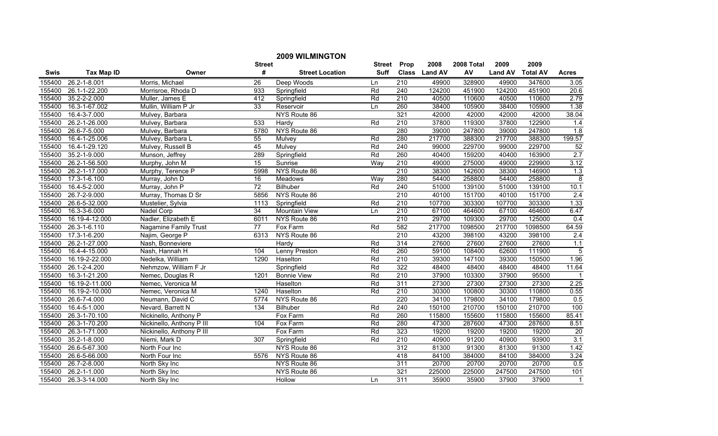|             |                   |                              |                 | <b>2009 WILMINGTON</b> |               |                  |               |            |                |                 |                |
|-------------|-------------------|------------------------------|-----------------|------------------------|---------------|------------------|---------------|------------|----------------|-----------------|----------------|
|             |                   |                              | <b>Street</b>   |                        | <b>Street</b> | Prop             | 2008          | 2008 Total | 2009           | 2009            |                |
| <b>Swis</b> | <b>Tax Map ID</b> | Owner                        | #               | <b>Street Location</b> | <b>Suff</b>   |                  | Class Land AV | AV         | <b>Land AV</b> | <b>Total AV</b> | <b>Acres</b>   |
| 155400      | 26.2-1-8.001      | Morris, Michael              | 26              | Deep Woods             | Ln            | 210              | 49900         | 328900     | 49900          | 347600          | 3.05           |
| 155400      | 26.1-1-22.200     | Morrisroe, Rhoda D           | 933             | Springfield            | Rd            | 240              | 124200        | 451900     | 124200         | 451900          | 20.6           |
| 155400      | 35.2-2-2.000      | Muller, James E              | 412             | Springfield            | Rd            | $\overline{210}$ | 40500         | 110600     | 40500          | 110600          | 2.79           |
| 155400      | 16.3-1-67.002     | Mullin, William P Jr         | 33              | Reservoir              | Ln            | 260              | 38400         | 105900     | 38400          | 105900          | 1.38           |
| 155400      | 16.4-3-7.000      | Mulvey, Barbara              |                 | NYS Route 86           |               | 321              | 42000         | 42000      | 42000          | 42000           | 38.04          |
| 155400      | 26.2-1-26.000     | Mulvey, Barbara              | 533             | Hardy                  | Rd            | 210              | 37800         | 119300     | 37800          | 122900          | 1.4            |
| 155400      | 26.6-7-5.000      | Mulvey, Barbara              | 5780            | NYS Route 86           |               | 280              | 39000         | 247800     | 39000          | 247800          | 1.8            |
| 155400      | 16.4-1-25.006     | Mulvey, Barbara L            | 55              | Mulvey                 | Rd            | 280              | 217700        | 388300     | 217700         | 388300          | 199.57         |
| 155400      | 16.4-1-29.120     | Mulvey, Russell B            | 45              | Mulvey                 | Rd            | 240              | 99000         | 229700     | 99000          | 229700          | 52             |
| 155400      | 35.2-1-9.000      | Munson, Jeffrey              | 289             | Springfield            | Rd            | 260              | 40400         | 159200     | 40400          | 163900          | 2.7            |
| 155400      | 26.2-1-56.500     | Murphy, John M               | 15              | Sunrise                | Way           | 210              | 49000         | 275000     | 49000          | 229900          | 3.12           |
| 155400      | 26.2-1-17.000     | Murphy, Terence P            | 5998            | NYS Route 86           |               | 210              | 38300         | 142600     | 38300          | 146900          | 1.3            |
| 155400      | 17.3-1-6.100      | Murray, John D               | $\overline{16}$ | Meadows                | Way           | 280              | 54400         | 258800     | 54400          | 258800          | $\overline{8}$ |
| 155400      | 16.4-5-2.000      | Murray, John P               | 72              | Bilhuber               | Rd            | 240              | 51000         | 139100     | 51000          | 139100          | 10.1           |
| 155400      | 26.7-2-9.000      | Murray, Thomas D Sr          | 5856            | NYS Route 86           |               | $\overline{210}$ | 40100         | 151700     | 40100          | 151700          | 2.4            |
| 155400      | 26.6-5-32.000     | Mustelier, Sylvia            | 1113            | Springfield            | Rd            | 210              | 107700        | 303300     | 107700         | 303300          | 1.33           |
| 155400      | 16.3-3-6.000      | Nadel Corp                   | 34              | <b>Mountain View</b>   | Ln            | 210              | 67100         | 464600     | 67100          | 464600          | 6.47           |
| 155400      | 16.19-4-12.000    | Nadler, Elizabeth E          | 6011            | NYS Route 86           |               | 210              | 29700         | 109300     | 29700          | 125000          | 0.4            |
| 155400      | 26.3-1-6.110      | <b>Nagamine Family Trust</b> | $\overline{77}$ | Fox Farm               | Rd            | 582              | 217700        | 1098500    | 217700         | 1098500         | 64.59          |
| 155400      | 17.3-1-6.200      | Najim, George P              | 6313            | NYS Route 86           |               | 210              | 43200         | 398100     | 43200          | 398100          | 2.4            |
| 155400      | 26.2-1-27.000     | Nash, Bonneviere             |                 | Hardy                  | Rd            | 314              | 27600         | 27600      | 27600          | 27600           | 1.1            |
| 155400      | 16.4-4-15.000     | Nash, Hannah H               | 104             | Lenny Preston          | Rd            | 260              | 59100         | 108400     | 62600          | 111900          | $\overline{5}$ |
| 155400      | 16.19-2-22.000    | Nedelka, William             | 1290            | Haselton               | Rd            | 210              | 39300         | 147100     | 39300          | 150500          | 1.96           |
| 155400      | 26.1-2-4.200      | Nehmzow, William F Jr        |                 | Springfield            | Rd            | 322              | 48400         | 48400      | 48400          | 48400           | 11.64          |
| 155400      | 16.3-1-21.200     | Nemec, Douglas R             | 1201            | <b>Bonnie View</b>     | Rd            | $\overline{210}$ | 37900         | 103300     | 37900          | 95500           | $\mathbf 1$    |
| 155400      | 16.19-2-11.000    | Nemec, Veronica M            |                 | Haselton               | Rd            | 311              | 27300         | 27300      | 27300          | 27300           | 2.25           |
| 155400      | 16.19-2-10.000    | Nemec, Veronica M            | 1240            | Haselton               | Rd            | 210              | 30300         | 100800     | 30300          | 110800          | 0.55           |
| 155400      | 26.6-7-4.000      | Neumann, David C             | 5774            | NYS Route 86           |               | $\overline{220}$ | 34100         | 179800     | 34100          | 179800          | 0.5            |
| 155400      | 16.4-5-1.000      | Nevard, Barrett N            | 134             | Bilhuber               | Rd            | 240              | 150100        | 210700     | 150100         | 210700          | 100            |
| 155400      | 26.3-1-70.100     | Nickinello, Anthony P        |                 | Fox Farm               | Rd            | 260              | 115800        | 155600     | 115800         | 155600          | 85.41          |
| 155400      | 26.3-1-70.200     | Nickinello, Anthony P III    | 104             | Fox Farm               | Rd            | 280              | 47300         | 287600     | 47300          | 287600          | 8.51           |
| 155400      | 26.3-1-71.000     | Nickinello, Anthony P III    |                 | Fox Farm               | Rd            | 323              | 19200         | 19200      | 19200          | 19200           | 20             |
| 155400      | 35.2-1-8.000      | Niemi, Mark D                | 307             | Springfield            | Rd            | 210              | 40900         | 91200      | 40900          | 93900           | 3.1            |
| 155400      | 26.6-5-67.300     | North Four Inc               |                 | NYS Route 86           |               | 312              | 81300         | 91300      | 81300          | 91300           | 1.42           |
| 155400      | 26.6-5-66.000     | North Four Inc               | 5576            | NYS Route 86           |               | 418              | 84100         | 384000     | 84100          | 384000          | 3.24           |
| 155400      | 26.7-2-8.000      | North Sky Inc                |                 | NYS Route 86           |               | 311              | 20700         | 20700      | 20700          | 20700           | 0.5            |
| 155400      | 26.2-1-1.000      | North Sky Inc                |                 | NYS Route 86           |               | 321              | 225000        | 225000     | 247500         | 247500          | 101            |
| 155400      | 26.3-3-14.000     | North Sky Inc                |                 | <b>Hollow</b>          | Ln            | 311              | 35900         | 35900      | 37900          | 37900           | $\mathbf{1}$   |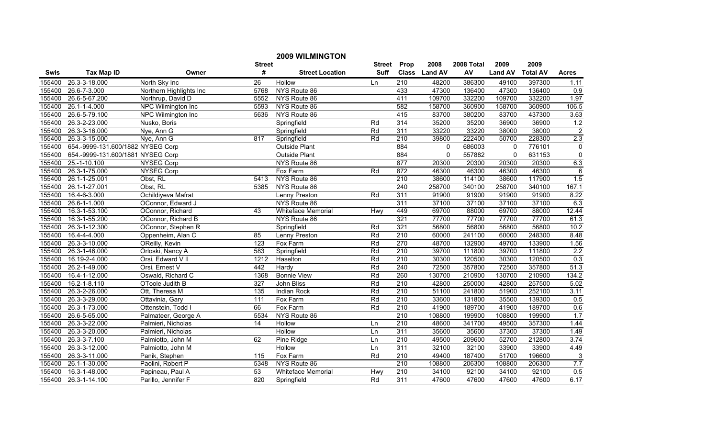|        | <b>2009 WILMINGTON</b>            |                         |                  |                           |        |                  |               |            |                |                 |                  |  |
|--------|-----------------------------------|-------------------------|------------------|---------------------------|--------|------------------|---------------|------------|----------------|-----------------|------------------|--|
|        |                                   |                         | <b>Street</b>    |                           | Street | Prop             | 2008          | 2008 Total | 2009           | 2009            |                  |  |
| Swis   | <b>Tax Map ID</b>                 | Owner                   | #                | <b>Street Location</b>    | Suff   |                  | Class Land AV | AV         | <b>Land AV</b> | <b>Total AV</b> | <b>Acres</b>     |  |
| 155400 | 26.3-3-18.000                     | North Sky Inc           | 26               | Hollow                    | Ln     | $\overline{210}$ | 48200         | 386300     | 49100          | 397300          | 1.11             |  |
| 155400 | 26.6-7-3.000                      | Northern Highlights Inc | 5768             | NYS Route 86              |        | 433              | 47300         | 136400     | 47300          | 136400          | 0.9              |  |
| 155400 | 26.6-5-67.200                     | Northrup, David D       | 5552             | NYS Route 86              |        | 411              | 109700        | 332200     | 109700         | 332200          | 1.97             |  |
| 155400 | 26.1-1-4.000                      | NPC Wilmington Inc      | 5593             | NYS Route 86              |        | 582              | 158700        | 360900     | 158700         | 360900          | 106.5            |  |
| 155400 | 26.6-5-79.100                     | NPC Wilmington Inc      | 5636             | NYS Route 86              |        | 415              | 83700         | 380200     | 83700          | 437300          | 3.63             |  |
| 155400 | 26.3-2-23.000                     | Nusko, Boris            |                  | Springfield               | Rd     | 314              | 35200         | 35200      | 36900          | 36900           | 1.2              |  |
| 155400 | 26.3-3-16.000                     | Nye, Ann G              |                  | Springfield               | Rd     | 311              | 33220         | 33220      | 38000          | 38000           | $\overline{2}$   |  |
| 155400 | 26.3-3-15.000                     | Nye, Ann G              | 817              | Springfield               | Rd     | 210              | 39800         | 222400     | 50700          | 228300          | 2.3              |  |
| 155400 | 654.-9999-131.600/1882 NYSEG Corp |                         |                  | Outside Plant             |        | 884              | 0             | 686003     | $\mathbf 0$    | 776101          | $\pmb{0}$        |  |
| 155400 | 654.-9999-131.600/1881 NYSEG Corp |                         |                  | <b>Outside Plant</b>      |        | 884              | $\Omega$      | 557882     | $\mathbf 0$    | 631153          | $\boldsymbol{0}$ |  |
| 155400 | 25.-1-10.100                      | <b>NYSEG Corp</b>       |                  | NYS Route 86              |        | 877              | 20300         | 20300      | 20300          | 20300           | 6.3              |  |
| 155400 | 26.3-1-75.000                     | <b>NYSEG Corp</b>       |                  | Fox Farm                  | Rd     | 872              | 46300         | 46300      | 46300          | 46300           | $\overline{6}$   |  |
| 155400 | 26.1-1-25.001                     | Obst, RL                | 5413             | NYS Route 86              |        | $\overline{210}$ | 38600         | 114100     | 38600          | 117900          | 1.5              |  |
| 155400 | 26.1-1-27.001                     | Obst, RL                | 5385             | NYS Route 86              |        | 240              | 258700        | 340100     | 258700         | 340100          | 167.1            |  |
| 155400 | 16.4-6-3.000                      | Ochildiyeva Mafrat      |                  | Lenny Preston             | Rd     | 311              | 91900         | 91900      | 91900          | 91900           | 8.22             |  |
| 155400 | 26.6-1-1.000                      | OConnor, Edward J       |                  | NYS Route 86              |        | 311              | 37100         | 37100      | 37100          | 37100           | 6.3              |  |
| 155400 | 16.3-1-53.100                     | OConnor, Richard        | 43               | <b>Whiteface Memorial</b> | Hwy    | 449              | 69700         | 88000      | 69700          | 88000           | 12.44            |  |
| 155400 | 16.3-1-55.200                     | OConnor, Richard B      |                  | NYS Route 86              |        | 321              | 77700         | 77700      | 77700          | 77700           | 61.3             |  |
| 155400 | 26.3-1-12.300                     | OConnor, Stephen R      |                  | Springfield               | Rd     | 321              | 56800         | 56800      | 56800          | 56800           | 10.2             |  |
| 155400 | 16.4-4-4.000                      | Oppenheim, Alan C       | 85               | <b>Lenny Preston</b>      | Rd     | 210              | 60000         | 241100     | 60000          | 248300          | 8.48             |  |
| 155400 | 26.3-3-10.000                     | OReilly, Kevin          | 123              | Fox Farm                  | Rd     | 270              | 48700         | 132900     | 49700          | 133900          | 1.56             |  |
| 155400 | 26.3-1-46.000                     | Orloski, Nancy A        | 583              | Springfield               | Rd     | $\overline{210}$ | 39700         | 111800     | 39700          | 111800          | $\overline{2.2}$ |  |
| 155400 | 16.19-2-4.000                     | Orsi, Edward V II       | 1212             | Haselton                  | Rd     | 210              | 30300         | 120500     | 30300          | 120500          | 0.3              |  |
| 155400 | 26.2-1-49.000                     | Orsi, Ernest V          | 442              | Hardy                     | Rd     | 240              | 72500         | 357800     | 72500          | 357800          | 51.3             |  |
| 155400 | 16.4-1-12.000                     | Oswald, Richard C       | 1368             | <b>Bonnie View</b>        | Rd     | 260              | 130700        | 210900     | 130700         | 210900          | 134.2            |  |
| 155400 | 16.2-1-8.110                      | OToole Judith B         | 327              | <b>John Bliss</b>         | Rd     | $\overline{210}$ | 42800         | 250000     | 42800          | 257500          | 5.02             |  |
| 155400 | 26.3-2-26.000                     | Ott, Theresa M          | 135              | Indian Rock               | Rd     | $\overline{210}$ | 51100         | 241800     | 51900          | 252100          | 3.11             |  |
| 155400 | 26.3-3-29.000                     | Ottavinia, Gary         | $\overline{111}$ | Fox Farm                  | Rd     | $\overline{210}$ | 33600         | 131800     | 35500          | 139300          | 0.5              |  |
| 155400 | 26.3-1-73.000                     | Ottenstein, Todd I      | 66               | <b>Fox Farm</b>           | Rd     | 210              | 41900         | 189700     | 41900          | 189700          | 0.6              |  |
| 155400 | 26.6-5-65.000                     | Palmateer, George A     | 5534             | NYS Route 86              |        | $\overline{210}$ | 108800        | 199900     | 108800         | 199900          | 1.7              |  |
| 155400 | 26.3-3-22.000                     | Palmieri, Nicholas      | 14               | Hollow                    | Ln     | 210              | 48600         | 341700     | 49500          | 357300          | 1.44             |  |
| 155400 | 26.3-3-20.000                     | Palmieri, Nicholas      |                  | <b>Hollow</b>             | Ln     | 311              | 35600         | 35600      | 37300          | 37300           | 1.49             |  |
| 155400 | 26.3-3-7.100                      | Palmiotto, John M       | 62               | Pine Ridge                | Ln     | 210              | 49500         | 209600     | 52700          | 212800          | 3.74             |  |
| 155400 | 26.3-3-12.000                     | Palmiotto, John M       |                  | <b>Hollow</b>             | Ln     | 311              | 32100         | 32100      | 33900          | 33900           | 4.49             |  |
| 155400 | 26.3-3-11.000                     | Panik, Stephen          | 115              | Fox Farm                  | Rd     | 210              | 49400         | 187400     | 51700          | 196600          | 3                |  |
| 155400 | 26.1-1-30.000                     | Paolini, Robert P       | 5348             | NYS Route 86              |        | 210              | 108800        | 206300     | 108800         | 206300          | 7.7              |  |
| 155400 | 16.3-1-48.000                     | Papineau, Paul A        | 53               | Whiteface Memorial        | Hwy    | 210              | 34100         | 92100      | 34100          | 92100           | 0.5              |  |
| 155400 | 26.3-1-14.100                     | Parillo, Jennifer F     | 820              | Springfield               | Rd     | 311              | 47600         | 47600      | 47600          | 47600           | 6.17             |  |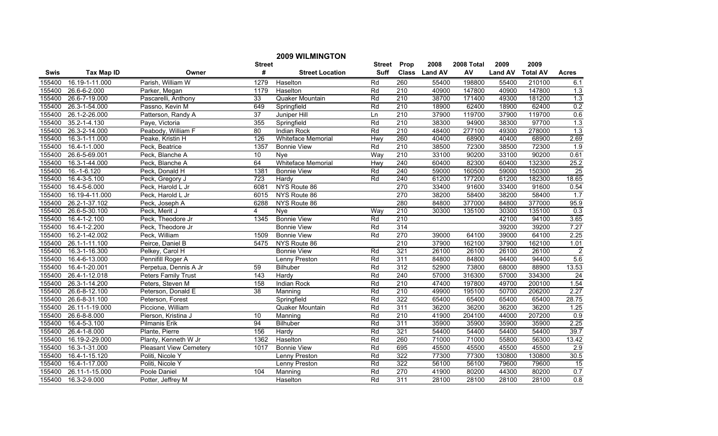|             | <b>2009 WILMINGTON</b> |                               |                  |                           |             |                  |               |            |                |                 |                 |
|-------------|------------------------|-------------------------------|------------------|---------------------------|-------------|------------------|---------------|------------|----------------|-----------------|-----------------|
|             |                        |                               | <b>Street</b>    |                           | Street      | Prop             | 2008          | 2008 Total | 2009           | 2009            |                 |
| <b>Swis</b> | <b>Tax Map ID</b>      | Owner                         | #                | <b>Street Location</b>    | <b>Suff</b> |                  | Class Land AV | AV         | <b>Land AV</b> | <b>Total AV</b> | <b>Acres</b>    |
| 155400      | 16.19-1-11.000         | Parish, William W             | 1279             | Haselton                  | Rd          | 260              | 55400         | 198800     | 55400          | 210100          | 6.1             |
| 155400      | 26.6-6-2.000           | Parker, Megan                 | 1179             | Haselton                  | Rd          | $\overline{210}$ | 40900         | 147800     | 40900          | 147800          | 1.3             |
| 155400      | 26.6-7-19.000          | Pascarelli, Anthony           | 33               | Quaker Mountain           | Rd          | 210              | 38700         | 171400     | 49300          | 181200          | 1.3             |
| 155400      | 26.3-1-54.000          | Passno, Kevin M               | 649              | Springfield               | Rd          | 210              | 18900         | 62400      | 18900          | 62400           | 0.2             |
| 155400      | 26.1-2-26.000          | Patterson, Randy A            | $\overline{37}$  | Juniper Hill              | Ln          | 210              | 37900         | 119700     | 37900          | 119700          | 0.6             |
| 155400      | 35.2-1-4.130           | Paye, Victoria                | 355              | Springfield               | Rd          | 210              | 38300         | 94900      | 38300          | 97700           | 1.3             |
| 155400      | 26.3-2-14.000          | Peabody, William F            | 80               | <b>Indian Rock</b>        | Rd          | 210              | 48400         | 277100     | 49300          | 278000          | 1.3             |
| 155400      | 16.3-1-11.000          | Peake, Kristin H              | 126              | <b>Whiteface Memorial</b> | Hwy         | 260              | 40400         | 68900      | 40400          | 68900           | 2.69            |
| 155400      | 16.4-1-1.000           | Peck, Beatrice                | 1357             | <b>Bonnie View</b>        | Rd          | $\overline{210}$ | 38500         | 72300      | 38500          | 72300           | 1.9             |
| 155400      | 26.6-5-69.001          | Peck, Blanche A               | 10               | Nye                       | Way         | 210              | 33100         | 90200      | 33100          | 90200           | 0.61            |
| 155400      | 16.3-1-44.000          | Peck, Blanche A               | 64               | Whiteface Memorial        | Hwy         | $\overline{240}$ | 60400         | 82300      | 60400          | 132300          | 25.2            |
| 155400      | 16.-1-6.120            | Peck, Donald H                | 1381             | <b>Bonnie View</b>        | Rd          | 240              | 59000         | 160500     | 59000          | 150300          | $\overline{25}$ |
| 155400      | 16.4-3-5.100           | Peck, Gregory J               | $\overline{723}$ | Hardy                     | Rd          | $\overline{240}$ | 61200         | 177200     | 61200          | 182300          | 18.65           |
| 155400      | 16.4-5-6.000           | Peck, Harold L Jr             | 6081             | NYS Route 86              |             | 270              | 33400         | 91600      | 33400          | 91600           | 0.54            |
| 155400      | 16.19-4-11.000         | Peck, Harold L Jr             | 6015             | NYS Route 86              |             | 270              | 38200         | 58400      | 38200          | 58400           | 1.7             |
| 155400      | 26.2-1-37.102          | Peck, Joseph A                | 6288             | NYS Route 86              |             | 280              | 84800         | 377000     | 84800          | 377000          | 95.9            |
| 155400      | 26.6-5-30.100          | Peck, Merit J                 | $\overline{4}$   | Nye                       | Way         | 210              | 30300         | 135100     | 30300          | 135100          | 0.3             |
| 155400      | $16.4 - 1 - 2.100$     | Peck, Theodore Jr             | 1345             | <b>Bonnie View</b>        | Rd          | 210              |               |            | 42100          | 94100           | 3.65            |
| 155400      | 16.4-1-2.200           | Peck, Theodore Jr             |                  | <b>Bonnie View</b>        | Rd          | 314              |               |            | 39200          | 39200           | 7.27            |
| 155400      | 16.2-1-42.002          | Peck, William                 | 1509             | <b>Bonnie View</b>        | Rd          | 270              | 39000         | 64100      | 39000          | 64100           | 2.25            |
| 155400      | 26.1-1-11.100          | Peirce, Daniel B              | 5475             | NYS Route 86              |             | $\overline{210}$ | 37900         | 162100     | 37900          | 162100          | 1.01            |
| 155400      | 16.3-1-16.300          | Pelkey, Carol H               |                  | <b>Bonnie View</b>        | Rd          | 321              | 26100         | 26100      | 26100          | 26100           | $\overline{2}$  |
| 155400      | 16.4-6-13.000          | Pennifill Roger A             |                  | Lenny Preston             | Rd          | 311              | 84800         | 84800      | 94400          | 94400           | 5.6             |
| 155400      | 16.4-1-20.001          | Perpetua, Dennis A Jr         | 59               | <b>Bilhuber</b>           | Rd          | 312              | 52900         | 73800      | 68000          | 88900           | 13.53           |
| 155400      | 26.4-1-12.018          | Peters Family Trust           | 143              | Hardy                     | Rd          | 240              | 57000         | 316300     | 57000          | 334300          | $\overline{24}$ |
| 155400      | 26.3-1-14.200          | Peters, Steven M              | 158              | <b>Indian Rock</b>        | Rd          | 210              | 47400         | 197800     | 49700          | 200100          | 1.54            |
| 155400      | 26.6-8-12.100          | Peterson, Donald E            | $\overline{38}$  | Manning                   | Rd          | 210              | 49900         | 195100     | 50700          | 206200          | 2.27            |
| 155400      | 26.6-8-31.100          | Peterson, Forest              |                  | Springfield               | Rd          | 322              | 65400         | 65400      | 65400          | 65400           | 28.75           |
| 155400      | 26.11-1-19.000         | Piccione, William             |                  | Quaker Mountain           | Rd          | 311              | 36200         | 36200      | 36200          | 36200           | 1.25            |
| 155400      | $26.6 - 8 - 8.000$     | Pierson, Kristina J           | 10               | Manning                   | Rd          | 210              | 41900         | 204100     | 44000          | 207200          | 0.9             |
| 155400      | 16.4-5-3.100           | <b>Pilmanis Erik</b>          | 94               | Bilhuber                  | Rd          | 311              | 35900         | 35900      | 35900          | 35900           | 2.25            |
| 155400      | 26.4-1-8.000           | Plante, Pierre                | 156              | Hardy                     | Rd          | 321              | 54400         | 54400      | 54400          | 54400           | 39.7            |
| 155400      | 16.19-2-29.000         | Planty, Kenneth W Jr          | 1362             | Haselton                  | Rd          | 260              | 71000         | 71000      | 55800          | 56300           | 13.42           |
| 155400      | 16.3-1-31.000          | <b>Pleasant View Cemetery</b> | 1017             | <b>Bonnie View</b>        | Rd          | 695              | 45500         | 45500      | 45500          | 45500           | 2.9             |
| 155400      | 16.4-1-15.120          | Politi, Nicole Y              |                  | Lenny Preston             | Rd          | 322              | 77300         | 77300      | 130800         | 130800          | 30.5            |
| 155400      | 16.4-1-17.000          | Politi, Nicole Y              |                  | Lenny Preston             | Rd          | 322              | 56100         | 56100      | 79600          | 79600           | $\overline{15}$ |
| 155400      | 26.11-1-15.000         | Poole Daniel                  | 104              | Manning                   | Rd          | 270              | 41900         | 80200      | 44300          | 80200           | 0.7             |
| 155400      | 16.3-2-9.000           | Potter, Jeffrey M             |                  | Haselton                  | Rd          | 311              | 28100         | 28100      | 28100          | 28100           | 0.8             |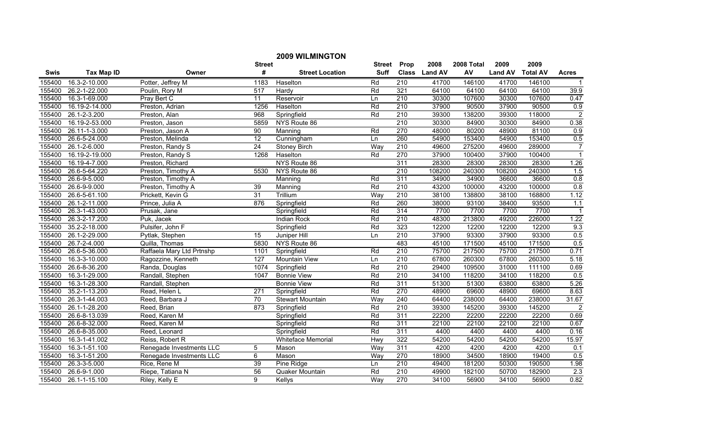|        | <b>2009 WILMINGTON</b> |                           |                  |                                |                   |                  |               |            |                |                 |                  |  |
|--------|------------------------|---------------------------|------------------|--------------------------------|-------------------|------------------|---------------|------------|----------------|-----------------|------------------|--|
|        |                        |                           | <b>Street</b>    |                                | Street            | Prop             | 2008          | 2008 Total | 2009           | 2009            |                  |  |
| Swis   | <b>Tax Map ID</b>      | Owner                     | #                | <b>Street Location</b>         | <b>Suff</b>       |                  | Class Land AV | AV         | <b>Land AV</b> | <b>Total AV</b> | <b>Acres</b>     |  |
| 155400 | 16.3-2-10.000          | Potter, Jeffrey M         | 1183             | Haselton                       | Rd                | 210              | 41700         | 146100     | 41700          | 146100          | $\overline{1}$   |  |
| 155400 | 26.2-1-22.000          | Poulin, Rory M            | 517              | Hardy                          | Rd                | 321              | 64100         | 64100      | 64100          | 64100           | 39.9             |  |
| 155400 | 16.3-1-69.000          | Pray Bert C               | $\overline{11}$  | Reservoir                      | Ln                | $\overline{210}$ | 30300         | 107600     | 30300          | 107600          | 0.47             |  |
| 155400 | 16.19-2-14.000         | Preston, Adrian           | 1256             | Haselton                       | Rd                | 210              | 37900         | 90500      | 37900          | 90500           | 0.9              |  |
| 155400 | 26.1-2-3.200           | Preston, Alan             | 968              | Springfield                    | Rd                | 210              | 39300         | 138200     | 39300          | 118000          | $\overline{2}$   |  |
| 155400 | 16.19-2-53.000         | Preston, Jason            | 5859             | NYS Route 86                   |                   | 210              | 30300         | 84900      | 30300          | 84900           | 0.38             |  |
| 155400 | 26.11-1-3.000          | Preston, Jason A          | 90               | $\overline{\mathsf{M}}$ anning | Rd                | 270              | 48000         | 80200      | 48900          | 81100           | 0.9              |  |
| 155400 | 26.6-5-24.000          | Preston, Melinda          | 12               | Cunningham                     | Ln                | 260              | 54900         | 153400     | 54900          | 153400          | 0.5              |  |
| 155400 | 26.1-2-6.000           | Preston, Randy S          | $\overline{24}$  | <b>Stoney Birch</b>            | $\overline{W}$ ay | $\overline{210}$ | 49600         | 275200     | 49600          | 289000          | $\overline{7}$   |  |
| 155400 | 16.19-2-19.000         | Preston, Randy S          | 1268             | Haselton                       | Rd                | 270              | 37900         | 100400     | 37900          | 100400          | $\overline{1}$   |  |
| 155400 | 16.19-4-7.000          | Preston, Richard          |                  | NYS Route 86                   |                   | 311              | 28300         | 28300      | 28300          | 28300           | 1.26             |  |
| 155400 | 26.6-5-64.220          | Preston, Timothy A        | 5530             | NYS Route 86                   |                   | 210              | 108200        | 240300     | 108200         | 240300          | 1.5              |  |
| 155400 | 26.6-9-5.000           | Preston, Timothy A        |                  | Manning                        | Rd                | 311              | 34900         | 34900      | 36600          | 36600           | 0.8              |  |
| 155400 | 26.6-9-9.000           | Preston, Timothy A        | 39               | Manning                        | Rd                | 210              | 43200         | 100000     | 43200          | 100000          | 0.8              |  |
| 155400 | 26.6-5-61.100          | Prickett, Kevin G         | 31               | Trillium                       | Way               | 210              | 38100         | 138800     | 38100          | 168800          | 1.12             |  |
| 155400 | 26.1-2-11.000          | Prince, Julia A           | 876              | Springfield                    | Rd                | 260              | 38000         | 93100      | 38400          | 93500           | 1.1              |  |
| 155400 | 26.3-1-43.000          | Prusak, Jane              |                  | Springfield                    | Rd                | 314              | 7700          | 7700       | 7700           | 7700            | $\overline{1}$   |  |
| 155400 | 26.3-2-17.200          | Puk, Jacek                |                  | <b>Indian Rock</b>             | $\overline{Rd}$   | 210              | 48300         | 213800     | 49200          | 226000          | 1.22             |  |
| 155400 | 35.2-2-18.000          | Pulsifer, John F          |                  | Springfield                    | Rd                | 323              | 12200         | 12200      | 12200          | 12200           | 9.3              |  |
| 155400 | 26.1-2-29.000          | Pytlak, Stephen           | 15               | Juniper Hill                   | Ln                | 210              | 37900         | 93300      | 37900          | 93300           | 0.5              |  |
| 155400 | 26.7-2-4.000           | Quilla, Thomas            | 5830             | NYS Route 86                   |                   | 483              | 45100         | 171500     | 45100          | 171500          | 0.5              |  |
| 155400 | 26.6-5-36.000          | Raffaela Mary Ltd Prtnshp | 1101             | Springfield                    | Rd                | 210              | 75700         | 217500     | 75700          | 217500          | 0.71             |  |
| 155400 | 16.3-3-10.000          | Ragozzine, Kenneth        | $\overline{127}$ | <b>Mountain View</b>           | Ln                | 210              | 67800         | 260300     | 67800          | 260300          | 5.18             |  |
| 155400 | 26.6-8-36.200          | Randa, Douglas            | 1074             | Springfield                    | Rd                | $\overline{210}$ | 29400         | 109500     | 31000          | 111100          | 0.69             |  |
| 155400 | 16.3-1-29.000          | Randall, Stephen          | 1047             | <b>Bonnie View</b>             | Rd                | 210              | 34100         | 118200     | 34100          | 118200          | $\overline{0.5}$ |  |
| 155400 | 16.3-1-28.300          | Randall, Stephen          |                  | <b>Bonnie View</b>             | Rd                | 311              | 51300         | 51300      | 63800          | 63800           | 5.26             |  |
| 155400 | 35.2-1-13.200          | Read, Helen L             | 271              | Springfield                    | Rd                | 270              | 48900         | 69600      | 48900          | 69600           | 8.63             |  |
| 155400 | 26.3-1-44.003          | Reed, Barbara J           | 70               | <b>Stewart Mountain</b>        | Way               | $\overline{240}$ | 64400         | 238000     | 64400          | 238000          | 31.67            |  |
| 155400 | 26.1-1-28.200          | Reed, Brian               | 873              | Springfield                    | Rd                | 210              | 39300         | 145200     | 39300          | 145200          | $\overline{2}$   |  |
| 155400 | 26.6-8-13.039          | Reed, Karen M             |                  | Springfield                    | Rd                | 311              | 22200         | 22200      | 22200          | 22200           | 0.69             |  |
| 155400 | 26.6-8-32.000          | Reed, Karen M             |                  | Springfield                    | Rd                | 311              | 22100         | 22100      | 22100          | 22100           | 0.67             |  |
| 155400 | 26.6-8-35.000          | Reed, Leonard             |                  | Springfield                    | Rd                | 311              | 4400          | 4400       | 4400           | 4400            | 0.16             |  |
| 155400 | 16.3-1-41.002          | Reiss, Robert R           |                  | Whiteface Memorial             | <b>Hwy</b>        | 322              | 54200         | 54200      | 54200          | 54200           | 15.97            |  |
| 155400 | 16.3-1-51.100          | Renegade Investments LLC  | 5                | Mason                          | Way               | 311              | 4200          | 4200       | 4200           | 4200            | 0.1              |  |
| 155400 | 16.3-1-51.200          | Renegade Investments LLC  | 6                | Mason                          | Way               | 270              | 18900         | 34500      | 18900          | 19400           | 0.5              |  |
| 155400 | 26.3-3-5.000           | Rice, Rene M              | 39               | Pine Ridge                     | Ln                | $\overline{210}$ | 49400         | 181200     | 50300          | 190500          | 1.98             |  |
| 155400 | 26.6-9-1.000           | Riepe, Tatiana N          | 56               | Quaker Mountain                | Rd                | 210              | 49900         | 182100     | 50700          | 182900          | 2.3              |  |
| 155400 | 26.1-1-15.100          | Riley, Kelly E            | 9                | <b>Kellys</b>                  | Way               | 270              | 34100         | 56900      | 34100          | 56900           | 0.82             |  |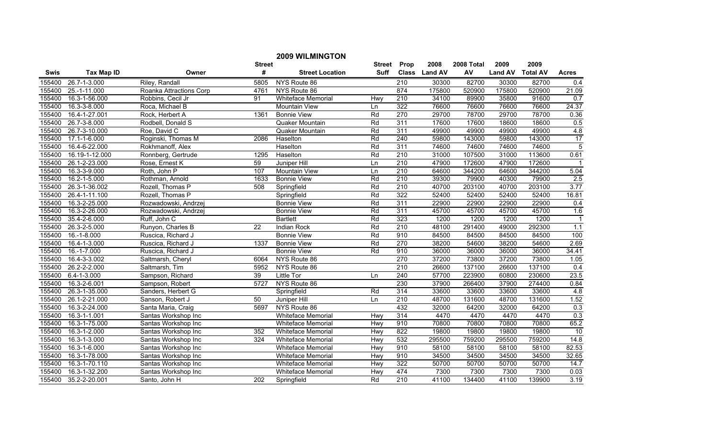|             |                    |                         |                 | <b>2009 WILMINGTON</b>    |        |                  |               |            |                |                 |                |
|-------------|--------------------|-------------------------|-----------------|---------------------------|--------|------------------|---------------|------------|----------------|-----------------|----------------|
|             |                    |                         | <b>Street</b>   |                           | Street | Prop             | 2008          | 2008 Total | 2009           | 2009            |                |
| <b>Swis</b> | <b>Tax Map ID</b>  | Owner                   | #               | <b>Street Location</b>    | Suff   |                  | Class Land AV | AV         | <b>Land AV</b> | <b>Total AV</b> | <b>Acres</b>   |
| 155400      | 26.7-1-3.000       | Riley, Randall          | 5805            | NYS Route 86              |        | 210              | 30300         | 82700      | 30300          | 82700           | 0.4            |
| 155400      | 25.-1-11.000       | Roanka Attractions Corp | 4761            | NYS Route 86              |        | 874              | 175800        | 520900     | 175800         | 520900          | 21.09          |
| 155400      | 16.3-1-56.000      | Robbins, Cecil Jr       | 91              | Whiteface Memorial        | Hwy    | $\overline{210}$ | 34100         | 89900      | 35800          | 91600           | 0.7            |
| 155400      | 16.3-3-8.000       | Roca, Michael B         |                 | <b>Mountain View</b>      | Ln     | 322              | 76600         | 76600      | 76600          | 76600           | 24.37          |
| 155400      | 16.4-1-27.001      | Rock, Herbert A         | 1361            | <b>Bonnie View</b>        | Rd     | 270              | 29700         | 78700      | 29700          | 78700           | 0.36           |
| 155400      | 26.7-3-8.000       | Rodbell, Donald S       |                 | Quaker Mountain           | Rd     | 311              | 17600         | 17600      | 18600          | 18600           | 0.5            |
| 155400      | 26.7-3-10.000      | Roe, David C            |                 | Quaker Mountain           | Rd     | 311              | 49900         | 49900      | 49900          | 49900           | 4.8            |
| 155400      | 17.1-1-6.000       | Roginski, Thomas M      | 2086            | Haselton                  | Rd     | 240              | 59800         | 143000     | 59800          | 143000          | 17             |
| 155400      | 16.4-6-22.000      | Rokhmanoff, Alex        |                 | Haselton                  | Rd     | 311              | 74600         | 74600      | 74600          | 74600           | $\overline{5}$ |
| 155400      | 16.19-1-12.000     | Ronnberg, Gertrude      | 1295            | Haselton                  | Rd     | $\overline{210}$ | 31000         | 107500     | 31000          | 113600          | 0.61           |
| 155400      | 26.1-2-23.000      | Rose, Ernest K          | 59              | Juniper Hill              | Ln     | 210              | 47900         | 172600     | 47900          | 172600          |                |
| 155400      | 16.3-3-9.000       | Roth, John P            | 107             | Mountain View             | Ln     | 210              | 64600         | 344200     | 64600          | 344200          | 5.04           |
| 155400      | 16.2-1-5.000       | Rothman, Arnold         | 1633            | <b>Bonnie View</b>        | Rd     | 210              | 39300         | 79900      | 40300          | 79900           | 2.5            |
| 155400      | 26.3-1-36.002      | Rozell, Thomas P        | 508             | Springfield               | Rd     | 210              | 40700         | 203100     | 40700          | 203100          | 3.77           |
| 155400      | 26.4-1-11.100      | Rozell, Thomas P        |                 | Springfield               | Rd     | 322              | 52400         | 52400      | 52400          | 52400           | 16.81          |
| 155400      | 16.3-2-25.000      | Rozwadowski, Andrzej    |                 | <b>Bonnie View</b>        | Rd     | 311              | 22900         | 22900      | 22900          | 22900           | 0.4            |
| 155400      | 16.3-2-26.000      | Rozwadowski, Andrzej    |                 | <b>Bonnie View</b>        | Rd     | 311              | 45700         | 45700      | 45700          | 45700           | 1.6            |
| 155400      | 35.4-2-6.000       | Ruff, John C            |                 | <b>Bartlett</b>           | Rd     | 323              | 1200          | 1200       | 1200           | 1200            | $\overline{1}$ |
| 155400      | 26.3-2-5.000       | Runyon, Charles B       | $\overline{22}$ | Indian Rock               | Rd     | 210              | 48100         | 291400     | 49000          | 292300          | 1.1            |
| 155400      | $16.-1-8.000$      | Ruscica, Richard J      |                 | <b>Bonnie View</b>        | Rd     | 910              | 84500         | 84500      | 84500          | 84500           | 100            |
| 155400      | 16.4-1-3.000       | Ruscica, Richard J      | 1337            | <b>Bonnie View</b>        | Rd     | 270              | 38200         | 54600      | 38200          | 54600           | 2.69           |
| 155400      | 16.-1-7.000        | Ruscica, Richard J      |                 | <b>Bonnie View</b>        | Rd     | 910              | 36000         | 36000      | 36000          | 36000           | 34.41          |
| 155400      | 16.4-3-3.002       | Saltmarsh, Cheryl       | 6064            | NYS Route 86              |        | 270              | 37200         | 73800      | 37200          | 73800           | 1.05           |
| 155400      | 26.2-2-2.000       | Saltmarsh, Tim          | 5952            | NYS Route 86              |        | $\overline{210}$ | 26600         | 137100     | 26600          | 137100          | 0.4            |
| 155400      | $6.4 - 1 - 3.000$  | Sampson, Richard        | 39              | Little Tor                | Ln     | 240              | 57700         | 223900     | 60800          | 230600          | 23.5           |
| 155400      | 16.3-2-6.001       | Sampson, Robert         | 5727            | NYS Route 86              |        | 230              | 37900         | 266400     | 37900          | 274400          | 0.84           |
| 155400      | 26.3-1-35.000      | Sanders, Herbert G      |                 | Springfield               | Rd     | 314              | 33600         | 33600      | 33600          | 33600           | 4.8            |
| 155400      | 26.1-2-21.000      | Sanson, Robert J        | 50              | Juniper Hill              | Ln     | 210              | 48700         | 131600     | 48700          | 131600          | 1.52           |
| 155400      | 16.3-2-24.000      | Santa Maria, Craig      | 5697            | NYS Route 86              |        | 432              | 32000         | 64200      | 32000          | 64200           | 0.3            |
| 155400      | $16.3 - 1 - 1.001$ | Santas Workshop Inc     |                 | Whiteface Memorial        | Hwy    | 314              | 4470          | 4470       | 4470           | 4470            | 0.3            |
| 155400      | 16.3-1-75.000      | Santas Workshop Inc     |                 | <b>Whiteface Memorial</b> | Hwy    | 910              | 70800         | 70800      | 70800          | 70800           | 65.2           |
| 155400      | 16.3-1-2.000       | Santas Workshop Inc     | 352             | <b>Whiteface Memorial</b> | Hwy    | 822              | 19800         | 19800      | 19800          | 19800           | 10             |
| 155400      | 16.3-1-3.000       | Santas Workshop Inc     | 324             | <b>Whiteface Memorial</b> | Hwy    | 532              | 295500        | 759200     | 295500         | 759200          | 14.8           |
| 155400      | 16.3-1-6.000       | Santas Workshop Inc     |                 | Whiteface Memorial        | Hwy    | 910              | 58100         | 58100      | 58100          | 58100           | 82.53          |
| 155400      | 16.3-1-78.000      | Santas Workshop Inc     |                 | Whiteface Memorial        | Hwy    | 910              | 34500         | 34500      | 34500          | 34500           | 32.65          |
| 155400      | 16.3-1-70.110      | Santas Workshop Inc     |                 | Whiteface Memorial        | Hwy    | 322              | 50700         | 50700      | 50700          | 50700           | 14.7           |
| 155400      | 16.3-1-32.200      | Santas Workshop Inc     |                 | Whiteface Memorial        | Hwy    | 474              | 7300          | 7300       | 7300           | 7300            | 0.03           |
| 155400      | 35.2-2-20.001      | Santo, John H           | 202             | Springfield               | Rd     | 210              | 41100         | 134400     | 41100          | 139900          | 3.19           |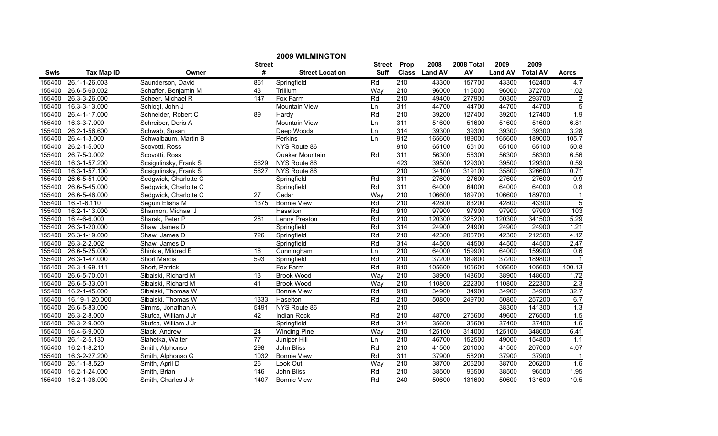|        |                   |                       |                 | <b>2009 WILMINGTON</b> |                 |                  |               |            |                |                 |                |
|--------|-------------------|-----------------------|-----------------|------------------------|-----------------|------------------|---------------|------------|----------------|-----------------|----------------|
|        |                   |                       | <b>Street</b>   |                        | <b>Street</b>   | Prop             | 2008          | 2008 Total | 2009           | 2009            |                |
| Swis   | <b>Tax Map ID</b> | Owner                 | #               | <b>Street Location</b> | <b>Suff</b>     |                  | Class Land AV | AV         | <b>Land AV</b> | <b>Total AV</b> | <b>Acres</b>   |
| 155400 | 26.1-1-26.003     | Saunderson, David     | 861             | Springfield            | Rd              | $\overline{210}$ | 43300         | 157700     | 43300          | 162400          | 4.7            |
| 155400 | 26.6-5-60.002     | Schaffer, Benjamin M  | 43              | Trillium               | Way             | $\overline{210}$ | 96000         | 116000     | 96000          | 372700          | 1.02           |
| 155400 | 26.3-3-26.000     | Scheer, Michael R     | 147             | Fox Farm               | Rd              | 210              | 49400         | 277900     | 50300          | 293700          | $\overline{2}$ |
| 155400 | 16.3-3-13.000     | Schlogl, John J       |                 | <b>Mountain View</b>   | Ln              | 311              | 44700         | 44700      | 44700          | 44700           | $\overline{5}$ |
| 155400 | 26.4-1-17.000     | Schneider, Robert C   | 89              | Hardy                  | $\overline{Rd}$ | 210              | 39200         | 127400     | 39200          | 127400          | 1.9            |
| 155400 | 16.3-3-7.000      | Schreiber, Doris A    |                 | <b>Mountain View</b>   | Ln              | 311              | 51600         | 51600      | 51600          | 51600           | 6.81           |
| 155400 | 26.2-1-56.600     | Schwab, Susan         |                 | Deep Woods             | Ln              | 314              | 39300         | 39300      | 39300          | 39300           | 3.28           |
| 155400 | 26.4-1-3.000      | Schwalbaum, Martin B  |                 | <b>Perkins</b>         | Ln              | 912              | 165600        | 189000     | 165600         | 189000          | 105.7          |
| 155400 | 26.2-1-5.000      | Scovotti, Ross        |                 | NYS Route 86           |                 | 910              | 65100         | 65100      | 65100          | 65100           | 50.8           |
| 155400 | 26.7-5-3.002      | Scovotti, Ross        |                 | Quaker Mountain        | Rd              | 311              | 56300         | 56300      | 56300          | 56300           | 6.56           |
| 155400 | 16.3-1-57.200     | Scsigulinsky, Frank S | 5629            | NYS Route 86           |                 | 423              | 39500         | 129300     | 39500          | 129300          | 0.59           |
| 155400 | 16.3-1-57.100     | Scsigulinsky, Frank S | 5627            | NYS Route 86           |                 | 210              | 34100         | 319100     | 35800          | 326600          | 0.71           |
| 155400 | 26.6-5-51.000     | Sedgwick, Charlotte C |                 | Springfield            | Rd              | 311              | 27600         | 27600      | 27600          | 27600           | 0.9            |
| 155400 | 26.6-5-45.000     | Sedgwick, Charlotte C |                 | Springfield            | Rd              | 311              | 64000         | 64000      | 64000          | 64000           | 0.8            |
| 155400 | 26.6-5-46.000     | Sedgwick, Charlotte C | 27              | Cedar                  | Way             | 210              | 106600        | 189700     | 106600         | 189700          | $\mathbf{1}$   |
| 155400 | 16.-1-6.110       | Seguin Elisha M       | 1375            | <b>Bonnie View</b>     | Rd              | 210              | 42800         | 83200      | 42800          | 43300           | $\overline{5}$ |
| 155400 | 16.2-1-13.000     | Shannon, Michael J    |                 | Haselton               | Rd              | 910              | 97900         | 97900      | 97900          | 97900           | 103            |
| 155400 | 16.4-6-6.000      | Sharak, Peter P       | 281             | <b>Lenny Preston</b>   | Rd              | 210              | 120300        | 325200     | 120300         | 341500          | 5.29           |
| 155400 | 26.3-1-20.000     | Shaw, James D         |                 | Springfield            | Rd              | 314              | 24900         | 24900      | 24900          | 24900           | 1.21           |
| 155400 | 26.3-1-19.000     | Shaw, James D         | 726             | Springfield            | Rd              | 210              | 42300         | 206700     | 42300          | 212500          | 4.12           |
| 155400 | 26.3-2-2.002      | Shaw, James D         |                 | Springfield            | Rd              | 314              | 44500         | 44500      | 44500          | 44500           | 2.47           |
| 155400 | 26.6-5-25.000     | Shinkle, Mildred E    | $\overline{16}$ | Cunningham             | Ln              | 210              | 64000         | 159900     | 64000          | 159900          | 0.6            |
| 155400 | 26.3-1-47.000     | Short Marcia          | 593             | Springfield            | Rd              | 210              | 37200         | 189800     | 37200          | 189800          |                |
| 155400 | 26.3-1-69.111     | Short, Patrick        |                 | Fox Farm               | Rd              | 910              | 105600        | 105600     | 105600         | 105600          | 100.13         |
| 155400 | 26.6-5-70.001     | Sibalski, Richard M   | $\overline{13}$ | <b>Brook</b> Wood      | Way             | $\overline{210}$ | 38900         | 148600     | 38900          | 148600          | 1.72           |
| 155400 | 26.6-5-33.001     | Sibalski, Richard M   | 41              | <b>Brook Wood</b>      | Way             | 210              | 110800        | 222300     | 110800         | 222300          | 2.3            |
| 155400 | 16.2-1-45.000     | Sibalski, Thomas W    |                 | <b>Bonnie View</b>     | Rd              | 910              | 34900         | 34900      | 34900          | 34900           | 32.7           |
| 155400 | 16.19-1-20.000    | Sibalski, Thomas W    | 1333            | Haselton               | Rd              | 210              | 50800         | 249700     | 50800          | 257200          | 6.7            |
| 155400 | 26.6-5-83.000     | Simms, Jonathan A     | 5491            | NYS Route 86           |                 | 210              |               |            | 38300          | 141300          | 1.3            |
| 155400 | 26.3-2-8.000      | Skufca, William J Jr  | 42              | Indian Rock            | Rd              | 210              | 48700         | 275600     | 49600          | 276500          | 1.5            |
| 155400 | 26.3-2-9.000      | Skufca, William J Jr  |                 | Springfield            | Rd              | 314              | 35600         | 35600      | 37400          | 37400           | 1.6            |
| 155400 | 16.4-6-9.000      | Slack, Andrew         | $\overline{24}$ | <b>Winding Pine</b>    | Way             | 210              | 125100        | 314000     | 125100         | 348600          | 6.41           |
| 155400 | 26.1-2-5.130      | Slahetka, Walter      | $\overline{77}$ | Juniper Hill           | Ln              | 210              | 46700         | 152500     | 49000          | 154800          | 1.1            |
| 155400 | 16.2-1-8.210      | Smith, Alphonso       | 298             | John Bliss             | Rd              | $\overline{210}$ | 41500         | 201000     | 41500          | 207000          | 4.07           |
| 155400 | 16.3-2-27.200     | Smith, Alphonso G     | 1032            | <b>Bonnie View</b>     | Rd              | 311              | 37900         | 58200      | 37900          | 37900           | $\overline{1}$ |
| 155400 | 26.1-1-8.520      | Smith, April D        | 26              | Look Out               | Way             | 210              | 38700         | 206200     | 38700          | 206200          | 1.6            |
| 155400 | 16.2-1-24.000     | Smith, Brian          | 146             | John Bliss             | Rd              | 210              | 38500         | 96500      | 38500          | 96500           | 1.95           |
| 155400 | 16.2-1-36.000     | Smith, Charles J Jr   | 1407            | <b>Bonnie View</b>     | Rd              | 240              | 50600         | 131600     | 50600          | 131600          | 10.5           |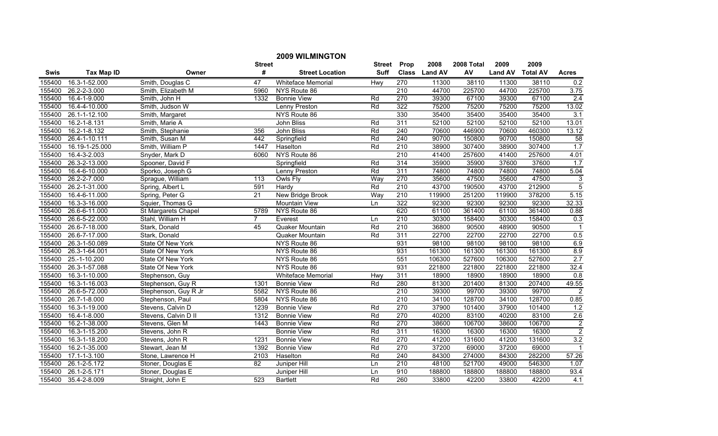|             |                    |                      |                  | <b>2009 WILMINGTON</b>    |               |                  |               |            |                |                 |                  |
|-------------|--------------------|----------------------|------------------|---------------------------|---------------|------------------|---------------|------------|----------------|-----------------|------------------|
|             |                    |                      | <b>Street</b>    |                           | <b>Street</b> | Prop             | 2008          | 2008 Total | 2009           | 2009            |                  |
| <b>Swis</b> | <b>Tax Map ID</b>  | Owner                | #                | <b>Street Location</b>    | <b>Suff</b>   |                  | Class Land AV | AV         | <b>Land AV</b> | <b>Total AV</b> | <b>Acres</b>     |
| 155400      | 16.3-1-52.000      | Smith, Douglas C     | 47               | <b>Whiteface Memorial</b> | Hwy           | 270              | 11300         | 38110      | 11300          | 38110           | 0.2              |
| 155400      | 26.2-2-3.000       | Smith, Elizabeth M   | 5960             | NYS Route 86              |               | $\overline{210}$ | 44700         | 225700     | 44700          | 225700          | 3.75             |
| 155400      | 16.4-1-9.000       | Smith, John H        | 1332             | <b>Bonnie View</b>        | Rd            | 270              | 39300         | 67100      | 39300          | 67100           | $\overline{2.4}$ |
| 155400      | 16.4-4-10.000      | Smith, Judson W      |                  | Lenny Preston             | Rd            | 322              | 75200         | 75200      | 75200          | 75200           | 13.02            |
| 155400      | 26.1-1-12.100      | Smith, Margaret      |                  | NYS Route 86              |               | 330              | 35400         | 35400      | 35400          | 35400           | $\overline{3.1}$ |
| 155400      | 16.2-1-8.131       | Smith, Marie A       |                  | <b>John Bliss</b>         | Rd            | 311              | 52100         | 52100      | 52100          | 52100           | 13.01            |
| 155400      | 16.2-1-8.132       | Smith, Stephanie     | 356              | John Bliss                | Rd            | 240              | 70600         | 446900     | 70600          | 460300          | 13.12            |
| 155400      | 26.4-1-10.111      | Smith, Susan M       | 442              | Springfield               | Rd            | 240              | 90700         | 150800     | 90700          | 150800          | 58               |
| 155400      | 16.19-1-25.000     | Smith, William P     | 1447             | Haselton                  | Rd            | $\overline{210}$ | 38900         | 307400     | 38900          | 307400          | 1.7              |
| 155400      | 16.4-3-2.003       | Snyder, Mark D       | 6060             | NYS Route 86              |               | $\overline{210}$ | 41400         | 257600     | 41400          | 257600          | 4.01             |
| 155400      | 26.3-2-13.000      | Spooner, David F     |                  | Springfield               | Rd            | 314              | 35900         | 35900      | 37600          | 37600           | 1.7              |
| 155400      | 16.4-6-10.000      | Sporko, Joseph G     |                  | Lenny Preston             | Rd            | 311              | 74800         | 74800      | 74800          | 74800           | 5.04             |
| 155400      | 26.2-2-7.000       | Sprague, William     | $\overline{113}$ | Owls Fly                  | Way           | 270              | 35600         | 47500      | 35600          | 47500           | $\overline{3}$   |
| 155400      | 26.2-1-31.000      | Spring, Albert L     | 591              | Hardy                     | Rd            | 210              | 43700         | 190500     | 43700          | 212900          | $\overline{5}$   |
| 155400      | 16.4-6-11.000      | Spring, Peter G      | $\overline{21}$  | New Bridge Brook          | Way           | $\overline{210}$ | 119900        | 251200     | 119900         | 378200          | 5.15             |
| 155400      | 16.3-3-16.000      | Squier, Thomas G     |                  | <b>Mountain View</b>      | Ln            | 322              | 92300         | 92300      | 92300          | 92300           | 32.33            |
| 155400      | 26.6-6-11.000      | St Margarets Chapel  | 5789             | NYS Route 86              |               | 620              | 61100         | 361400     | 61100          | 361400          | 0.88             |
| 155400      | 26.6-5-22.000      | Stahl, William H     | $\overline{7}$   | Everest                   | Ln            | 210              | 30300         | 158400     | 30300          | 158400          | 0.3              |
| 155400      | 26.6-7-18.000      | Stark, Donald        | 45               | Quaker Mountain           | Rd            | 210              | 36800         | 90500      | 48900          | 90500           | $\mathbf{1}$     |
| 155400      | 26.6-7-17.000      | Stark, Donald        |                  | Quaker Mountain           | Rd            | 311              | 22700         | 22700      | 22700          | 22700           | 0.5              |
| 155400      | 26.3-1-50.089      | State Of New York    |                  | NYS Route 86              |               | 931              | 98100         | 98100      | 98100          | 98100           | 6.9              |
| 155400      | 26.3-1-64.001      | State Of New York    |                  | NYS Route 86              |               | 931              | 161300        | 161300     | 161300         | 161300          | 8.9              |
| 155400      | 25.-1-10.200       | State Of New York    |                  | NYS Route 86              |               | 551              | 106300        | 527600     | 106300         | 527600          | 2.7              |
| 155400      | 26.3-1-57.088      | State Of New York    |                  | NYS Route 86              |               | 931              | 221800        | 221800     | 221800         | 221800          | 32.4             |
| 155400      | 16.3-1-10.000      | Stephenson, Guy      |                  | Whiteface Memorial        | Hwy           | 311              | 18900         | 18900      | 18900          | 18900           | 0.8              |
| 155400      | 16.3-1-16.003      | Stephenson, Guy R    | 1301             | <b>Bonnie View</b>        | Rd            | 280              | 81300         | 201400     | 81300          | 207400          | 49.55            |
| 155400      | 26.6-5-72.000      | Stephenson, Guy R Jr | 5582             | NYS Route 86              |               | 210              | 39300         | 99700      | 39300          | 99700           | $\overline{2}$   |
| 155400      | 26.7-1-8.000       | Stephenson, Paul     | 5804             | NYS Route 86              |               | $\overline{210}$ | 34100         | 128700     | 34100          | 128700          | 0.85             |
| 155400      | 16.3-1-19.000      | Stevens, Calvin D    | 1239             | <b>Bonnie View</b>        | Rd            | 270              | 37900         | 101400     | 37900          | 101400          | 1.2              |
| 155400      | 16.4-1-8.000       | Stevens, Calvin D II | 1312             | <b>Bonnie View</b>        | Rd            | 270              | 40200         | 83100      | 40200          | 83100           | 2.6              |
| 155400      | 16.2-1-38.000      | Stevens, Glen M      | 1443             | <b>Bonnie View</b>        | Rd            | 270              | 38600         | 106700     | 38600          | 106700          | $\overline{2}$   |
| 155400      | 16.3-1-15.200      | Stevens, John R      |                  | <b>Bonnie View</b>        | Rd            | 311              | 16300         | 16300      | 16300          | 16300           | $\overline{2}$   |
| 155400      | 16.3-1-18.200      | Stevens, John R      | 1231             | <b>Bonnie View</b>        | Rd            | 270              | 41200         | 131600     | 41200          | 131600          | 3.2              |
| 155400      | 16.2-1-35.000      | Stewart, Jean M      | 1392             | <b>Bonnie View</b>        | Rd            | 270              | 37200         | 69000      | 37200          | 69000           | $\mathbf{1}$     |
| 155400      | $17.1 - 1 - 3.100$ | Stone, Lawrence H    | 2103             | Haselton                  | Rd            | 240              | 84300         | 274000     | 84300          | 282200          | 57.26            |
| 155400      | 26.1-2-5.172       | Stoner, Douglas E    | 82               | Juniper Hill              | Ln            | 210              | 48100         | 521700     | 49000          | 546300          | 1.07             |
| 155400      | 26.1-2-5.171       | Stoner, Douglas E    |                  | Juniper Hill              | Ln            | 910              | 188800        | 188800     | 188800         | 188800          | 93.4             |
| 155400      | 35.4-2-8.009       | Straight, John E     | 523              | <b>Bartlett</b>           | Rd            | 260              | 33800         | 42200      | 33800          | 42200           | 4.1              |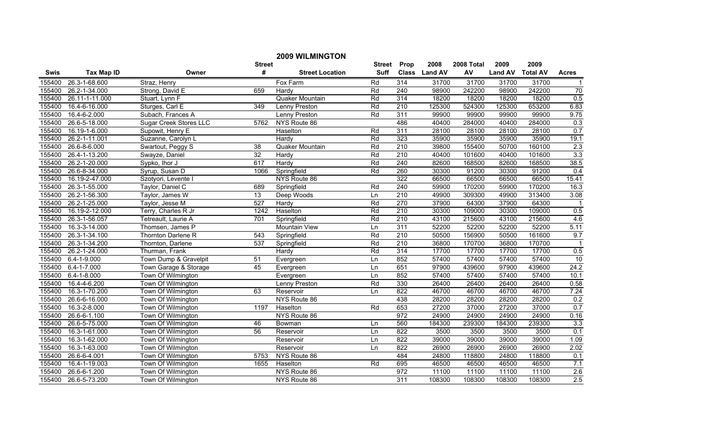|             |                   |                               |                  | <b>2009 WILMINGTON</b> |               |                  |               |            |                |                 |                 |
|-------------|-------------------|-------------------------------|------------------|------------------------|---------------|------------------|---------------|------------|----------------|-----------------|-----------------|
|             |                   |                               | <b>Street</b>    |                        | <b>Street</b> | Prop             | 2008          | 2008 Total | 2009           | 2009            |                 |
| <b>Swis</b> | <b>Tax Map ID</b> | Owner                         | #                | <b>Street Location</b> | <b>Suff</b>   |                  | Class Land AV | AV         | <b>Land AV</b> | <b>Total AV</b> | <b>Acres</b>    |
| 155400      | 26.3-1-68.600     | Straz, Henry                  |                  | Fox Farm               | Rd            | 314              | 31700         | 31700      | 31700          | 31700           | $\mathbf 1$     |
| 155400      | 26.2-1-34.000     | Strong, David E               | 659              | Hardy                  | Rd            | 240              | 98900         | 242200     | 98900          | 242200          | $\overline{70}$ |
| 155400      | 26.11-1-11.000    | Stuart, Lynn F                |                  | Quaker Mountain        | Rd            | 314              | 18200         | 18200      | 18200          | 18200           | 0.5             |
| 155400      | 16.4-6-16.000     | Sturges, Carl E               | $\overline{349}$ | <b>Lenny Preston</b>   | Rd            | 210              | 125300        | 524300     | 125300         | 653200          | 6.83            |
| 155400      | 16.4-6-2.000      | Subach, Frances A             |                  | Lenny Preston          | Rd            | 311              | 99900         | 99900      | 99900          | 99900           | 9.75            |
| 155400      | 26.6-5-18.000     | <b>Sugar Creek Stores LLC</b> | 5762             | NYS Route 86           |               | 486              | 40400         | 284000     | 40400          | 284000          | 0.3             |
| 155400      | 16.19-1-6.000     | Supowit, Henry E              |                  | Haselton               | Rd            | 311              | 28100         | 28100      | 28100          | 28100           | 0.7             |
| 155400      | 26.2-1-11.001     | Suzanne, Carolyn L            |                  | Hardy                  | Rd            | 323              | 35900         | 35900      | 35900          | 35900           | 19.1            |
| 155400      | 26.6-8-6.000      | Swartout, Peggy S             | $\overline{38}$  | Quaker Mountain        | Rd            | $\overline{210}$ | 39800         | 155400     | 50700          | 160100          | 2.3             |
| 155400      | 26.4-1-13.200     | Swayze, Daniel                | $\overline{32}$  | Hardy                  | Rd            | 210              | 40400         | 101600     | 40400          | 101600          | 3.3             |
| 155400      | 26.2-1-20.000     | Sypko, Ihor J                 | 617              | Hardy                  | Rd            | $\overline{240}$ | 82600         | 168500     | 82600          | 168500          | 38.5            |
| 155400      | 26.6-8-34.000     | Syrup, Susan D                | 1066             | Springfield            | Rd            | 260              | 30300         | 91200      | 30300          | 91200           | 0.4             |
| 155400      | 16.19-2-47.000    | Szotyori, Levente I           |                  | NYS Route 86           |               | 322              | 66500         | 66500      | 66500          | 66500           | 15.41           |
| 155400      | 26.3-1-55.000     | Taylor, Daniel C              | 689              | Springfield            | Rd            | 240              | 59900         | 170200     | 59900          | 170200          | 16.3            |
| 155400      | 26.2-1-56.300     | Taylor, James W               | 13               | Deep Woods             | Ln            | $\overline{210}$ | 49900         | 309300     | 49900          | 313400          | 3.08            |
| 155400      | 26.2-1-25.000     | Taylor, Jesse M               | 527              | Hardy                  | Rd            | 270              | 37900         | 64300      | 37900          | 64300           | -1              |
| 155400      | 16.19-2-12.000    | Terry, Charles R Jr           | 1242             | Haselton               | Rd            | 210              | 30300         | 109000     | 30300          | 109000          | 0.5             |
| 155400      | 26.3-1-56.057     | Tetreault, Laurie A           | 701              | Springfield            | Rd            | 210              | 43100         | 215600     | 43100          | 215600          | 4.6             |
| 155400      | 16.3-3-14.000     | Thomsen, James P              |                  | <b>Mountain View</b>   | Ln            | 311              | 52200         | 52200      | 52200          | 52200           | 5.11            |
| 155400      | 26.3-1-34.100     | <b>Thornton Darlene R</b>     | 543              | Springfield            | Rd            | 210              | 50500         | 156900     | 50500          | 161600          | 9.7             |
| 155400      | 26.3-1-34.200     | Thornton, Darlene             | 537              | Springfield            | Rd            | 210              | 36800         | 170700     | 36800          | 170700          | $\overline{1}$  |
| 155400      | 26.2-1-24.000     | Thurman, Frank                |                  | Hardy                  | Rd            | 314              | 17700         | 17700      | 17700          | 17700           | 0.5             |
| 155400      | $6.4 - 1 - 9.000$ | Town Dump & Gravelpit         | 51               | Evergreen              | Ln            | 852              | 57400         | 57400      | 57400          | 57400           | 10              |
| 155400      | $6.4 - 1 - 7.000$ | Town Garage & Storage         | 45               | Evergreen              | Ln            | 651              | 97900         | 439600     | 97900          | 439600          | 24.2            |
| 155400      | $6.4 - 1 - 8.000$ | Town Of Wilmington            |                  | Evergreen              | Ln            | 852              | 57400         | 57400      | 57400          | 57400           | 10.1            |
| 155400      | 16.4-4-6.200      | Town Of Wilmington            |                  | Lenny Preston          | Rd            | 330              | 26400         | 26400      | 26400          | 26400           | 0.58            |
| 155400      | 16.3-1-70.200     | Town Of Wilmington            | 63               | Reservoir              | Ln            | 822              | 46700         | 46700      | 46700          | 46700           | 7.24            |
| 155400      | 26.6-6-16.000     | Town Of Wilmington            |                  | NYS Route 86           |               | 438              | 28200         | 28200      | 28200          | 28200           | 0.2             |
| 155400      | 16.3-2-8.000      | Town Of Wilmington            | 1197             | Haselton               | Rd            | 653              | 27200         | 37000      | 27200          | 37000           | 0.7             |
| 155400      | 26.6-6-1.100      | Town Of Wilmington            |                  | NYS Route 86           |               | 972              | 24900         | 24900      | 24900          | 24900           | 0.16            |
| 155400      | 26.6-5-75.000     | Town Of Wilmington            | 46               | Bowman                 | Ln            | 560              | 184300        | 239300     | 184300         | 239300          | 3.3             |
| 155400      | 16.3-1-61.000     | Town Of Wilmington            | 56               | Reservoir              | Ln            | 822              | 3500          | 3500       | 3500           | 3500            | 0.1             |
| 155400      | 16.3-1-62.000     | Town Of Wilmington            |                  | Reservoir              | Ln            | 822              | 39000         | 39000      | 39000          | 39000           | 1.09            |
| 155400      | 16.3-1-63.000     | Town Of Wilmington            |                  | Reservoir              | Ln            | 822              | 26900         | 26900      | 26900          | 26900           | 2.02            |
| 155400      | 26.6-6-4.001      | Town Of Wilmington            | 5753             | NYS Route 86           |               | 484              | 24800         | 118800     | 24800          | 118800          | 0.1             |
| 155400      | 16.4-1-19.003     | Town Of Wilmington            | 1655             | Haselton               | Rd            | 695              | 46500         | 46500      | 46500          | 46500           | 7.1             |
| 155400      | 26.6-6-1.200      | Town Of Wilmington            |                  | NYS Route 86           |               | 972              | 11100         | 11100      | 11100          | 11100           | 2.6             |
| 155400      | 26.6-5-73.200     | Town Of Wilmington            |                  | NYS Route 86           |               | $\overline{311}$ | 108300        | 108300     | 108300         | 108300          | 2.5             |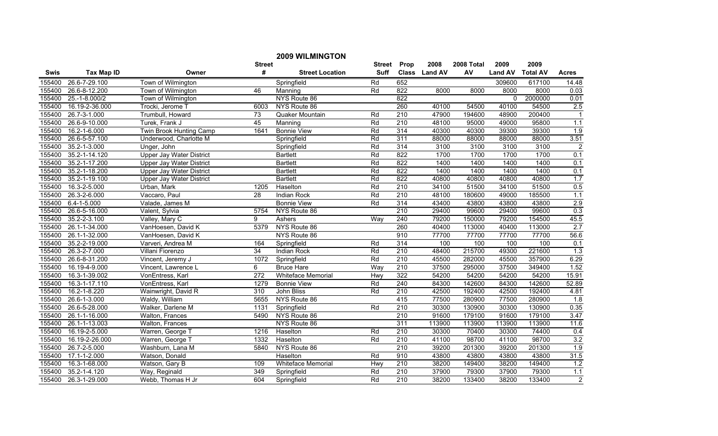|             |                   |                                 |                 | <b>2009 WILMINGTON</b>    |             |                  |               |            |                |                 |                |
|-------------|-------------------|---------------------------------|-----------------|---------------------------|-------------|------------------|---------------|------------|----------------|-----------------|----------------|
|             |                   |                                 | <b>Street</b>   |                           | Street      | Prop             | 2008          | 2008 Total | 2009           | 2009            |                |
| <b>Swis</b> | <b>Tax Map ID</b> | Owner                           | #               | <b>Street Location</b>    | <b>Suff</b> |                  | Class Land AV | AV         | <b>Land AV</b> | <b>Total AV</b> | <b>Acres</b>   |
| 155400      | 26.6-7-29.100     | Town of Wilmington              |                 | Springfield               | Rd          | 652              |               |            | 309600         | 617100          | 14.48          |
| 155400      | 26.6-8-12.200     | Town of Wilmington              | 46              | Manning                   | Rd          | 822              | 8000          | 8000       | 8000           | 8000            | 0.03           |
| 155400      | 25.-1-8.000/2     | Town of Wilmington              |                 | NYS Route 86              |             | 822              |               |            | $\mathbf 0$    | 2000000         | 0.01           |
| 155400      | 16.19-2-36.000    | Trocki, Jerome T                | 6003            | NYS Route 86              |             | 260              | 40100         | 54500      | 40100          | 54500           | 2.5            |
| 155400      | 26.7-3-1.000      | Trumbull, Howard                | 73              | Quaker Mountain           | Rd          | $\overline{210}$ | 47900         | 194600     | 48900          | 200400          | $\overline{1}$ |
| 155400      | 26.6-9-10.000     | Turek, Frank J                  | 45              | Manning                   | Rd          | 210              | 48100         | 95000      | 49000          | 95800           | 1.1            |
| 155400      | 16.2-1-6.000      | Twin Brook Hunting Camp         | 1641            | <b>Bonnie View</b>        | Rd          | 314              | 40300         | 40300      | 39300          | 39300           | 1.9            |
| 155400      | 26.6-5-57.100     | Underwood, Charlotte M          |                 | Springfield               | Rd          | 311              | 88000         | 88000      | 88000          | 88000           | 3.51           |
| 155400      | 35.2-1-3.000      | Unger, John                     |                 | Springfield               | Rd          | 314              | 3100          | 3100       | 3100           | 3100            | $\overline{2}$ |
| 155400      | 35.2-1-14.120     | <b>Upper Jay Water District</b> |                 | <b>Bartlett</b>           | Rd          | 822              | 1700          | 1700       | 1700           | 1700            | 0.1            |
| 155400      | 35.2-1-17.200     | Upper Jay Water District        |                 | <b>Bartlett</b>           | Rd          | 822              | 1400          | 1400       | 1400           | 1400            | 0.1            |
| 155400      | 35.2-1-18.200     | Upper Jay Water District        |                 | <b>Bartlett</b>           | Rd          | 822              | 1400          | 1400       | 1400           | 1400            | 0.1            |
| 155400      | 35.2-1-19.100     | <b>Upper Jay Water District</b> |                 | <b>Bartlett</b>           | Rd          | 822              | 40800         | 40800      | 40800          | 40800           | 1.7            |
| 155400      | 16.3-2-5.000      | Urban, Mark                     | 1205            | Haselton                  | Rd          | 210              | 34100         | 51500      | 34100          | 51500           | 0.5            |
| 155400      | 26.3-2-6.000      | Vaccaro, Paul                   | $\overline{28}$ | Indian Rock               | Rd          | $\overline{210}$ | 48100         | 180600     | 49000          | 185500          | 1.1            |
| 155400      | $6.4 - 1 - 5.000$ | Valade, James M                 |                 | <b>Bonnie View</b>        | Rd          | 314              | 43400         | 43800      | 43800          | 43800           | 2.9            |
| 155400      | 26.6-5-16.000     | Valent, Sylvia                  | 5754            | NYS Route 86              |             | 210              | 29400         | 99600      | 29400          | 99600           | 0.3            |
| 155400      | 35.2-2-3.100      | Valley, Mary C                  | 9               | Ashers                    | Way         | 240              | 79200         | 150000     | 79200          | 154500          | 45.5           |
| 155400      | 26.1-1-34.000     | VanHoesen, David K              | 5379            | NYS Route 86              |             | 260              | 40400         | 113000     | 40400          | 113000          | 2.7            |
| 155400      | 26.1-1-32.000     | VanHoesen, David K              |                 | NYS Route 86              |             | 910              | 77700         | 77700      | 77700          | 77700           | 56.6           |
| 155400      | 35.2-2-19.000     | Varveri, Andrea M               | 164             | Springfield               | Rd          | 314              | 100           | 100        | 100            | 100             | 0.1            |
| 155400      | 26.3-2-7.000      | Villani Fiorenzo                | 34              | Indian Rock               | Rd          | 210              | 48400         | 215700     | 49300          | 221600          | 1.3            |
| 155400      | 26.6-8-31.200     | Vincent, Jeremy J               | 1072            | Springfield               | Rd          | 210              | 45500         | 282000     | 45500          | 357900          | 6.29           |
| 155400      | 16.19-4-9.000     | Vincent, Lawrence L             | 6               | <b>Bruce Hare</b>         | Way         | 210              | 37500         | 295000     | 37500          | 349400          | 1.52           |
| 155400      | 16.3-1-39.002     | VonEntress, Karl                | 272             | <b>Whiteface Memorial</b> | Hwy         | 322              | 54200         | 54200      | 54200          | 54200           | 15.91          |
| 155400      | 16.3-1-17.110     | VonEntress, Karl                | 1279            | <b>Bonnie View</b>        | Rd          | 240              | 84300         | 142600     | 84300          | 142600          | 52.89          |
| 155400      | 16.2-1-8.220      | Wainwright, David R             | 310             | John Bliss                | Rd          | 210              | 42500         | 192400     | 42500          | 192400          | 4.81           |
| 155400      | 26.6-1-3.000      | Waldy, William                  | 5655            | NYS Route 86              |             | 415              | 77500         | 280900     | 77500          | 280900          | 1.8            |
| 155400      | 26.6-5-28.000     | Walker, Darlene M               | 1131            | Springfield               | Rd          | 210              | 30300         | 130900     | 30300          | 130900          | 0.35           |
| 155400      | 26.1-1-16.000     | Walton, Frances                 | 5490            | NYS Route 86              |             | 210              | 91600         | 179100     | 91600          | 179100          | 3.47           |
| 155400      | 26.1-1-13.003     | Walton, Frances                 |                 | NYS Route 86              |             | 311              | 113900        | 113900     | 113900         | 113900          | 11.6           |
| 155400      | 16.19-2-5.000     | Warren, George T                | 1216            | Haselton                  | Rd          | 210              | 30300         | 70400      | 30300          | 74400           | 0.4            |
| 155400      | 16.19-2-26.000    | Warren, George T                | 1332            | Haselton                  | Rd          | 210              | 41100         | 98700      | 41100          | 98700           | 3.2            |
| 155400      | 26.7-2-5.000      | Washburn, Lana M                | 5840            | NYS Route 86              |             | 210              | 39200         | 201300     | 39200          | 201300          | 1.9            |
| 155400      | 17.1-1-2.000      | Watson, Donald                  |                 | Haselton                  | Rd          | 910              | 43800         | 43800      | 43800          | 43800           | 31.5           |
| 155400      | 16.3-1-68.000     | Watson, Gary B                  | 109             | Whiteface Memorial        | Hwy         | 210              | 38200         | 149400     | 38200          | 149400          | 1.2            |
| 155400      | 35.2-1-4.120      | Way, Reginald                   | 349             | Springfield               | Rd          | 210              | 37900         | 79300      | 37900          | 79300           | 1.1            |
| 155400      | 26.3-1-29.000     | Webb, Thomas H Jr               | 604             | Springfield               | Rd          | 210              | 38200         | 133400     | 38200          | 133400          | $\overline{2}$ |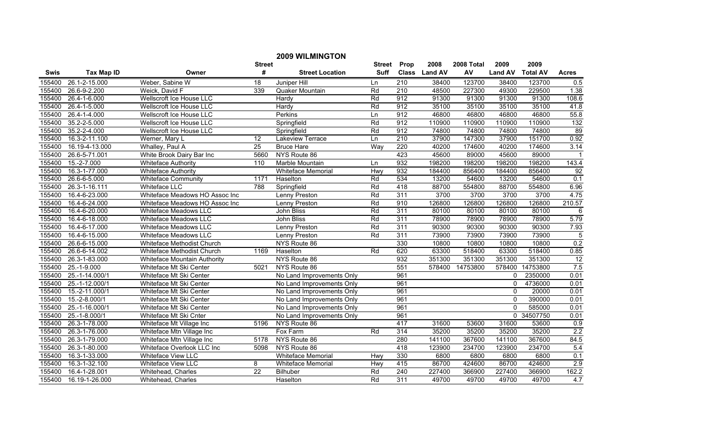|        |                   |                                |                 | <b>2009 WILMINGTON</b>    |               |                  |               |            |                |                 |                  |
|--------|-------------------|--------------------------------|-----------------|---------------------------|---------------|------------------|---------------|------------|----------------|-----------------|------------------|
|        |                   |                                | <b>Street</b>   |                           | <b>Street</b> | Prop             | 2008          | 2008 Total | 2009           | 2009            |                  |
| Swis   | <b>Tax Map ID</b> | Owner                          | #               | <b>Street Location</b>    | Suff          |                  | Class Land AV | AV         | <b>Land AV</b> | <b>Total AV</b> | <b>Acres</b>     |
| 155400 | 26.1-2-15.000     | Weber, Sabine W                | 18              | Juniper Hill              | Ln            | 210              | 38400         | 123700     | 38400          | 123700          | 0.5              |
| 155400 | 26.6-9-2.200      | Weick, David F                 | 339             | Quaker Mountain           | Rd            | $\overline{210}$ | 48500         | 227300     | 49300          | 229500          | 1.38             |
| 155400 | 26.4-1-6.000      | Wellscroft Ice House LLC       |                 | Hardy                     | Rd            | 912              | 91300         | 91300      | 91300          | 91300           | 108.6            |
| 155400 | 26.4-1-5.000      | Wellscroft Ice House LLC       |                 | Hardy                     | Rd            | 912              | 35100         | 35100      | 35100          | 35100           | 41.8             |
| 155400 | 26.4-1-4.000      | Wellscroft Ice House LLC       |                 | Perkins                   | Ln            | 912              | 46800         | 46800      | 46800          | 46800           | 55.8             |
| 155400 | 35.2-2-5.000      | Wellscroft Ice House LLC       |                 | Springfield               | Rd            | 912              | 110900        | 110900     | 110900         | 110900          | 132              |
| 155400 | 35.2-2-4.000      | Wellscroft Ice House LLC       |                 | Springfield               | Rd            | 912              | 74800         | 74800      | 74800          | 74800           | 89               |
| 155400 | 16.3-2-11.100     | Werner, Mary L                 | 12              | <b>Lakeview Terrace</b>   | Ln            | 210              | 37900         | 147300     | 37900          | 151700          | 0.92             |
| 155400 | 16.19-4-13.000    | Whalley, Paul A                | $\overline{25}$ | <b>Bruce Hare</b>         | Way           | 220              | 40200         | 174600     | 40200          | 174600          | 3.14             |
| 155400 | 26.6-5-71.001     | White Brook Dairy Bar Inc      | 5660            | NYS Route 86              |               | 423              | 45600         | 89000      | 45600          | 89000           |                  |
| 155400 | 15.-2-7.000       | <b>Whiteface Authority</b>     | 110             | Marble Mountain           | Ln            | 932              | 198200        | 198200     | 198200         | 198200          | 143.4            |
| 155400 | 16.3-1-77.000     | <b>Whiteface Authority</b>     |                 | Whiteface Memorial        | Hwy           | 932              | 184400        | 856400     | 184400         | 856400          | 92               |
| 155400 | 26.6-6-5.000      | <b>Whiteface Community</b>     | 1171            | Haselton                  | Rd            | 534              | 13200         | 54600      | 13200          | 54600           | $\overline{0.1}$ |
| 155400 | 26.3-1-16.111     | <b>Whiteface LLC</b>           | 788             | Springfield               | Rd            | 418              | 88700         | 554800     | 88700          | 554800          | 6.96             |
| 155400 | 16.4-6-23.000     | Whiteface Meadows HO Assoc Inc |                 | Lenny Preston             | Rd            | 311              | 3700          | 3700       | 3700           | 3700            | 4.75             |
| 155400 | 16.4-6-24.000     | Whiteface Meadows HO Assoc Inc |                 | Lenny Preston             | Rd            | 910              | 126800        | 126800     | 126800         | 126800          | 210.57           |
| 155400 | 16.4-6-20.000     | Whiteface Meadows LLC          |                 | <b>John Bliss</b>         | Rd            | 311              | 80100         | 80100      | 80100          | 80100           | $\overline{6}$   |
| 155400 | 16.4-6-18.000     | <b>Whiteface Meadows LLC</b>   |                 | <b>John Bliss</b>         | Rd            | 311              | 78900         | 78900      | 78900          | 78900           | 5.79             |
| 155400 | 16.4-6-17.000     | <b>Whiteface Meadows LLC</b>   |                 | Lenny Preston             | Rd            | 311              | 90300         | 90300      | 90300          | 90300           | 7.93             |
| 155400 | 16.4-6-15.000     | Whiteface Meadows LLC          |                 | Lenny Preston             | Rd            | 311              | 73900         | 73900      | 73900          | 73900           | $\overline{5}$   |
| 155400 | 26.6-6-15.000     | Whiteface Methodist Church     |                 | NYS Route 86              |               | 330              | 10800         | 10800      | 10800          | 10800           | 0.2              |
| 155400 | 26.6-6-14.002     | Whiteface Methodist Church     | 1169            | Haselton                  | Rd            | 620              | 63300         | 518400     | 63300          | 518400          | 0.85             |
| 155400 | 26.3-1-83.000     | Whiteface Mountain Authority   |                 | NYS Route 86              |               | 932              | 351300        | 351300     | 351300         | 351300          | $\overline{12}$  |
| 155400 | 25.-1-9.000       | Whiteface Mt Ski Center        | 5021            | NYS Route 86              |               | 551              | 578400        | 14753800   | 578400         | 14753800        | 7.5              |
| 155400 | 25.-1-14.000/1    | Whiteface Mt Ski Center        |                 | No Land Improvements Only |               | 961              |               |            | 0              | 2350000         | 0.01             |
| 155400 | 25.-1-12.000/1    | Whiteface Mt Ski Center        |                 | No Land Improvements Only |               | 961              |               |            | 0              | 4736000         | 0.01             |
| 155400 | 15.-2-11.000/1    | Whiteface Mt Ski Center        |                 | No Land Improvements Only |               | 961              |               |            | $\mathbf{0}$   | 20000           | 0.01             |
| 155400 | 15.-2-8.000/1     | Whiteface Mt Ski Center        |                 | No Land Improvements Only |               | 961              |               |            | $\mathbf{0}$   | 390000          | 0.01             |
| 155400 | 25.-1-16.000/1    | Whiteface Mt Ski Center        |                 | No Land Improvements Only |               | 961              |               |            | $\Omega$       | 585000          | 0.01             |
| 155400 | 25.-1-8.000/1     | Whiteface Mt Ski Cnter         |                 | No Land Improvements Only |               | 961              |               |            |                | 0 34507750      | 0.01             |
| 155400 | 26.3-1-78.000     | Whiteface Mt Village Inc       | 5196            | NYS Route 86              |               | 417              | 31600         | 53600      | 31600          | 53600           | 0.9              |
| 155400 | 26.3-1-76.000     | Whiteface Mtn Village Inc      |                 | Fox Farm                  | Rd            | 314              | 35200         | 35200      | 35200          | 35200           | 2.2              |
| 155400 | 26.3-1-79.000     | Whiteface Mtn Village Inc      | 5178            | NYS Route 86              |               | 280              | 141100        | 367600     | 141100         | 367600          | 84.5             |
| 155400 | 26.3-1-80.000     | Whiteface Overlook LLC Inc     | 5098            | NYS Route 86              |               | 418              | 123900        | 234700     | 123900         | 234700          | 5.4              |
| 155400 | 16.3-1-33.000     | Whiteface View LLC             |                 | Whiteface Memorial        | Hwy           | 330              | 6800          | 6800       | 6800           | 6800            | 0.1              |
| 155400 | 16.3-1-32.100     | Whiteface View LLC             | 8               | Whiteface Memorial        | Hwy           | 415              | 86700         | 424600     | 86700          | 424600          | 2.9              |
| 155400 | 16.4-1-28.001     | Whitehead, Charles             | $\overline{22}$ | Bilhuber                  | Rd            | 240              | 227400        | 366900     | 227400         | 366900          | 162.2            |
| 155400 | 16.19-1-26.000    | Whitehead, Charles             |                 | Haselton                  | Rd            | 311              | 49700         | 49700      | 49700          | 49700           | 4.7              |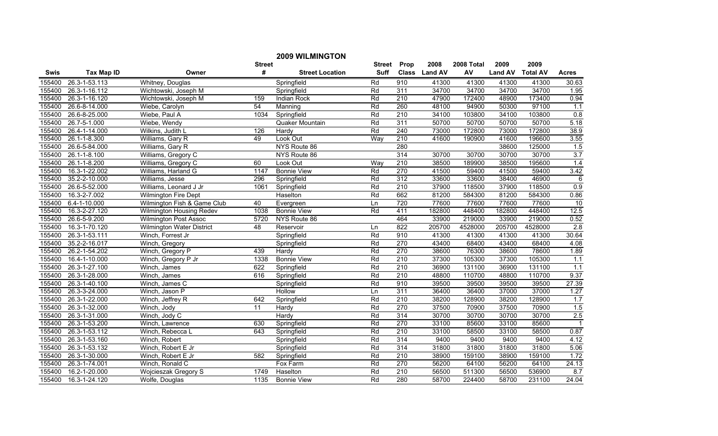|             |                   |                                  |               | <b>2009 WILMINGTON</b> |             |                  |               |            |                |                 |                  |
|-------------|-------------------|----------------------------------|---------------|------------------------|-------------|------------------|---------------|------------|----------------|-----------------|------------------|
|             |                   |                                  | <b>Street</b> |                        | Street      | Prop             | 2008          | 2008 Total | 2009           | 2009            |                  |
| <b>Swis</b> | <b>Tax Map ID</b> | Owner                            | #             | <b>Street Location</b> | <b>Suff</b> |                  | Class Land AV | AV         | <b>Land AV</b> | <b>Total AV</b> | Acres            |
| 155400      | 26.3-1-53.113     | Whitney, Douglas                 |               | Springfield            | Rd          | 910              | 41300         | 41300      | 41300          | 41300           | 30.63            |
| 155400      | 26.3-1-16.112     | Wichtowski, Joseph M             |               | Springfield            | Rd          | $\overline{311}$ | 34700         | 34700      | 34700          | 34700           | 1.95             |
| 155400      | 26.3-1-16.120     | Wichtowski, Joseph M             | 159           | <b>Indian Rock</b>     | Rd          | $\overline{210}$ | 47900         | 172400     | 48900          | 173400          | 0.94             |
| 155400      | 26.6-8-14.000     | Wiebe, Carolyn                   | 54            | Manning                | Rd          | 260              | 48100         | 94900      | 50300          | 97100           | 1.1              |
| 155400      | 26.6-8-25.000     | Wiebe, Paul A                    | 1034          | Springfield            | Rd          | 210              | 34100         | 103800     | 34100          | 103800          | 0.8              |
| 155400      | 26.7-5-1.000      | Wiebe, Wendy                     |               | Quaker Mountain        | Rd          | 311              | 50700         | 50700      | 50700          | 50700           | 5.18             |
| 155400      | 26.4-1-14.000     | Wilkins, Judith L                | 126           | Hardy                  | Rd          | 240              | 73000         | 172800     | 73000          | 172800          | 38.9             |
| 155400      | 26.1-1-8.300      | Williams, Gary R                 | 49            | Look Out               | Way         | 210              | 41600         | 190900     | 41600          | 196600          | 3.55             |
| 155400      | 26.6-5-84.000     | Williams, Gary R                 |               | NYS Route 86           |             | 280              |               |            | 38600          | 125000          | 1.5              |
| 155400      | 26.1-1-8.100      | Williams, Gregory C              |               | NYS Route 86           |             | 314              | 30700         | 30700      | 30700          | 30700           | 3.7              |
| 155400      | 26.1-1-8.200      | Williams, Gregory C              | 60            | Look Out               | <b>Way</b>  | 210              | 38500         | 189900     | 38500          | 195600          | 1.4              |
| 155400      | 16.3-1-22.002     | Williams, Harland G              | 1147          | <b>Bonnie View</b>     | Rd          | 270              | 41500         | 59400      | 41500          | 59400           | 3.42             |
| 155400      | 35.2-2-10.000     | Williams, Jesse                  | 296           | Springfield            | Rd          | 312              | 33600         | 33600      | 38400          | 46900           | 6                |
| 155400      | 26.6-5-52.000     | Williams, Leonard J Jr           | 1061          | Springfield            | Rd          | 210              | 37900         | 118500     | 37900          | 118500          | 0.9              |
| 155400      | 16.3-2-7.002      | <b>Wilmington Fire Dept</b>      |               | Haselton               | Rd          | 662              | 81200         | 584300     | 81200          | 584300          | 0.86             |
| 155400      | 6.4-1-10.000      | Wilmington Fish & Game Club      | 40            | Evergreen              | Ln          | 720              | 77600         | 77600      | 77600          | 77600           | 10               |
| 155400      | 16.3-2-27.120     | Wilmington Housing Redev         | 1038          | <b>Bonnie View</b>     | Rd          | 411              | 182800        | 448400     | 182800         | 448400          | 12.5             |
| 155400      | 26.6-5-9.200      | <b>Wilmington Post Assoc</b>     | 5720          | NYS Route 86           |             | 464              | 33900         | 219000     | 33900          | 219000          | 0.52             |
| 155400      | 16.3-1-70.120     | <b>Wilmington Water District</b> | 48            | Reservoir              | Ln          | 822              | 205700        | 4528000    | 205700         | 4528000         | 2.8              |
| 155400      | 26.3-1-53.111     | Winch, Forrest Jr                |               | Springfield            | Rd          | 910              | 41300         | 41300      | 41300          | 41300           | 30.64            |
| 155400      | 35.2-2-16.017     | Winch, Gregory                   |               | Springfield            | Rd          | 270              | 43400         | 68400      | 43400          | 68400           | 4.08             |
| 155400      | 26.2-1-54.202     | Winch, Gregory P                 | 439           | Hardy                  | Rd          | 270              | 38600         | 76300      | 38600          | 78600           | 1.89             |
| 155400      | 16.4-1-10.000     | Winch, Gregory P Jr              | 1338          | <b>Bonnie View</b>     | Rd          | 210              | 37300         | 105300     | 37300          | 105300          | $\overline{1.1}$ |
| 155400      | 26.3-1-27.100     | Winch, James                     | 622           | Springfield            | Rd          | $\overline{210}$ | 36900         | 131100     | 36900          | 131100          | $1.1$            |
| 155400      | 26.3-1-28.000     | Winch, James                     | 616           | Springfield            | Rd          | $\overline{210}$ | 48800         | 110700     | 48800          | 110700          | 9.37             |
| 155400      | 26.3-1-40.100     | Winch, James C                   |               | Springfield            | Rd          | 910              | 39500         | 39500      | 39500          | 39500           | 27.39            |
| 155400      | 26.3-3-24.000     | Winch, Jason P                   |               | Hollow                 | Ln          | 311              | 36400         | 36400      | 37000          | 37000           | 1.27             |
| 155400      | 26.3-1-22.000     | Winch, Jeffrey R                 | 642           | Springfield            | Rd          | 210              | 38200         | 128900     | 38200          | 128900          | 1.7              |
| 155400      | 26.3-1-32.000     | Winch, Jody                      | 11            | Hardy                  | Rd          | 270              | 37500         | 70900      | 37500          | 70900           | 1.5              |
| 155400      | 26.3-1-31.000     | Winch, Jody C                    |               | Hardy                  | Rd          | 314              | 30700         | 30700      | 30700          | 30700           | 2.5              |
| 155400      | 26.3-1-53.200     | Winch, Lawrence                  | 630           | Springfield            | Rd          | 270              | 33100         | 85600      | 33100          | 85600           | $\overline{1}$   |
| 155400      | 26.3-1-53.112     | Winch, Rebecca L                 | 643           | Springfield            | Rd          | 210              | 33100         | 58500      | 33100          | 58500           | 0.87             |
| 155400      | 26.3-1-53.160     | Winch, Robert                    |               | Springfield            | Rd          | 314              | 9400          | 9400       | 9400           | 9400            | 4.12             |
| 155400      | 26.3-1-53.132     | Winch, Robert E Jr               |               | Springfield            | Rd          | 314              | 31800         | 31800      | 31800          | 31800           | 5.06             |
| 155400      | 26.3-1-30.000     | Winch, Robert E Jr               | 582           | Springfield            | Rd          | 210              | 38900         | 159100     | 38900          | 159100          | 1.72             |
| 155400      | 26.3-1-74.001     | Winch, Ronald C                  |               | Fox Farm               | Rd          | 270              | 56200         | 64100      | 56200          | 64100           | 24.13            |
| 155400      | 16.2-1-20.000     | <b>Wojcieszak Gregory S</b>      | 1749          | Haselton               | Rd          | 210              | 56500         | 511300     | 56500          | 536900          | 8.7              |
| 155400      | 16.3-1-24.120     | Wolfe, Douglas                   | 1135          | <b>Bonnie View</b>     | Rd          | 280              | 58700         | 224400     | 58700          | 231100          | 24.04            |